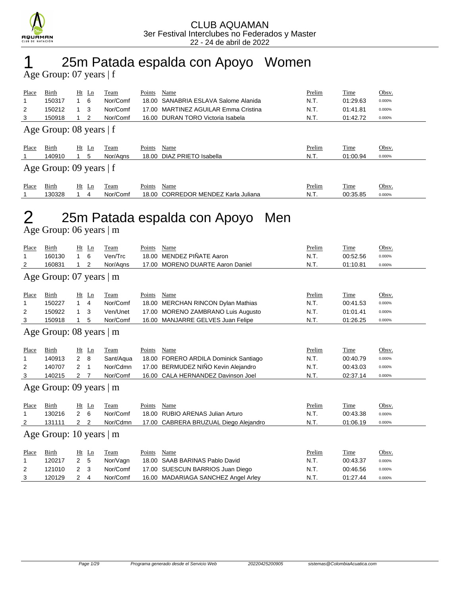

### 1 25m Patada espalda con Apoyo Women

Age Group: 07 years | f

| Place          | Birth                     | $Ht$ Ln | Team     | Points | Name                              | Prelim | Time     | Obsv.  |
|----------------|---------------------------|---------|----------|--------|-----------------------------------|--------|----------|--------|
|                | 150317                    | - 6     | Nor/Comf | 18.00  | SANABRIA ESLAVA Salome Alanida    | N.T.   | 01:29.63 | 0.000% |
| $\overline{2}$ | 150212                    | 3       | Nor/Comf | 17.00  | MARTINEZ AGUILAR Emma Cristina    | N.T.   | 01:41.81 | 0.000% |
| 3              | 150918                    | -2      | Nor/Comf |        | 16.00 DURAN TORO Victoria Isabela | N.T.   | 01:42.72 | 0.000% |
|                | Age Group: 08 years $ f $ |         |          |        |                                   |        |          |        |
| Place          | Birth                     | $Ht$ Ln | Team     | Points | Name                              | Prelim | Time     | Obsv.  |
|                | 140910                    | 5       | Nor/Aans | 18.00  | DIAZ PRIETO Isabella              | N.T.   | 01:00.94 | 0.000% |
|                |                           |         |          |        |                                   |        |          |        |
|                | Age Group: 09 years $ f $ |         |          |        |                                   |        |          |        |
| Place          | Birth                     | $Ht$ Ln | Team     | Points | Name                              | Prelim | Time     | Obsv.  |
|                | 130328                    | 4       | Nor/Comf | 18.00  | CORREDOR MENDEZ Karla Juliana     | N.T.   | 00:35.85 | 0.000% |

## 2 25m Patada espalda con Apoyo Men

Age Group: 06 years | m

| Place          | Birth                           | Ht             | $\mathbf{L}$ n | Team        | Points | Name                                  | Prelim | Time        | Obsv.  |  |
|----------------|---------------------------------|----------------|----------------|-------------|--------|---------------------------------------|--------|-------------|--------|--|
| 1              | 160130                          | 1              | 6              | Ven/Trc     | 18.00  | MENDEZ PIÑATE Aaron                   | N.T.   | 00:52.56    | 0.000% |  |
| 2              | 160831                          |                | 2              | Nor/Agns    | 17.00  | <b>MORENO DUARTE Aaron Daniel</b>     | N.T.   | 01:10.81    | 0.000% |  |
|                | Age Group: $07$ years $\vert$ m |                |                |             |        |                                       |        |             |        |  |
| Place          | Birth                           | $Ht$ Ln        |                | Team        | Points | Name                                  | Prelim | Time        | Obsv.  |  |
| 1              | 150227                          | 1              | 4              | Nor/Comf    | 18.00  | <b>MERCHAN RINCON Dylan Mathias</b>   | N.T.   | 00:41.53    | 0.000% |  |
| 2              | 150922                          |                | 3              | Ven/Unet    | 17.00  | MORENO ZAMBRANO Luis Augusto          | N.T.   | 01:01.41    | 0.000% |  |
| 3              | 150918                          |                | 5              | Nor/Comf    | 16.00  | <b>MANJARRE GELVES Juan Felipe</b>    | N.T.   | 01:26.25    | 0.000% |  |
|                | Age Group: 08 years   m         |                |                |             |        |                                       |        |             |        |  |
| Place          | Birth                           | Ht             | Ln             | Team        | Points | Name                                  | Prelim | Time        | Obsv.  |  |
| 1              | 140913                          | $\overline{2}$ | 8              | Sant/Aqua   |        | 18.00 FORERO ARDILA Dominick Santiago | N.T.   | 00:40.79    | 0.000% |  |
| $\overline{2}$ | 140707                          | $\overline{2}$ | -1             | Nor/Cdmn    | 17.00  | BERMUDEZ NIÑO Kevin Alejandro         | N.T.   | 00:43.03    | 0.000% |  |
| 3              | 140215                          | 2              |                | Nor/Comf    |        | 16.00 CALA HERNANDEZ Davinson Joel    | N.T.   | 02:37.14    | 0.000% |  |
|                | Age Group: 09 years $\vert$ m   |                |                |             |        |                                       |        |             |        |  |
| Place          | <b>Birth</b>                    | Ht             | Ln             | Team        | Points | Name                                  | Prelim | Time        | Obsv.  |  |
| 1              | 130216                          | $\overline{2}$ | 6              | Nor/Comf    | 18.00  | <b>RUBIO ARENAS Julian Arturo</b>     | N.T.   | 00:43.38    | 0.000% |  |
| 2              | 131111                          | 2              | 2              | Nor/Cdmn    | 17.00  | CABRERA BRUZUAL Diego Alejandro       | N.T.   | 01:06.19    | 0.000% |  |
|                | Age Group: 10 years   m         |                |                |             |        |                                       |        |             |        |  |
| Place          | <b>Birth</b>                    | Ht             | Ln             | <b>Team</b> | Points | Name                                  | Prelim | <b>Time</b> | Obsv.  |  |
| 1              | 120217                          | 2              | 5              | Nor/Vagn    | 18.00  | SAAB BARINAS Pablo David              | N.T.   | 00:43.37    | 0.000% |  |
| 2              | 121010                          | 2              | 3              | Nor/Comf    | 17.00  | SUESCUN BARRIOS Juan Diego            | N.T.   | 00:46.56    | 0.000% |  |
| 3              | 120129                          | 2              | 4              | Nor/Comf    |        | 16.00 MADARIAGA SANCHEZ Angel Arley   | N.T.   | 01:27.44    | 0.000% |  |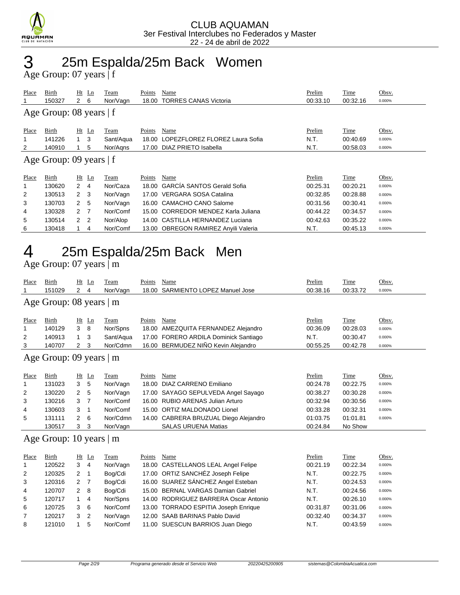

### 3 25m Espalda/25m Back Women

Age Group: 07 years | f

| Place | Birth                     |                | Ht Ln          | Team      | Points | Name                                 | Prelim   | Time     | Obsv.  |  |
|-------|---------------------------|----------------|----------------|-----------|--------|--------------------------------------|----------|----------|--------|--|
|       | 150327                    | $\mathbf{2}$   | 6              | Nor/Vagn  | 18.00  | <b>TORRES CANAS Victoria</b>         | 00:33.10 | 00:32.16 | 0.000% |  |
|       | Age Group: 08 years $ f $ |                |                |           |        |                                      |          |          |        |  |
| Place | Birth                     |                | $Ht$ Ln        | Team      | Points | Name                                 | Prelim   | Time     | Obsv.  |  |
| 1     | 141226                    | 1              | 3              | Sant/Aqua | 18.00  | LOPEZFLOREZ FLOREZ Laura Sofia       | N.T.     | 00:40.69 | 0.000% |  |
| 2     | 140910                    |                | 5              | Nor/Agns  | 17.00  | DIAZ PRIETO Isabella                 | N.T.     | 00:58.03 | 0.000% |  |
|       | Age Group: 09 years   f   |                |                |           |        |                                      |          |          |        |  |
| Place | Birth                     |                | $Ht$ Ln        | Team      | Points | Name                                 | Prelim   | Time     | Obsv.  |  |
|       | 130620                    | 2              | $\overline{4}$ | Nor/Caza  | 18.00  | <b>GARCÍA SANTOS Gerald Sofia</b>    | 00:25.31 | 00:20.21 | 0.000% |  |
| 2     | 130513                    | 2 <sub>3</sub> |                | Nor/Vagn  | 17.00  | VERGARA SOSA Catalina                | 00:32.85 | 00:28.88 | 0.000% |  |
| 3     | 130703                    | $\mathbf{2}$   | -5             | Nor/Vagn  |        | 16.00 CAMACHO CANO Salome            | 00:31.56 | 00:30.41 | 0.000% |  |
| 4     | 130328                    | 2 <sub>7</sub> |                | Nor/Comf  | 15.00  | CORREDOR MENDEZ Karla Juliana        | 00:44.22 | 00:34.57 | 0.000% |  |
| 5     | 130514                    | 2 <sub>2</sub> |                | Nor/Alop  |        | 14.00 CASTILLA HERNANDEZ Luciana     | 00:42.63 | 00:35.22 | 0.000% |  |
| 6     | 130418                    |                | 4              | Nor/Comf  |        | 13.00 OBREGON RAMIREZ Anyili Valeria | N.T.     | 00:45.13 | 0.000% |  |

## 4 25m Espalda/25m Back Men

Age Group: 07 years | m

| Place          | <b>Birth</b>                  | Ht             | Ln             | Team      | Points | Name                                  | Prelim   | Time     | Obsv.  |
|----------------|-------------------------------|----------------|----------------|-----------|--------|---------------------------------------|----------|----------|--------|
| 1              | 151029                        | $\overline{2}$ | $\overline{4}$ | Nor/Vagn  | 18.00  | SARMIENTO LOPEZ Manuel Jose           | 00:38.16 | 00:33.72 | 0.000% |
|                | Age Group: 08 years   m       |                |                |           |        |                                       |          |          |        |
|                |                               |                |                |           |        |                                       |          |          |        |
| Place          | Birth                         | Ht             | Ln             | Team      | Points | Name                                  | Prelim   | Time     | Obsv.  |
| 1              | 140129                        | 3              | 8              | Nor/Spns  | 18.00  | AMEZQUITA FERNANDEZ Alejandro         | 00:36.09 | 00:28.03 | 0.000% |
| 2              | 140913                        | 1              | 3              | Sant/Aqua |        | 17.00 FORERO ARDILA Dominick Santiago | N.T.     | 00:30.47 | 0.000% |
| 3              | 140707                        | 2              | 3              | Nor/Cdmn  |        | 16.00 BERMUDEZ NIÑO Kevin Alejandro   | 00:55.25 | 00:42.78 | 0.000% |
|                | Age Group: 09 years   m       |                |                |           |        |                                       |          |          |        |
|                |                               |                |                |           |        |                                       |          |          |        |
| Place          | Birth                         | Ht             | Ln             | Team      | Points | Name                                  | Prelim   | Time     | Obsv.  |
| 1              | 131023                        | 3              | 5              | Nor/Vagn  | 18.00  | <b>DIAZ CARRENO Emiliano</b>          | 00:24.78 | 00:22.75 | 0.000% |
| 2              | 130220                        | 2              | 5              | Nor/Vagn  | 17.00  | SAYAGO SEPULVEDA Angel Sayago         | 00:38.27 | 00:30.28 | 0.000% |
| 3              | 130216                        | 3              | 7              | Nor/Comf  |        | 16.00 RUBIO ARENAS Julian Arturo      | 00:32.94 | 00:30.56 | 0.000% |
| 4              | 130603                        | 3              | $\mathbf 1$    | Nor/Comf  | 15.00  | <b>ORTIZ MALDONADO Lionel</b>         | 00:33.28 | 00:32.31 | 0.000% |
| 5              | 131111                        | 2              | 6              | Nor/Cdmn  |        | 14.00 CABRERA BRUZUAL Diego Alejandro | 01:03.75 | 01:01.81 | 0.000% |
|                | 130517                        | 3              | 3              | Nor/Vagn  |        | <b>SALAS URUENA Matias</b>            | 00:24.84 | No Show  |        |
|                | Age Group: 10 years $\vert$ m |                |                |           |        |                                       |          |          |        |
|                |                               |                |                |           |        |                                       |          |          |        |
| Place          | Birth                         | Ht             | Ln             | Team      | Points | Name                                  | Prelim   | Time     | Obsv.  |
| 1              | 120522                        | 3              | $\overline{4}$ | Nor/Vagn  | 18.00  | <b>CASTELLANOS LEAL Angel Felipe</b>  | 00:21.19 | 00:22.34 | 0.000% |
| 2              | 120325                        | $\overline{2}$ | 1              | Bog/Cdi   |        | 17.00 ORTIZ SANCHÉZ Joseph Felipe     | N.T.     | 00:22.75 | 0.000% |
| 3              | 120316                        | 2              | 7              | Bog/Cdi   |        | 16.00 SUAREZ SÁNCHEZ Angel Esteban    | N.T.     | 00:24.53 | 0.000% |
| 4              | 120707                        | $\overline{2}$ | 8              | Bog/Cdi   | 15.00  | <b>BERNAL VARGAS Damian Gabriel</b>   | N.T.     | 00:24.56 | 0.000% |
| 5              | 120717                        | 1              | 4              | Nor/Spns  |        | 14.00 RODRIGUEZ BARRERA Oscar Antonio | N.T.     | 00:26.10 | 0.000% |
| 6              | 120725                        | 3              | 6              | Nor/Comf  |        | 13.00 TORRADO ESPITIA Joseph Enrique  | 00:31.87 | 00:31.06 | 0.000% |
| $\overline{7}$ | 120217                        | 3              | 2              | Nor/Vagn  | 12.00  | SAAB BARINAS Pablo David              | 00:32.40 | 00:34.37 | 0.000% |
| 8              | 121010                        | 1              | 5              | Nor/Comf  |        | 11.00 SUESCUN BARRIOS Juan Diego      | N.T.     | 00:43.59 | 0.000% |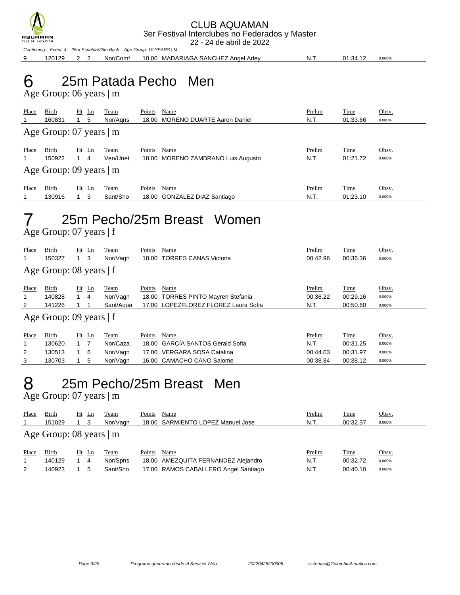

Continuing... Event: 4 25m Espalda/25m Back Age Group: 10 YEARS | M

9 120129 2 2 Nor/Comf 10.00 MADARIAGA SANCHEZ Angel Arley N.T. 01:34.12 0.000%

## 6 25m Patada Pecho Men

Age Group: 06 years | m

| Place                           | Birth<br>160831                                  | $Ht$ Ln<br>5 | Team<br>Nor/Aans | Points | Name<br>18.00 MORENO DUARTE Aaron Daniel   | Prelim<br>N.T. | Time<br>01:33.66 | Obsv.<br>0.000% |
|---------------------------------|--------------------------------------------------|--------------|------------------|--------|--------------------------------------------|----------------|------------------|-----------------|
| Age Group: $07$ years $\vert$ m |                                                  |              |                  |        |                                            |                |                  |                 |
| Place                           | Birth<br>150922<br>Age Group: 09 years $\vert$ m | $Ht$ Ln<br>4 | Team<br>Ven/Unet | Points | Name<br>18.00 MORENO ZAMBRANO Luis Augusto | Prelim<br>N.T. | Time<br>01:21.72 | Obsv.<br>0.000% |
|                                 |                                                  |              |                  |        |                                            |                |                  |                 |
| Place                           | Birth<br>130916                                  | $Ht$ Ln<br>3 | Team<br>Sant/Sho | Points | Name<br>18.00 GONZALEZ DIAZ Santiago       | Prelim<br>N.T. | Time<br>01:23.10 | Obsv.<br>0.000% |

## 7 25m Pecho/25m Breast Women

Age Group: 07 years | f

| Place                     | Birth<br>150327           | Ht          | Ln<br>3 | Team<br>Nor/Vagn | Points<br>18.00 | Name<br><b>TORRES CANAS Victoria</b> | Prelim<br>00:42.96 | Time<br>00:36.36 | Obsv.<br>0.000% |
|---------------------------|---------------------------|-------------|---------|------------------|-----------------|--------------------------------------|--------------------|------------------|-----------------|
| Age Group: 08 years $ f $ |                           |             |         |                  |                 |                                      |                    |                  |                 |
| Place                     | Birth                     |             | $Ht$ Ln | Team             | Points          | Name                                 | Prelim             | <b>Time</b>      | Obsv.           |
| 1                         | 140828                    |             | 4       | Nor/Vagn         |                 | 18.00 TORRES PINTO Mayren Stefania   | 00:36.22           | 00:29.16         | 0.000%          |
| $\overline{2}$            | 141226                    |             |         | Sant/Agua        |                 | 17.00 LOPEZFLOREZ FLOREZ Laura Sofia | N.T.               | 00:50.60         | 0.000%          |
|                           | Age Group: 09 years $ f $ |             |         |                  |                 |                                      |                    |                  |                 |
| Place                     | Birth                     |             | $Ht$ Ln | Team             | Points          | Name                                 | Prelim             | Time             | Obsv.           |
| 1                         | 130620                    | $1 \quad 7$ |         | Nor/Caza         | 18.00           | <b>GARCÍA SANTOS Gerald Sofia</b>    | N.T.               | 00:31.25         | 0.000%          |
| $\overline{2}$            | 130513                    | $1\quad 6$  |         | Nor/Vagn         |                 | 17.00 VERGARA SOSA Catalina          | 00:44.03           | 00:31.97         | 0.000%          |
| 3                         | 130703                    |             | 5       | Nor/Vagn         |                 | 16.00 CAMACHO CANO Salome            | 00:38.84           | 00:38.12         | 0.000%          |

### 8 25m Pecho/25m Breast Men

Age Group: 07 years | m

| Place | Birth<br>151029                 | Ht | Ln | Team<br>Nor/Vagn | Points | Name<br>18.00 SARMIENTO LOPEZ Manuel Jose | Prelim<br>N.T. | <b>Time</b><br>00:32.37 | Obsv.<br>0.000% |
|-------|---------------------------------|----|----|------------------|--------|-------------------------------------------|----------------|-------------------------|-----------------|
|       | Age Group: $08$ years $\vert$ m |    |    |                  |        |                                           |                |                         |                 |
| Place | Birth                           | Ht | Ln | Team             | Points | Name                                      | Prelim         | <b>Time</b>             | Obsv.           |
|       | 140129                          |    | 4  | Nor/Spns         |        | 18.00 AMEZQUITA FERNANDEZ Alejandro       | N.T.           | 00:32.72                | 0.000%          |
| 2     | 140923                          |    | 5  | Sant/Sho         |        | 17.00 RAMOS CABALLERO Angel Santiago      | N.T.           | 00:40.10                | 0.000%          |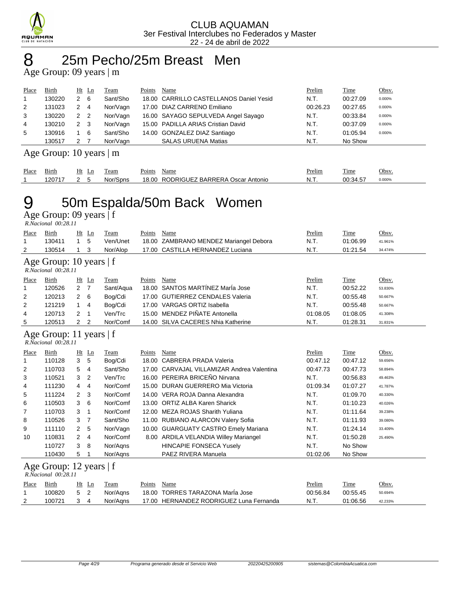

### 8 25m Pecho/25m Breast Men

Age Group: 09 years | m

| Place          | <b>Birth</b> | $Ht$ Ln             | Team     | Points | Name                                    | <b>Prelim</b> | Time     | Obsv.  |
|----------------|--------------|---------------------|----------|--------|-----------------------------------------|---------------|----------|--------|
| $\overline{1}$ | 130220       | 2<br>- 6            | Sant/Sho |        | 18.00 CARRILLO CASTELLANOS Daniel Yesid | N.T.          | 00:27.09 | 0.000% |
| 2              | 131023       | 2<br>$\overline{4}$ | Nor/Vagn |        | 17.00 DIAZ CARRENO Emiliano             | 00:26.23      | 00:27.65 | 0.000% |
| 3              | 130220       | 2<br>$\overline{2}$ | Nor/Vagn |        | 16.00 SAYAGO SEPULVEDA Angel Sayago     | N.T.          | 00:33.84 | 0.000% |
| 4              | 130210       | 2<br>- 3            | Nor/Vagn |        | 15.00 PADILLA ARIAS Cristian David      | N.T.          | 00:37.09 | 0.000% |
| 5              | 130916       | 6                   | Sant/Sho |        | 14.00 GONZALEZ DIAZ Santiago            | N.T.          | 01:05.94 | 0.000% |
|                | 130517       |                     | Nor/Vagn |        | <b>SALAS URUENA Matias</b>              | N.T.          | No Show  |        |

#### Age Group: 10 years | m

| Place | $\sim$ .<br>Birth | Ht<br>ப | eam      | $\sim$<br>Points | Name                            | <b>Prelim</b> | Time     | Obsv.  |
|-------|-------------------|---------|----------|------------------|---------------------------------|---------------|----------|--------|
|       | 12071             |         | Nor/Spns | 18.00            | RODRIGUEZ BARRERA Oscar Antonio | N.T           | 00:34.57 | 0.000% |

## 9 50m Espalda/50m Back Women

Age Group: 09 years | f

|       | R.Nacional 00:28.11                              |                |                |           |        |                                             |          |          |         |
|-------|--------------------------------------------------|----------------|----------------|-----------|--------|---------------------------------------------|----------|----------|---------|
| Place | Birth                                            | Ht             | $\mathbf{Ln}$  | Team      | Points | Name                                        | Prelim   | Time     | Obsv.   |
| 1     | 130411                                           | 1              | 5              | Ven/Unet  | 18.00  | ZAMBRANO MENDEZ Mariangel Debora            | N.T.     | 01:06.99 | 41.961% |
| 2     | 130514                                           | $\mathbf 1$    | 3              | Nor/Alop  | 17.00  | CASTILLA HERNANDEZ Luciana                  | N.T.     | 01:21.54 | 34.474% |
|       | Age Group: 10 years $ f $<br>R.Nacional 00:28.11 |                |                |           |        |                                             |          |          |         |
| Place | Birth                                            |                | $Ht$ Ln        | Team      | Points | Name                                        | Prelim   | Time     | Obsv.   |
| 1     | 120526                                           | $\overline{2}$ | $\overline{7}$ | Sant/Aqua | 18.00  | SANTOS MARTÍNEZ MarÍa Jose                  | N.T.     | 00:52.22 | 53.830% |
| 2     | 120213                                           | 2              | 6              | Bog/Cdi   | 17.00  | <b>GUTIERREZ CENDALES Valeria</b>           | N.T.     | 00:55.48 | 50.667% |
| 2     | 121219                                           | $\mathbf{1}$   | 4              | Bog/Cdi   |        | 17.00 VARGAS ORTIZ Isabella                 | N.T.     | 00:55.48 | 50.667% |
| 4     | 120713                                           | $\overline{2}$ | 1              | Ven/Trc   |        | 15.00 MENDEZ PIÑATE Antonella               | 01:08.05 | 01:08.05 | 41.308% |
| 5     | 120513                                           | $\overline{2}$ | $\overline{2}$ | Nor/Comf  |        | 14.00 SILVA CACERES Nhia Katherine          | N.T.     | 01:28.31 | 31.831% |
|       | Age Group: 11 years   f<br>R.Nacional 00:28.11   |                |                |           |        |                                             |          |          |         |
| Place | Birth                                            | Ht             | Ln             | Team      | Points | Name                                        | Prelim   | Time     | Obsv.   |
| 1     | 110128                                           | 3              | 5              | Bog/Cdi   |        | 18.00 CABRERA PRADA Valeria                 | 00:47.12 | 00:47.12 | 59.656% |
| 2     | 110703                                           | 5              | 4              | Sant/Sho  | 17.00  | <b>CARVAJAL VILLAMIZAR Andrea Valentina</b> | 00:47.73 | 00:47.73 | 58.894% |
| 3     | 110521                                           | 3              | $\overline{2}$ | Ven/Trc   |        | 16.00 PEREIRA BRICEÑO Nirvana               | N.T.     | 00:56.83 | 49.463% |
| 4     | 111230                                           | 4              | 4              | Nor/Comf  |        | 15.00 DURAN GUERRERO Mia Victoria           | 01:09.34 | 01:07.27 | 41.787% |
| 5     | 111224                                           | 2              | 3              | Nor/Comf  |        | 14.00 VERA ROJA Danna Alexandra             | N.T.     | 01:09.70 | 40.330% |
| 6     | 110503                                           | 3              | 6              | Nor/Comf  |        | 13.00 ORTIZ ALBA Karen Sharick              | N.T.     | 01:10.23 | 40.026% |
| 7     | 110703                                           | 3              | 1              | Nor/Comf  |        | 12.00 MEZA ROJAS Sharith Yuliana            | N.T.     | 01:11.64 | 39.238% |
| 8     | 110526                                           | 3              | 7              | Sant/Sho  |        | 11.00 RUBIANO ALARCON Valery Sofia          | N.T.     | 01:11.93 | 39.080% |
| 9     | 111110                                           | 2              | 5              | Nor/Vagn  |        | 10.00 GUARGUATY CASTRO Emely Mariana        | N.T.     | 01:24.14 | 33.409% |
| 10    | 110831                                           | 2              | $\overline{4}$ | Nor/Comf  |        | 8.00 ARDILA VELANDIA Willey Mariangel       | N.T.     | 01:50.28 | 25.490% |
|       | 110727                                           | 3              | 8              | Nor/Agns  |        | <b>HINCAPIE FONSECA Yusely</b>              | N.T.     | No Show  |         |
|       | 110430                                           | 5              | 1              | Nor/Aqns  |        | PAEZ RIVERA Manuela                         | 01:02.06 | No Show  |         |
|       | Age Group: 12 years   f<br>R.Nacional 00:28.11   |                |                |           |        |                                             |          |          |         |
| Place | Birth                                            | Ht             | Ln             | Team      | Points | Name                                        | Prelim   | Time     | Obsv.   |
| 1     | 100820                                           | 5              | 2              | Nor/Aqns  | 18.00  | <b>TORRES TARAZONA Maria Jose</b>           | 00:56.84 | 00:55.45 | 50.694% |
| 2     | 100721                                           | 3              | $\overline{4}$ | Nor/Aans  |        | 17.00 HERNANDEZ RODRIGUEZ Luna Fernanda     | N.T.     | 01:06.56 | 42.233% |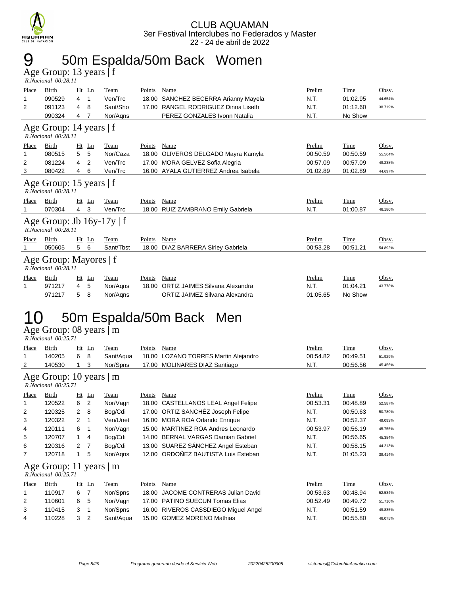

### 9 50m Espalda/50m Back Women

Age Group: 13 years | f  *R.Nacional 00:28.11* 

| Place        | Birth                                                 |    | $Ht$ Ln | Team        | Points | Name                           | Prelim   | Time     | Obsv.   |  |
|--------------|-------------------------------------------------------|----|---------|-------------|--------|--------------------------------|----------|----------|---------|--|
| 1            | 090529                                                | 4  | 1       | Ven/Trc     | 18.00  | SANCHEZ BECERRA Arianny Mayela | N.T.     | 01:02.95 | 44.654% |  |
| 2            | 091123                                                | 4  | 8       | Sant/Sho    | 17.00  | RANGEL RODRIGUEZ Dinna Liseth  | N.T.     | 01:12.60 | 38.719% |  |
|              | 090324                                                | 4  | 7       | Nor/Agns    |        | PEREZ GONZALES Ivonn Natalia   | N.T.     | No Show  |         |  |
|              | Age Group: 14 years   f<br>R.Nacional 00:28.11        |    |         |             |        |                                |          |          |         |  |
| Place        | Birth                                                 |    | Ht Ln   | Team        | Points | Name                           | Prelim   | Time     | Obsv.   |  |
| 1            | 080515                                                | 5  | 5       | Nor/Caza    | 18.00  | OLIVEROS DELGADO Mayra Kamyla  | 00:50.59 | 00:50.59 | 55.564% |  |
| 2            | 081224                                                | 4  | 2       | Ven/Trc     | 17.00  | MORA GELVEZ Sofia Alegria      | 00:57.09 | 00:57.09 | 49.238% |  |
| 3            | 080422                                                | 4  | 6       | Ven/Trc     | 16.00  | AYALA GUTIERREZ Andrea Isabela | 01:02.89 | 01:02.89 | 44.697% |  |
|              | Age Group: 15 years   f<br>R.Nacional 00:28.11        |    |         |             |        |                                |          |          |         |  |
| <b>Place</b> | Birth                                                 | Ht | Ln      | Team        | Points | Name                           | Prelim   | Time     | Obsv.   |  |
|              | 070304                                                | 4  | 3       | Ven/Trc     | 18.00  | RUIZ ZAMBRANO Emily Gabriela   | N.T.     | 01:00.87 | 46.180% |  |
|              | Age Group: Jb $16y-17y \mid f$<br>R.Nacional 00:28.11 |    |         |             |        |                                |          |          |         |  |
| Place        | Birth                                                 | Ht | Ln      | <b>Team</b> | Points | Name                           | Prelim   | Time     | Obsv.   |  |
|              | 050605                                                | 5  | 6       | Sant/Tbst   | 18.00  | DIAZ BARRERA Sirley Gabriela   | 00:53.28 | 00:51.21 | 54.892% |  |
|              | Age Group: Mayores   f<br>R.Nacional 00:28.11         |    |         |             |        |                                |          |          |         |  |
| Place        | Birth                                                 |    | $Ht$ Ln | Team        | Points | Name                           | Prelim   | Time     | Obsv.   |  |
| 1            | 971217                                                | 4  | 5       | Nor/Agns    | 18.00  | ORTIZ JAIMES Silvana Alexandra | N.T.     | 01:04.21 | 43.778% |  |
|              | 971217                                                | 5  | 8       | Nor/Aans    |        | ORTIZ JAIMEZ Silvana Alexandra | 01:05.65 | No Show  |         |  |

### 10 50m Espalda/50m Back Men

Age Group: 08 years | m

| R.Nacional 00:25.71 |       |      |
|---------------------|-------|------|
| Place Birth         | Ht In | Team |

| Place | Birth                                           | Ht             | Ln                       | Team        | Points | Name                                 | Prelim   | Time        | Obsv.   |
|-------|-------------------------------------------------|----------------|--------------------------|-------------|--------|--------------------------------------|----------|-------------|---------|
| 1     | 140205                                          | 6              | 8                        | Sant/Aqua   |        | 18.00 LOZANO TORRES Martin Alejandro | 00:54.82 | 00:49.51    | 51.929% |
| 2     | 140530                                          |                | 3                        | Nor/Spns    |        | 17.00 MOLINARES DIAZ Santiago        | N.T.     | 00:56.56    | 45.456% |
|       | Age Group: 10 years   m<br>R.Nacional 00:25.71  |                |                          |             |        |                                      |          |             |         |
| Place | Birth                                           | Ht             | Ln                       | <u>Team</u> | Points | Name                                 | Prelim   | <u>Time</u> | Obsv.   |
| 1     | 120522                                          | 6              | $\overline{2}$           | Nor/Vagn    |        | 18.00 CASTELLANOS LEAL Angel Felipe  | 00:53.31 | 00:48.89    | 52.587% |
| 2     | 120325                                          | $\overline{2}$ | 8                        | Bog/Cdi     |        | 17.00 ORTIZ SANCHÉZ Joseph Felipe    | N.T.     | 00:50.63    | 50.780% |
| 3     | 120322                                          | $2 \quad 1$    |                          | Ven/Unet    |        | 16.00 MORA ROA Orlando Enrique       | N.T.     | 00:52.37    | 49.093% |
| 4     | 120111                                          | 6              | $\overline{\phantom{1}}$ | Nor/Vagn    | 15.00  | MARTINEZ ROA Andres Leonardo         | 00:53.97 | 00:56.19    | 45.755% |
| 5     | 120707                                          | 1.             | 4                        | Bog/Cdi     |        | 14.00 BERNAL VARGAS Damian Gabriel   | N.T.     | 00:56.65    | 45.384% |
| 6     | 120316                                          | 2              |                          | Bog/Cdi     |        | 13.00 SUAREZ SÁNCHEZ Angel Esteban   | N.T.     | 00:58.15    | 44.213% |
| 7     | 120718                                          |                | 5                        | Nor/Agns    |        | 12.00 ORDOÑEZ BAUTISTA Luis Esteban  | N.T.     | 01:05.23    | 39.414% |
|       | Age Group: 11 years $ m$<br>R.Nacional 00:25.71 |                |                          |             |        |                                      |          |             |         |
| Place | Birth                                           | Ht             | Ln                       | Team        | Points | Name                                 | Prelim   | Time        | Obsv.   |
| 1     | 110917                                          | 6              | 7                        | Nor/Spns    | 18.00  | <b>JACOME CONTRERAS Julian David</b> | 00:53.63 | 00:48.94    | 52.534% |
| 2     | 110601                                          | 6              | 5                        | Nor/Vagn    | 17.00  | <b>PATINO SUECUN Tomas Elias</b>     | 00:52.49 | 00:49.72    | 51.710% |
| 3     | 110415                                          | 3              | -1                       | Nor/Spns    | 16.00  | RIVEROS CASSDIEGO Miquel Angel       | N.T.     | 00:51.59    | 49.835% |
| 4     | 110228                                          | 3              | 2                        | Sant/Aqua   |        | 15.00 GOMEZ MORENO Mathias           | N.T.     | 00:55.80    | 46.075% |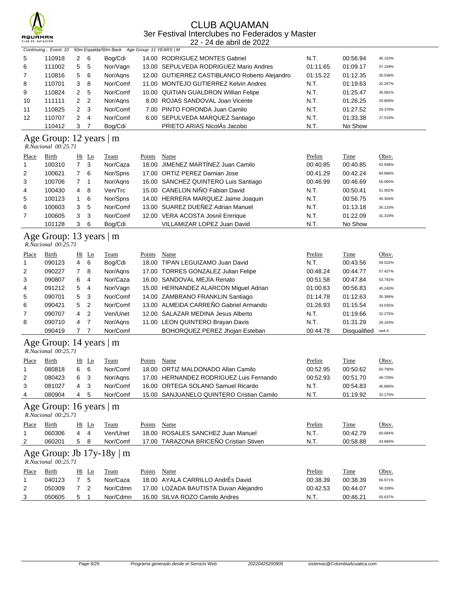

#### CLUB AQUAMAN 3er Festival Interclubes no Federados y Master

22 - 24 de abril de 2022

|                | Continuing Event: 10    |   |                | 50m Espalda/50m Back Age Group: 11 YEARS   M |  |                                               |          |          |         |  |
|----------------|-------------------------|---|----------------|----------------------------------------------|--|-----------------------------------------------|----------|----------|---------|--|
| 5              | 110918                  | 2 | - 6            | Bog/Cdi                                      |  | 14.00 RODRIGUEZ MONTES Gabriel                | N.T.     | 00:56.94 | 45.153% |  |
| 6              | 111002                  | 5 | - 5            | Nor/Vagn                                     |  | 13.00 SEPULVEDA RODRIGUEZ Mario Andres        | 01:11.65 | 01:09.17 | 37.169% |  |
| $\overline{7}$ | 110816                  |   | 5 6            | Nor/Agns                                     |  | 12.00 GUTIERREZ CASTIBLANCO Roberto Alejandro | 01:15.22 | 01:12.35 | 35.536% |  |
| 8              | 110701                  | 3 | -8             | Nor/Comf                                     |  | 11.00 MONTEJO GUTIERREZ Kelvin Andres         | N.T.     | 01:19.63 | 32.287% |  |
| 9              | 110824                  | 2 | -5             | Nor/Comf                                     |  | 10.00 QUITIAN GUALDRON Willian Felipe         | N.T.     | 01:25.47 | 30.081% |  |
| 10             | 111111                  |   | 2 <sub>2</sub> | Nor/Agns                                     |  | 8.00 ROJAS SANDOVAL Joan Vicente              | N.T.     | 01:26.25 | 29.809% |  |
| 11             | 110825                  | 2 | - 3            | Nor/Comf                                     |  | 7.00 PINTO FORONDA Juan Camilo                | N.T.     | 01:27.52 | 29.376% |  |
| 12             | 110707                  | 2 | -4             | Nor/Comf                                     |  | 6.00 SEPULVEDA MARQUEZ Santiago               | N.T.     | 01:33.38 | 27.533% |  |
|                | 110412                  | 3 |                | Bog/Cdi                                      |  | PRIETO ARIAS NicolAs Jacobo                   | N.T.     | No Show  |         |  |
|                | Age Group: 12 years   m |   |                |                                              |  |                                               |          |          |         |  |

#### *R.Nacional 00:25.71*

| Place        | Birth  | Ht Ln          |     | Team     | Points | Name                                 | Prelim   | Time     | Obsv.   |
|--------------|--------|----------------|-----|----------|--------|--------------------------------------|----------|----------|---------|
| $\mathbf{1}$ | 100310 | 7 <sup>3</sup> |     | Nor/Caza |        | 18.00 JIMENEZ MARTÍNEZ Juan Camilo   | 00:40.85 | 00:40.85 | 62.938% |
| 2            | 100621 | 7 6            |     | Nor/Spns |        | 17.00 ORTIZ PEREZ Damian Jose        | 00:41.29 | 00:42.24 | 60.866% |
| 3            | 100706 |                |     | Nor/Agns |        | 16.00 SÁNCHEZ QUINTERO Luis Santiago | 00:46.99 | 00:46.69 | 55.065% |
| 4            | 100430 | 4 8            |     | Ven/Trc  |        | 15.00 CANELON NIÑO Fabian David      | N.T.     | 00:50.41 | 51.002% |
| 5            | 100123 |                | - 6 | Nor/Spns |        | 14.00 HERRERA MARQUEZ Jaime Joaquin  | N.T.     | 00:56.75 | 45.304% |
| 6            | 100603 | 3              | -5  | Nor/Comf |        | 13.00 SUAREZ DUEÑEZ Adrian Manuel    | N.T.     | 01:13.18 | 35.133% |
| 7            | 100605 | 3 <sub>3</sub> |     | Nor/Comf |        | 12.00 VERA ACOSTA Josnil Enrrique    | N.T.     | 01:22.09 | 31.319% |
|              | 101128 | 3              | - 6 | Bog/Cdi  |        | VILLAMIZAR LOPEZ Juan David          | N.T.     | No Show  |         |

#### Age Group: 13 years | m

| R.Nacional 00:25.71 |  |
|---------------------|--|
|---------------------|--|

| Place          | <b>Birth</b> |   | $Ht$ Ln        | <u>Team</u> | Points | Name                                  | Prelim   | <b>Time</b>  | Obsv.   |
|----------------|--------------|---|----------------|-------------|--------|---------------------------------------|----------|--------------|---------|
| $\mathbf{1}$   | 090123       | 4 | - 6            | Bog/Cdi     |        | 18.00 TIPAN LEGUIZAMO Juan David      | N.T.     | 00:43.56     | 59.022% |
| 2              | 090227       |   | - 8            | Nor/Agns    |        | 17.00 TORRES GONZALEZ Julian Felipe   | 00:48.24 | 00:44.77     | 57.427% |
| 3              | 090807       | 6 | 4              | Nor/Caza    |        | 16.00 SANDOVAL MEJÍA Renato           | 00:51.58 | 00:47.84     | 53.742% |
| $\overline{4}$ | 091212       | 5 | -4             | Nor/Vagn    |        | 15.00 HERNANDEZ ALARCON Miguel Adrian | 01:00.63 | 00:56.83     | 45.240% |
| 5              | 090701       | 5 | - 3            | Nor/Comf    |        | 14.00 ZAMBRANO FRANKLIN Santiago      | 01:14.78 | 01:12.63     | 35.399% |
| 6              | 090421       | 5 | $\overline{2}$ | Nor/Comf    |        | 13.00 ALMEIDA CARREÑO Gabriel Armando | 01:26.93 | 01:15.54     | 34.035% |
| $\overline{7}$ | 090707       | 4 | $\overline{2}$ | Ven/Unet    |        | 12.00 SALAZAR MEDINA Jesus Alberto    | N.T.     | 01:19.66     | 32.275% |
| 8              | 090710       | 4 | -7             | Nor/Agns    |        | 11.00 LEON QUINTERO Brayan Davis      | N.T.     | 01:31.29     | 28.163% |
|                | 090419       |   |                | Nor/Comf    |        | BOHORQUEZ PEREZ Jhojan Esteban        | 00:44.78 | Disqualified | sw4.4   |

#### Age Group: 14 years | m

| R.Nacional 00:25.71 |  |
|---------------------|--|

| Place | Birth  | Ht Ln    | l`eam    | Points | Name                                      | Prelim   | <u>Time</u> | <u>Obsv.</u> |
|-------|--------|----------|----------|--------|-------------------------------------------|----------|-------------|--------------|
|       | 080818 | 6<br>- 6 | Nor/Comf |        | 18.00 ORTIZ MALDONADO Allan Camilo        | 00:52.95 | 00:50.62    | 50.790%      |
| 2     | 080423 | 6        | Nor/Aans |        | 17.00 HERNANDEZ RODRIGUEZ Luis Fernando   | 00:52.93 | 00:51.70    | 49.729%      |
|       | 081027 |          | Nor/Comf |        | 16.00 ORTEGA SOLANO Samuel Ricardo        | N.T.     | 00:54.83    | 46.890%      |
| 4     | 080904 | .5       | Nor/Comf |        | 15.00 SANJUANELO QUINTERO Cristian Camilo | N.T.     | 01:19.92    | 32.170%      |

#### Age Group: 16 years | m

|       | R.Nacional 00:25.71            |          |          |        |                                        |        |          |              |  |  |
|-------|--------------------------------|----------|----------|--------|----------------------------------------|--------|----------|--------------|--|--|
| Place | Birth                          | Ht Ln    | Team     | Points | Name                                   | Prelim | Time     | <u>Obsv.</u> |  |  |
|       | 060306                         | 4<br>-4  | Ven/Unet |        | 18.00 ROSALES SANCHEZ Juan Manuel      | N.T.   | 00:42.79 | 60.084%      |  |  |
|       | 060201                         | 5<br>- 8 | Nor/Comf |        | 17.00 TARAZONA BRICEÑO Cristian Stiven | N.T.   | 00:58.88 | 43.665%      |  |  |
|       | Age Group: Jb $17y-18y \mid m$ |          |          |        |                                        |        |          |              |  |  |

#### *R.Nacional 00:25.71*

| Place | Birth  | Ht Ln | Team     | Name<br>Points                        | <b>Prelim</b> | <b>Time</b> | <u>Obsv.</u> |
|-------|--------|-------|----------|---------------------------------------|---------------|-------------|--------------|
|       | 040123 | - 5   | Nor/Caza | 18.00 AYALA CARRILLO AndrÉs David     | 00:38.39      | 00:38.39    | 66.971%      |
|       | 050309 |       | Nor/Cdmn | 17.00 LOZADA BAUTISTA Duvan Alejandro | 00:42.53      | 00:44.07    | 58.339%      |
|       | 050605 | 51    | Nor/Cdmn | 16.00 SILVA ROZO Camilo Andres        | N.T.          | 00:46.21    | 55.637%      |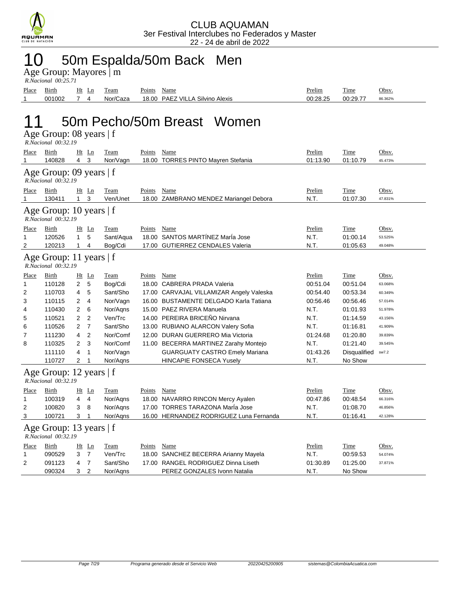

### 10 50m Espalda/50m Back Men

Age Group: Mayores | m

| R.Nacional 00:25.71 |  |
|---------------------|--|
|                     |  |

| Place | $\overline{\phantom{a}}$<br>Birth | Ht | LШ. | eam            | <u>т</u><br>Points | Name                                                     | <u>Prelim</u> | m.<br>1'ıme | Obsv    |
|-------|-----------------------------------|----|-----|----------------|--------------------|----------------------------------------------------------|---------------|-------------|---------|
|       | 001002                            |    |     | 'Caza<br>Nor/l | 18.00              | Silvino<br>VII<br><b>PAE</b><br>Alexis<br>$\overline{a}$ | 00:28.25      | 00:29.7     | 86.362% |

## 11 50m Pecho/50m Breast Women

|  | Age Group: 08 years   f |  |  |  |
|--|-------------------------|--|--|--|
|--|-------------------------|--|--|--|

|       | R.Nacional 00:32.19                              |                |                |             |        |                                          |          |              |         |
|-------|--------------------------------------------------|----------------|----------------|-------------|--------|------------------------------------------|----------|--------------|---------|
| Place | Birth                                            |                | $Ht$ Ln        | Team        | Points | <b>Name</b>                              | Prelim   | <b>Time</b>  | Obsv.   |
| 1     | 140828                                           | $\overline{4}$ | 3              | Nor/Vagn    |        | 18.00 TORRES PINTO Mayren Stefania       | 01:13.90 | 01:10.79     | 45.473% |
|       | Age Group: 09 years   f<br>R.Nacional 00:32.19   |                |                |             |        |                                          |          |              |         |
| Place | Birth                                            |                | $Ht$ Ln        | <b>Team</b> | Points | <b>Name</b>                              | Prelim   | Time         | Obsv.   |
| 1     | 130411                                           | $\mathbf{1}$   | 3              | Ven/Unet    |        | 18.00 ZAMBRANO MENDEZ Mariangel Debora   | N.T.     | 01:07.30     | 47.831% |
|       | Age Group: 10 years   f<br>R.Nacional 00:32.19   |                |                |             |        |                                          |          |              |         |
| Place | Birth                                            |                | $Ht$ Ln        | Team        | Points | Name                                     | Prelim   | Time         | Obsv.   |
| 1     | 120526                                           | $\mathbf{1}$   | 5              | Sant/Aqua   |        | 18.00 SANTOS MARTÍNEZ MarÍa Jose         | N.T.     | 01:00.14     | 53.525% |
| 2     | 120213                                           | $\mathbf{1}$   | 4              | Bog/Cdi     |        | 17.00 GUTIERREZ CENDALES Valeria         | N.T.     | 01:05.63     | 49.048% |
|       | Age Group: 11 years   f<br>R.Nacional 00:32.19   |                |                |             |        |                                          |          |              |         |
| Place | Birth                                            |                | $Ht$ Ln        | Team        | Points | Name                                     | Prelim   | Time         | Obsv.   |
| 1     | 110128                                           | 2              | 5              | Bog/Cdi     |        | 18.00 CABRERA PRADA Valeria              | 00:51.04 | 00:51.04     | 63.068% |
| 2     | 110703                                           | 4              | 5              | Sant/Sho    |        | 17.00 CARVAJAL VILLAMIZAR Angely Valeska | 00:54.40 | 00.53.34     | 60.349% |
| 3     | 110115                                           | 2              | $\overline{4}$ | Nor/Vagn    |        | 16.00 BUSTAMENTE DELGADO Karla Tatiana   | 00:56.46 | 00:56.46     | 57.014% |
| 4     | 110430                                           | 2              | 6              | Nor/Agns    |        | 15.00 PAEZ RIVERA Manuela                | N.T.     | 01:01.93     | 51.978% |
| 5     | 110521                                           | 2              | 2              | Ven/Trc     |        | 14.00 PEREIRA BRICEÑO Nirvana            | N.T.     | 01:14.59     | 43.156% |
| 6     | 110526                                           | $\overline{2}$ | $\overline{7}$ | Sant/Sho    |        | 13.00 RUBIANO ALARCON Valery Sofia       | N.T.     | 01:16.81     | 41.909% |
| 7     | 111230                                           | 4              | $\overline{2}$ | Nor/Comf    |        | 12.00 DURAN GUERRERO Mia Victoria        | 01:24.68 | 01:20.80     | 39.839% |
| 8     | 110325                                           | 2              | 3              | Nor/Comf    |        | 11.00 BECERRA MARTINEZ Zarahy Montejo    | N.T.     | 01:21.40     | 39.545% |
|       | 111110                                           | 4              | 1              | Nor/Vagn    |        | <b>GUARGUATY CASTRO Emely Mariana</b>    | 01:43.26 | Disqualified | sw7.2   |
|       | 110727                                           | 2              | $\mathbf 1$    | Nor/Agns    |        | <b>HINCAPIE FONSECA Yusely</b>           | N.T.     | No Show      |         |
|       | Age Group: 12 years   f<br>R.Nacional 00:32.19   |                |                |             |        |                                          |          |              |         |
| Place | Birth                                            | Ht             | Ln             | Team        | Points | <b>Name</b>                              | Prelim   | Time         | Obsv.   |
| 1     | 100319                                           | 4              | $\overline{4}$ | Nor/Agns    |        | 18.00 NAVARRO RINCON Mercy Ayalen        | 00:47.86 | 00:48.54     | 66.316% |
| 2     | 100820                                           | 3              | 8              | Nor/Aqns    |        | 17.00 TORRES TARAZONA María Jose         | N.T.     | 01:08.70     | 46.856% |
| 3     | 100721                                           | 3              | $\overline{1}$ | Nor/Agns    |        | 16.00 HERNANDEZ RODRIGUEZ Luna Fernanda  | N.T.     | 01:16.41     | 42.128% |
|       | Age Group: 13 years $ f $<br>R.Nacional 00:32.19 |                |                |             |        |                                          |          |              |         |
| Place | Birth                                            |                | $Ht$ Ln        | Team        | Points | Name                                     | Prelim   | Time         | Obsv.   |
| 1     | 090529                                           | 3              | $\overline{7}$ | Ven/Trc     | 18.00  | SANCHEZ BECERRA Arianny Mayela           | N.T.     | 00:59.53     | 54.074% |
| 2     | 091123                                           | 4              | $\overline{7}$ | Sant/Sho    |        | 17.00 RANGEL RODRIGUEZ Dinna Liseth      | 01:30.89 | 01:25.00     | 37.871% |
|       | 090324                                           | 3              | $\overline{2}$ | Nor/Agns    |        | PEREZ GONZALES Ivonn Natalia             | N.T.     | No Show      |         |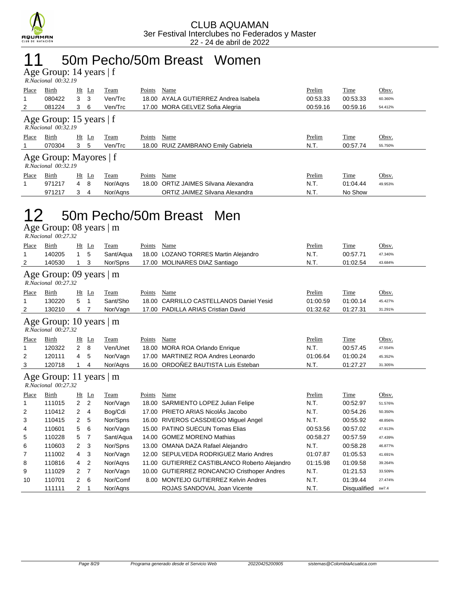

### 11 50m Pecho/50m Breast Women

Age Group: 14 years | f

|                                                    | $R. Nacional$ 00:32.19 |                |          |        |                                      |          |          |         |  |  |  |
|----------------------------------------------------|------------------------|----------------|----------|--------|--------------------------------------|----------|----------|---------|--|--|--|
| <b>Place</b>                                       | Birth                  | $Ht$ Ln        | Team     | Points | Name                                 | Prelim   | Time     | Obsv.   |  |  |  |
| 1                                                  | 080422                 | 3<br>- 3       | Ven/Trc  |        | 18.00 AYALA GUTIERREZ Andrea Isabela | 00:53.33 | 00:53.33 | 60.360% |  |  |  |
| 2                                                  | 081224                 | 3<br>-6        | Ven/Trc  |        | 17.00 MORA GELVEZ Sofia Alegria      | 00:59.16 | 00:59.16 | 54.412% |  |  |  |
| Age Group: 15 years $ f $<br>R.Nacional 00:32.19   |                        |                |          |        |                                      |          |          |         |  |  |  |
| Place                                              | Birth                  | $Ht$ Ln        | Team     | Points | Name                                 | Prelim   | Time     | Obsv.   |  |  |  |
|                                                    | 070304                 | 3 <sub>5</sub> | Ven/Trc  |        | 18.00 RUIZ ZAMBRANO Emily Gabriela   | N.T.     | 00:57.74 | 55.750% |  |  |  |
| Age Group: Mayores   f<br>$R. Nacional$ $00:32.19$ |                        |                |          |        |                                      |          |          |         |  |  |  |
| Place                                              | Birth                  | $Ht$ Ln        | Team     | Points | Name                                 | Prelim   | Time     | Obsv.   |  |  |  |
| 1                                                  | 971217                 | 8<br>4         | Nor/Agns |        | 18.00 ORTIZ JAIMES Silvana Alexandra | N.T.     | 01:04.44 | 49.953% |  |  |  |
|                                                    | 971217                 | 3<br>4         | Nor/Aans |        | ORTIZ JAIMEZ Silvana Alexandra       | N.T.     | No Show  |         |  |  |  |

#### 12 50m Pecho/50m Breast Men

Age Group: 08 years | m

 *R.Nacional 00:27.32* 

| Place        | Birth                                                | Ht             | Ln             | Team      | Points | Name                                          | Prelim   | Time        | Obsv.   |
|--------------|------------------------------------------------------|----------------|----------------|-----------|--------|-----------------------------------------------|----------|-------------|---------|
| 1            | 140205                                               | 1              | 5              | Sant/Aqua | 18.00  | <b>LOZANO TORRES Martin Alejandro</b>         | N.T.     | 00:57.71    | 47.340% |
| 2            | 140530                                               | 1              | 3              | Nor/Spns  | 17.00  | <b>MOLINARES DIAZ Santiago</b>                | N.T.     | 01:02.54    | 43.684% |
|              | Age Group: 09 years   m                              |                |                |           |        |                                               |          |             |         |
|              | R.Nacional 00:27.32                                  |                |                |           |        |                                               |          |             |         |
| <b>Place</b> | <b>Birth</b>                                         | Ht             | Ln             | Team      | Points | Name                                          | Prelim   | <b>Time</b> | Obsv.   |
| 1            | 130220                                               | 5              | 1              | Sant/Sho  | 18.00  | <b>CARRILLO CASTELLANOS Daniel Yesid</b>      | 01:00.59 | 01:00.14    | 45.427% |
| 2            | 130210                                               | 4              | 7              | Nor/Vagn  | 17.00  | PADILLA ARIAS Cristian David                  | 01:32.62 | 01:27.31    | 31.291% |
|              | Age Group: 10 years $ m$<br>$R. Nacional$ $00:27.32$ |                |                |           |        |                                               |          |             |         |
| Place        | Birth                                                | Ht             | $\mathbf{L}$ n | Team      | Points | Name                                          | Prelim   | Time        | Obsv.   |
| 1            | 120322                                               | $\overline{2}$ | 8              | Ven/Unet  | 18.00  | <b>MORA ROA Orlando Enrique</b>               | N.T.     | 00:57.45    | 47.554% |
| 2            | 120111                                               | $\overline{4}$ | 5              | Nor/Vagn  | 17.00  | <b>MARTINEZ ROA Andres Leonardo</b>           | 01:06.64 | 01:00.24    | 45.352% |
| 3            | 120718                                               | 1              | 4              | Nor/Agns  | 16.00  | ORDOÑEZ BAUTISTA Luis Esteban                 | N.T.     | 01:27.27    | 31.305% |
|              | Age Group: 11 years   m<br>R.Nacional 00:27.32       |                |                |           |        |                                               |          |             |         |
| <b>Place</b> | Birth                                                | Ht             | Ln             | Team      | Points | Name                                          | Prelim   | Time        | Obsv.   |
| 1            | 111015                                               | $\overline{2}$ | 2              | Nor/Vagn  | 18.00  | SARMIENTO LOPEZ Julian Felipe                 | N.T.     | 00:52.97    | 51.576% |
| 2            | 110412                                               | $\overline{2}$ | 4              | Bog/Cdi   | 17.00  | PRIETO ARIAS NicolÁs Jacobo                   | N.T.     | 00:54.26    | 50.350% |
| 3            | 110415                                               | $\overline{2}$ | 5              | Nor/Spns  |        | 16.00 RIVEROS CASSDIEGO Miguel Angel          | N.T.     | 00:55.92    | 48.856% |
| 4            | 110601                                               | 5              | 6              | Nor/Vagn  | 15.00  | <b>PATINO SUECUN Tomas Elias</b>              | 00:53.56 | 00:57.02    | 47.913% |
| 5            | 110228                                               | 5              | 7              | Sant/Aqua | 14.00  | <b>GOMEZ MORENO Mathias</b>                   | 00:58.27 | 00:57.59    | 47.439% |
| 6            | 110603                                               | $\overline{2}$ | 3              | Nor/Spns  | 13.00  | OMANA DAZA Rafael Alejandro                   | N.T.     | 00:58.28    | 46.877% |
| 7            | 111002                                               | $\overline{4}$ | 3              | Nor/Vagn  |        | 12.00 SEPULVEDA RODRIGUEZ Mario Andres        | 01:07.87 | 01:05.53    | 41.691% |
| 8            | 110816                                               | 4              | $\overline{2}$ | Nor/Agns  |        | 11.00 GUTIERREZ CASTIBLANCO Roberto Alejandro | 01:15.98 | 01:09.58    | 39.264% |
| 9            | 111029                                               | 2              | 7              | Nor/Vagn  |        | 10.00 GUTIERREZ RONCANCIO Cristhoper Andres   | N.T.     | 01:21.53    | 33.509% |

10 110701 2 6 Nor/Comf 8.00 MONTEJO GUTIERREZ Kelvin Andres N.T. 01:39.44 27.474% 111111 2 1 Nor/Aqns ROJAS SANDOVAL Joan Vicente N.T. Disqualified sw7.4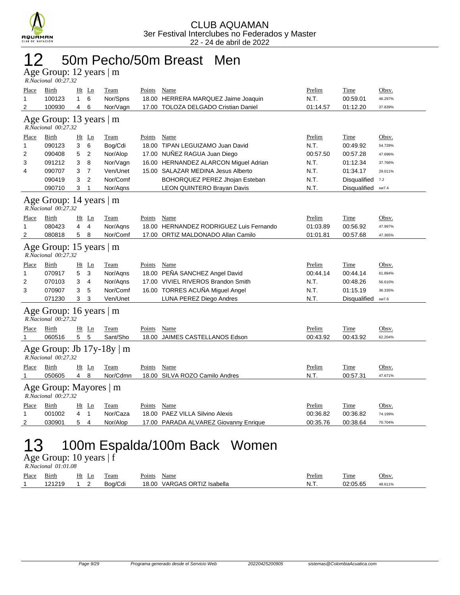

#### 12 50m Pecho/50m Breast Men

Age Group: 12 years | m

| R.Nacional 00:27.32 |  |
|---------------------|--|

| Place        | <b>Birth</b>                                         |                | Ht Ln          | <b>Team</b>                    | Points | <b>Name</b>                             | Prelim   | Time         | Obsv.   |  |  |
|--------------|------------------------------------------------------|----------------|----------------|--------------------------------|--------|-----------------------------------------|----------|--------------|---------|--|--|
| 1            | 100123                                               | 1              | 6              | Nor/Spns                       |        | 18.00 HERRERA MARQUEZ Jaime Joaquin     | N.T.     | 00:59.01     | 46.297% |  |  |
| 2            | 100930                                               | 4              | 6              | Nor/Vagn                       |        | 17.00 TOLOZA DELGADO Cristian Daniel    | 01:14.57 | 01:12.20     | 37.839% |  |  |
|              | Age Group: 13 years   m<br>R.Nacional 00:27.32       |                |                |                                |        |                                         |          |              |         |  |  |
| Place        | Birth                                                |                | $Ht$ Ln        | Team                           | Points | Name                                    | Prelim   | Time         | Obsv.   |  |  |
| 1            | 090123                                               | 3              | 6              | Bog/Cdi                        |        | 18.00 TIPAN LEGUIZAMO Juan David        | N.T.     | 00:49.92     | 54.728% |  |  |
| 2            | 090408                                               | 5              | 2              | Nor/Alop                       |        | 17.00 NUÑEZ RAGUA Juan Diego            | 00:57.50 | 00:57.28     | 47.696% |  |  |
| 3            | 091212                                               | 3              | 8              | Nor/Vagn                       |        | 16.00 HERNANDEZ ALARCON Miguel Adrian   | N.T.     | 01:12.34     | 37.766% |  |  |
| 4            | 090707                                               | 3              | $\overline{7}$ | Ven/Unet                       |        | 15.00 SALAZAR MEDINA Jesus Alberto      | N.T.     | 01:34.17     | 29.011% |  |  |
|              | 090419                                               | 3              | $\overline{2}$ | Nor/Comf                       |        | BOHORQUEZ PEREZ Jhojan Esteban          | N.T.     | Disqualified | 7.2     |  |  |
|              | 090710                                               | 3              | 1              | Nor/Aqns                       |        | LEON QUINTERO Brayan Davis              | N.T.     | Disqualified | sw7.4   |  |  |
|              | Age Group: 14 years   m<br>R.Nacional 00:27.32       |                |                |                                |        |                                         |          |              |         |  |  |
| Place        | Birth                                                |                | $Ht$ Ln        | Team                           | Points | Name                                    | Prelim   | Time         | Obsv.   |  |  |
| 1            | 080423                                               | 4              | 4              | Nor/Agns                       |        | 18.00 HERNANDEZ RODRIGUEZ Luis Fernando | 01:03.89 | 00:56.92     | 47.997% |  |  |
| 2            | 080818                                               | 5              | 8              | Nor/Comf                       |        | 17.00 ORTIZ MALDONADO Allan Camilo      | 01:01.81 | 00:57.68     | 47.365% |  |  |
|              | Age Group: 15 years   m<br>R.Nacional 00:27.32       |                |                |                                |        |                                         |          |              |         |  |  |
| Place        | Birth                                                |                | $Ht$ Ln        | Team                           | Points | Name                                    | Prelim   | Time         | Obsv.   |  |  |
| 1            | 070917                                               | 5              | 3              | Nor/Aqns                       |        | 18.00 PEÑA SANCHEZ Angel David          | 00:44.14 | 00:44.14     | 61.894% |  |  |
| 2            | 070103                                               | 3              | 4              | Nor/Agns                       |        | 17.00 VIVIEL RIVEROS Brandon Smith      | N.T.     | 00:48.26     | 56.610% |  |  |
| 3            | 070907                                               | 3              | 5              | Nor/Comf                       |        | 16.00 TORRES ACUÑA Miguel Angel         | N.T.     | 01:15.19     | 36.335% |  |  |
|              | 071230                                               | 3              | 3              | Ven/Unet                       |        | LUNA PEREZ Diego Andres                 | N.T.     | Disqualified | sw7.6   |  |  |
|              | Age Group: 16 years $\vert$ m<br>R.Nacional 00:27.32 |                |                |                                |        |                                         |          |              |         |  |  |
| Place        | Birth                                                |                | $Ht$ Ln        | Team                           | Points | Name                                    | Prelim   | Time         | Obsv.   |  |  |
| $\mathbf{1}$ | 060516                                               | 5              | 5              | Sant/Sho                       |        | 18.00 JAIMES CASTELLANOS Edson          | 00:43.92 | 00:43.92     | 62.204% |  |  |
|              | R.Nacional 00:27.32                                  |                |                | Age Group: Jb $17y-18y \mid m$ |        |                                         |          |              |         |  |  |
| Place        | Birth                                                |                | $Ht$ Ln        | Team                           | Points | Name                                    | Prelim   | Time         | Obsv.   |  |  |
| $\mathbf{1}$ | 050605                                               | $\overline{4}$ | 8              | Nor/Cdmn                       |        | 18.00 SILVA ROZO Camilo Andres          | N.T.     | 00:57.31     | 47.671% |  |  |
|              | Age Group: Mayores   m<br>$R.Nacional$ $00:27.32$    |                |                |                                |        |                                         |          |              |         |  |  |
| Place        | Birth                                                |                | $Ht$ Ln        | Team                           | Points | Name                                    | Prelim   | Time         | Obsv.   |  |  |
| 1            | 001002                                               | 4              | $\mathbf{1}$   | Nor/Caza                       | 18.00  | PAEZ VILLA Silvino Alexis               | 00:36.82 | 00:36.82     | 74.199% |  |  |
| 2            | 030901                                               | 5              | 4              | Nor/Alop                       |        | 17.00 PARADA ALVAREZ Giovanny Enrique   | 00:35.76 | 00:38.64     | 70.704% |  |  |
|              | $00m$ Espaldo $(10m$ Book<br>$M_{\rm \alpha}$        |                |                |                                |        |                                         |          |              |         |  |  |

## 13 100m Espalda/100m Back Women

Age Group: 10 years | f  *R.Nacional 01:01.08* 

| Place | $\sim$<br>Birth | Ht<br>Ln<br>$\sim$ $\sim$ $\sim$ $\sim$ | eam     | $\sim$<br>Name<br>Points       | Prelim | m.<br>1'ime | Obsv. |
|-------|-----------------|-----------------------------------------|---------|--------------------------------|--------|-------------|-------|
|       |                 | -                                       | Boa/Cdi | VARGAS ORTIZ Isabella<br>18.00 | N<br>. | 02:05.65    |       |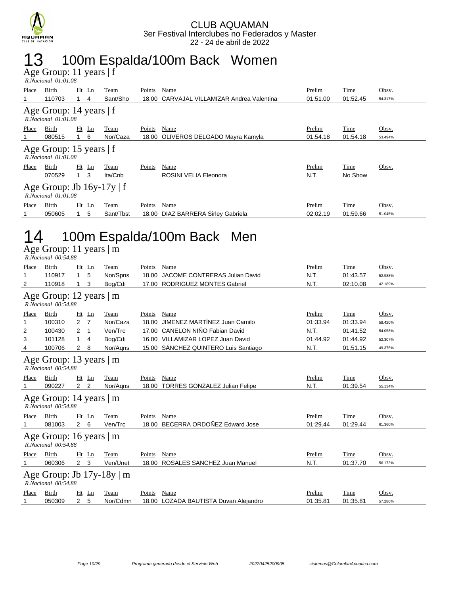

### 13 100m Espalda/100m Back Women

Age Group: 11 years | f

| $R. Nacional$ $01:01.08$                                   |        |    |         |           |        |                                      |          |          |         |  |  |  |
|------------------------------------------------------------|--------|----|---------|-----------|--------|--------------------------------------|----------|----------|---------|--|--|--|
| Place                                                      | Birth  | Ht | Ln      | Team      | Points | Name                                 | Prelim   | Time     | Obsv.   |  |  |  |
|                                                            | 110703 |    | 4       | Sant/Sho  | 18.00  | CARVAJAL VILLAMIZAR Andrea Valentina | 01:51.00 | 01:52.45 | 54.317% |  |  |  |
| Age Group: 14 years   f<br>$R. Nacional$ $01:01.08$        |        |    |         |           |        |                                      |          |          |         |  |  |  |
| Place                                                      | Birth  |    | $Ht$ Ln | Team      | Points | Name                                 | Prelim   | Time     | Obsv.   |  |  |  |
|                                                            | 080515 |    | - 6     | Nor/Caza  |        | 18.00 OLIVEROS DELGADO Mayra Kamyla  | 01:54.18 | 01:54.18 | 53.494% |  |  |  |
| Age Group: 15 years   f<br>$R. Nacional$ $01:01.08$        |        |    |         |           |        |                                      |          |          |         |  |  |  |
| Place                                                      | Birth  |    | $Ht$ Ln | Team      | Points | Name                                 | Prelim   | Time     | Obsv.   |  |  |  |
|                                                            | 070529 |    | -3      | Ita/Cnb   |        | ROSINI VELIA Eleonora                | N.T.     | No Show  |         |  |  |  |
| Age Group: Jb $16y-17y \mid f$<br>$R. Nacional$ $01:01.08$ |        |    |         |           |        |                                      |          |          |         |  |  |  |
| Place                                                      | Birth  |    | $Ht$ Ln | Team      | Points | Name                                 | Prelim   | Time     | Obsv.   |  |  |  |
|                                                            | 050605 |    | 5       | Sant/Tbst |        | 18.00 DIAZ BARRERA Sirley Gabriela   | 02:02.19 | 01:59.66 | 51.045% |  |  |  |

## 14 100m Espalda/100m Back Men

Age Group: 11 years | m

| Prelim<br>Time<br>Place<br>Birth<br>Ht<br>Team<br>Points<br>Name<br>Ln<br>N.T.<br>5<br>Nor/Spns<br>JACOME CONTRERAS Julian David<br>110917<br>$\mathbf 1$<br>18.00<br>01:43.57<br>1<br><b>RODRIGUEZ MONTES Gabriel</b><br>N.T.<br>Bog/Cdi<br>2<br>110918<br>02:10.08<br>1<br>3<br>17.00<br>Age Group: 12 years $ m$<br>R.Nacional 00:54.88<br>Place<br>Birth<br>Ht<br>Ln<br>Name<br>Prelim<br>Time<br>Team<br>Points<br>JIMENEZ MARTÍNEZ Juan Camilo<br>Nor/Caza<br>100310<br>$2 \overline{7}$<br>18.00<br>01:33.94<br>01:33.94<br>1<br>CANELON NIÑO Fabian David<br>Ven/Trc<br>N.T.<br>2<br>100430<br>17.00<br>01:41.52<br>2<br>- 1<br>16.00 VILLAMIZAR LOPEZ Juan David<br>3<br>101128<br>Bog/Cdi<br>$\mathbf 1$<br>01:44.92<br>01:44.92<br>4<br>SÁNCHEZ QUINTERO Luis Santiago<br>100706<br>Nor/Agns<br>15.00<br>N.T.<br>4<br>$\mathbf{2}$<br>8<br>01:51.15 | Obsv.<br>52.988%<br>42.189%<br>Obsv.<br>58.420%<br>54.058%<br>52.307%<br>49.375% |  |  |  |  |  |  |  |  |  |  |
|----------------------------------------------------------------------------------------------------------------------------------------------------------------------------------------------------------------------------------------------------------------------------------------------------------------------------------------------------------------------------------------------------------------------------------------------------------------------------------------------------------------------------------------------------------------------------------------------------------------------------------------------------------------------------------------------------------------------------------------------------------------------------------------------------------------------------------------------------------------|----------------------------------------------------------------------------------|--|--|--|--|--|--|--|--|--|--|
|                                                                                                                                                                                                                                                                                                                                                                                                                                                                                                                                                                                                                                                                                                                                                                                                                                                                |                                                                                  |  |  |  |  |  |  |  |  |  |  |
|                                                                                                                                                                                                                                                                                                                                                                                                                                                                                                                                                                                                                                                                                                                                                                                                                                                                |                                                                                  |  |  |  |  |  |  |  |  |  |  |
|                                                                                                                                                                                                                                                                                                                                                                                                                                                                                                                                                                                                                                                                                                                                                                                                                                                                |                                                                                  |  |  |  |  |  |  |  |  |  |  |
|                                                                                                                                                                                                                                                                                                                                                                                                                                                                                                                                                                                                                                                                                                                                                                                                                                                                |                                                                                  |  |  |  |  |  |  |  |  |  |  |
|                                                                                                                                                                                                                                                                                                                                                                                                                                                                                                                                                                                                                                                                                                                                                                                                                                                                |                                                                                  |  |  |  |  |  |  |  |  |  |  |
|                                                                                                                                                                                                                                                                                                                                                                                                                                                                                                                                                                                                                                                                                                                                                                                                                                                                |                                                                                  |  |  |  |  |  |  |  |  |  |  |
|                                                                                                                                                                                                                                                                                                                                                                                                                                                                                                                                                                                                                                                                                                                                                                                                                                                                |                                                                                  |  |  |  |  |  |  |  |  |  |  |
|                                                                                                                                                                                                                                                                                                                                                                                                                                                                                                                                                                                                                                                                                                                                                                                                                                                                |                                                                                  |  |  |  |  |  |  |  |  |  |  |
|                                                                                                                                                                                                                                                                                                                                                                                                                                                                                                                                                                                                                                                                                                                                                                                                                                                                |                                                                                  |  |  |  |  |  |  |  |  |  |  |
| Age Group: 13 years $\vert$ m<br>R.Nacional 00:54.88                                                                                                                                                                                                                                                                                                                                                                                                                                                                                                                                                                                                                                                                                                                                                                                                           |                                                                                  |  |  |  |  |  |  |  |  |  |  |
| Birth<br>Ht<br>Ln<br>Team<br>Name<br>Prelim<br>Time<br>Place<br>Points                                                                                                                                                                                                                                                                                                                                                                                                                                                                                                                                                                                                                                                                                                                                                                                         | Obsv.                                                                            |  |  |  |  |  |  |  |  |  |  |
| N.T.<br>$\overline{2}$<br>$\overline{2}$<br>18.00 TORRES GONZALEZ Julian Felipe<br>090227<br>Nor/Agns<br>01:39.54<br>1                                                                                                                                                                                                                                                                                                                                                                                                                                                                                                                                                                                                                                                                                                                                         | 55.134%                                                                          |  |  |  |  |  |  |  |  |  |  |
| Age Group: 14 years $\vert$ m<br>$R. Nacional$ $00:54.88$                                                                                                                                                                                                                                                                                                                                                                                                                                                                                                                                                                                                                                                                                                                                                                                                      |                                                                                  |  |  |  |  |  |  |  |  |  |  |
| Prelim<br>Ht<br>Ln<br>Name<br>Time<br>Place<br>Birth<br>Team<br>Points                                                                                                                                                                                                                                                                                                                                                                                                                                                                                                                                                                                                                                                                                                                                                                                         | Obsv.                                                                            |  |  |  |  |  |  |  |  |  |  |
| BECERRA ORDOÑEZ Edward Jose<br>$\overline{2}$<br>6<br>Ven/Trc<br>18.00<br>01:29.44<br>01:29.44<br>081003<br>1                                                                                                                                                                                                                                                                                                                                                                                                                                                                                                                                                                                                                                                                                                                                                  | 61.360%                                                                          |  |  |  |  |  |  |  |  |  |  |
| Age Group: 16 years $\vert$ m<br>R.Nacional 00:54.88                                                                                                                                                                                                                                                                                                                                                                                                                                                                                                                                                                                                                                                                                                                                                                                                           |                                                                                  |  |  |  |  |  |  |  |  |  |  |
| Ht Ln<br>Team<br>Name<br>Prelim<br>Time<br>Place<br>Birth<br>Points                                                                                                                                                                                                                                                                                                                                                                                                                                                                                                                                                                                                                                                                                                                                                                                            | Obsv.                                                                            |  |  |  |  |  |  |  |  |  |  |
| N.T.<br>$\overline{2}$<br>3<br>060306<br>Ven/Unet<br>18.00<br><b>ROSALES SANCHEZ Juan Manuel</b><br>01:37.70<br>1                                                                                                                                                                                                                                                                                                                                                                                                                                                                                                                                                                                                                                                                                                                                              | 56.172%                                                                          |  |  |  |  |  |  |  |  |  |  |
| Age Group: Jb $17y-18y \mid m$<br>R.Nacional 00:54.88                                                                                                                                                                                                                                                                                                                                                                                                                                                                                                                                                                                                                                                                                                                                                                                                          |                                                                                  |  |  |  |  |  |  |  |  |  |  |
| Name<br>Prelim<br>Time<br>Place<br>Birth<br>Ht<br>Ln<br>Team<br>Points                                                                                                                                                                                                                                                                                                                                                                                                                                                                                                                                                                                                                                                                                                                                                                                         | Obsv.                                                                            |  |  |  |  |  |  |  |  |  |  |
| 2 <sub>5</sub><br>Nor/Cdmn<br>050309<br>18.00 LOZADA BAUTISTA Duvan Alejandro<br>01:35.81<br>01:35.81<br>1                                                                                                                                                                                                                                                                                                                                                                                                                                                                                                                                                                                                                                                                                                                                                     | 57.280%                                                                          |  |  |  |  |  |  |  |  |  |  |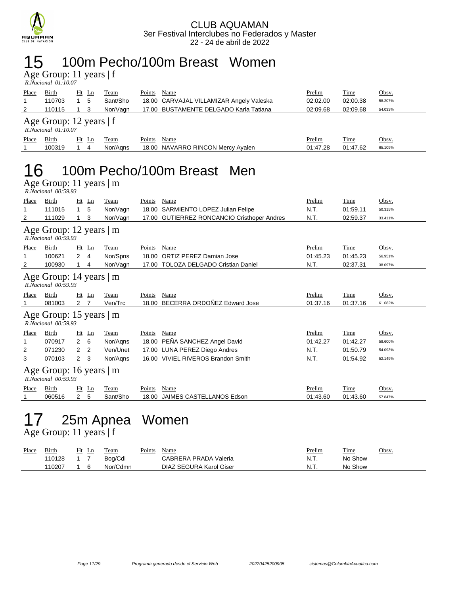

#### 15 100m Pecho/100m Breast Women

Age Group: 11 years | f  *R.Nacional 01:10.07* 

| Place                                                 | Birth  | Ht Ln           | Team     | Points | Name                                     | Prelim   | Time     | Obsv.   |  |  |  |  |
|-------------------------------------------------------|--------|-----------------|----------|--------|------------------------------------------|----------|----------|---------|--|--|--|--|
|                                                       | 110703 | 5               | Sant/Sho |        | 18.00 CARVAJAL VILLAMIZAR Angely Valeska | 02:02.00 | 02:00.38 | 58.207% |  |  |  |  |
|                                                       | 110115 |                 | Nor/Vagn |        | 17.00 BUSTAMENTE DELGADO Karla Tatiana   | 02:09.68 | 02:09.68 | 54.033% |  |  |  |  |
| Age Group: 12 years $ f $<br>$R. Nacional$ $01:10.07$ |        |                 |          |        |                                          |          |          |         |  |  |  |  |
| Place                                                 | Birth  | <u>Ht</u><br>Ln | l`eam    | Points | Name                                     | Prelim   | Time     | Obsv.   |  |  |  |  |

1 100319 1 4 Nor/Aqns 18.00 NAVARRO RINCON Mercy Ayalen 01:47.28 01:47.62 65.109%

### 16 100m Pecho/100m Breast Men

Age Group: 11 years | m

| R.Nacional 00:59.93                                   |                                                      |                |    |          |        |                                              |          |          |         |  |  |  |
|-------------------------------------------------------|------------------------------------------------------|----------------|----|----------|--------|----------------------------------------------|----------|----------|---------|--|--|--|
| Place                                                 | Birth                                                | Ht             | Ln | Team     | Points | Name                                         | Prelim   | Time     | Obsv.   |  |  |  |
| 1                                                     | 111015                                               | $\mathbf{1}$   | 5  | Nor/Vagn |        | 18.00 SARMIENTO LOPEZ Julian Felipe          | N.T.     | 01:59.11 | 50.315% |  |  |  |
| 2                                                     | 111029                                               |                | 3  | Nor/Vagn | 17.00  | <b>GUTIERREZ RONCANCIO Cristhoper Andres</b> | N.T.     | 02:59.37 | 33.411% |  |  |  |
| Age Group: 12 years $ m $<br>$R. Nacional$ $00:59.93$ |                                                      |                |    |          |        |                                              |          |          |         |  |  |  |
| Place                                                 | Birth                                                | Ht             | Ln | Team     | Points | Name                                         | Prelim   | Time     | Obsv.   |  |  |  |
|                                                       | 100621                                               | $\overline{2}$ | 4  | Nor/Spns | 18.00  | <b>ORTIZ PEREZ Damian Jose</b>               | 01:45.23 | 01:45.23 | 56.951% |  |  |  |
| 2                                                     | 100930                                               | 1.             | 4  | Nor/Vagn | 17.00  | <b>TOLOZA DELGADO Cristian Daniel</b>        | N.T.     | 02:37.31 | 38.097% |  |  |  |
| Age Group: 14 years   m<br>R.Nacional 00:59.93        |                                                      |                |    |          |        |                                              |          |          |         |  |  |  |
| Place                                                 | Birth                                                | Ht Ln          |    | Team     | Points | Name                                         | Prelim   | Time     | Obsv.   |  |  |  |
|                                                       | 081003                                               | 2              | 7  | Ven/Trc  | 18.00  | BECERRA ORDOÑEZ Edward Jose                  | 01:37.16 | 01:37.16 | 61.682% |  |  |  |
|                                                       | Age Group: 15 years $\vert$ m<br>R.Nacional 00:59.93 |                |    |          |        |                                              |          |          |         |  |  |  |
| Place                                                 | Birth                                                | $Ht$ Ln        |    | Team     | Points | Name                                         | Prelim   | Time     | Obsv.   |  |  |  |
| 1                                                     | 070917                                               | 2              | 6  | Nor/Agns | 18.00  | PEÑA SANCHEZ Angel David                     | 01:42.27 | 01:42.27 | 58.600% |  |  |  |
| 2                                                     | 071230                                               | $\overline{2}$ | 2  | Ven/Unet | 17.00  | LUNA PEREZ Diego Andres                      | N.T.     | 01:50.79 | 54.093% |  |  |  |
| 3                                                     | 070103                                               | $\overline{2}$ | 3  | Nor/Agns |        | 16.00 VIVIEL RIVEROS Brandon Smith           | N.T.     | 01:54.92 | 52.149% |  |  |  |
| Age Group: 16 years   m<br>R.Nacional 00:59.93        |                                                      |                |    |          |        |                                              |          |          |         |  |  |  |
| Place                                                 | Birth                                                | Ht             | Ln | Team     | Points | Name                                         | Prelim   | Time     | Obsv.   |  |  |  |
|                                                       | 060516                                               | 2              | 5  | Sant/Sho | 18.00  | <b>JAIMES CASTELLANOS Edson</b>              | 01:43.60 | 01:43.60 | 57.847% |  |  |  |
|                                                       |                                                      |                |    |          |        |                                              |          |          |         |  |  |  |

# 17 25m Apnea Women

Age Group: 11 years | f

| Place | Birth  | Ht<br>Ln | Team     | Points | Name                    | Prelim | Time    | Obsv. |
|-------|--------|----------|----------|--------|-------------------------|--------|---------|-------|
|       | 10128  |          | Boa/Cdi  |        | CABRERA PRADA Valeria   | N.T.   | No Show |       |
|       | 110207 |          | Nor/Cdmn |        | DIAZ SEGURA Karol Giser | N.T.   | No Show |       |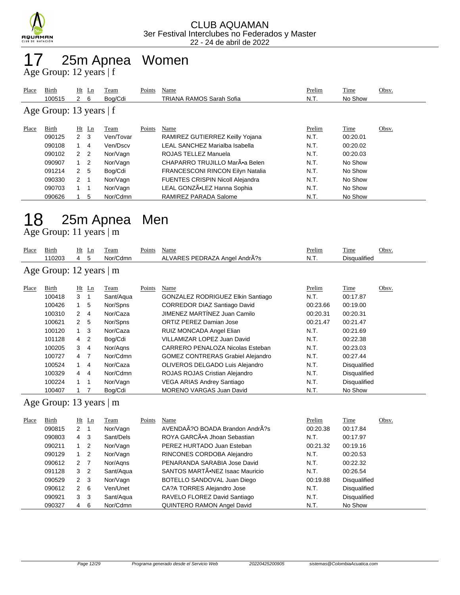

## 25m Apnea Women

Age Group: 12 years | f

| Place                     | Birth  |                | $Ht$ Ln        | Team      | Points | Name                                    | Prelim | Time     | Obsv. |  |  |
|---------------------------|--------|----------------|----------------|-----------|--------|-----------------------------------------|--------|----------|-------|--|--|
|                           | 100515 | $2 \quad 6$    |                | Bog/Cdi   |        | TRIANA RAMOS Sarah Sofia                | N.T.   | No Show  |       |  |  |
| Age Group: 13 years $ f $ |        |                |                |           |        |                                         |        |          |       |  |  |
| Place                     | Birth  |                | $Ht$ Ln        | Team      | Points | Name                                    | Prelim | Time     | Obsv. |  |  |
|                           | 090125 | $2 \quad 3$    |                | Ven/Tovar |        | RAMIREZ GUTIERREZ Keilly Yojana         | N.T.   | 00:20.01 |       |  |  |
|                           | 090108 |                | 4              | Ven/Dscv  |        | LEAL SANCHEZ Marialba Isabella          | N.T.   | 00:20.02 |       |  |  |
|                           | 090102 | 2 <sub>2</sub> |                | Nor/Vagn  |        | ROJAS TELLEZ Manuela                    | N.T.   | 00:20.03 |       |  |  |
|                           | 090907 |                | $\overline{2}$ | Nor/Vagn  |        | CHAPARRO TRUJILLO MarÕa Belen           | N.T.   | No Show  |       |  |  |
|                           | 091214 | 2 <sub>5</sub> |                | Bog/Cdi   |        | <b>FRANCESCONI RINCON Eilyn Natalia</b> | N.T.   | No Show  |       |  |  |
|                           | 090330 | $2 \quad 1$    |                | Nor/Vagn  |        | <b>FUENTES CRISPIN Nicoll Alejandra</b> | N.T.   | No Show  |       |  |  |
|                           | 090703 |                |                | Nor/Vagn  |        | LEAL GONZÃ.LEZ Hanna Sophia             | N.T.   | No Show  |       |  |  |
|                           | 090626 |                | 5              | Nor/Cdmn  |        | RAMIREZ PARADA Salome                   | N.T.   | No Show  |       |  |  |

# 25m Apnea Men

Age Group: 11 years | m

| Place                   | Birth<br>110203 | 4              | $Ht$ Ln<br>5   | Team<br>Nor/Cdmn | Points | Name<br>ALVARES PEDRAZA Angel AndrA?s    | Prelim<br>N.T. | Time<br><b>Disqualified</b> | Obsv. |  |
|-------------------------|-----------------|----------------|----------------|------------------|--------|------------------------------------------|----------------|-----------------------------|-------|--|
| Age Group: 12 years   m |                 |                |                |                  |        |                                          |                |                             |       |  |
| Place                   | Birth           |                | $Ht$ Ln        | Team             | Points | Name                                     | Prelim         | Time                        | Obsv. |  |
|                         | 100418          | 3              | -1             | Sant/Aqua        |        | GONZALEZ RODRIGUEZ Elkin Santiago        | N.T.           | 00:17.87                    |       |  |
|                         | 100426          | 1              | 5              | Nor/Spns         |        | <b>CORREDOR DIAZ Santiago David</b>      | 00:23.66       | 00:19.00                    |       |  |
|                         | 100310          | $\overline{2}$ | 4              | Nor/Caza         |        | JIMENEZ MARTÍNEZ Juan Camilo             | 00:20.31       | 00:20.31                    |       |  |
|                         | 100621          | $\mathcal{P}$  | 5              | Nor/Spns         |        | ORTIZ PEREZ Damian Jose                  | 00:21.47       | 00:21.47                    |       |  |
|                         | 100120          | 1              | -3             | Nor/Caza         |        | RUIZ MONCADA Angel Elian                 | N.T.           | 00:21.69                    |       |  |
|                         | 101128          | 4              | 2              | Bog/Cdi          |        | VILLAMIZAR LOPEZ Juan David              | N.T.           | 00:22.38                    |       |  |
|                         | 100205          | 3              | 4              | Nor/Agns         |        | CARRERO PENALOZA Nicolas Esteban         | N.T.           | 00:23.03                    |       |  |
|                         | 100727          | 4              | $\overline{7}$ | Nor/Cdmn         |        | <b>GOMEZ CONTRERAS Grabiel Alejandro</b> | N.T.           | 00:27.44                    |       |  |
|                         | 100524          | 1              | -4             | Nor/Caza         |        | OLIVEROS DELGADO Luis Alejandro          | N.T.           | <b>Disqualified</b>         |       |  |
|                         | 100329          | $\overline{4}$ | 4              | Nor/Cdmn         |        | ROJAS ROJAS Cristian Alejandro           | N.T.           | Disqualified                |       |  |
|                         | 100224          | 1              | -1             | Nor/Vagn         |        | <b>VEGA ARIAS Andrey Santiago</b>        | N.T.           | Disqualified                |       |  |
|                         | 100407          |                |                | Bog/Cdi          |        | <b>MORENO VARGAS Juan David</b>          | N.T.           | No Show                     |       |  |

#### Age Group: 13 years | m

| Place | Birth  | Ht Ln                |     | Team      | Points | Name                            | Prelim   | Time                | Obsv. |
|-------|--------|----------------------|-----|-----------|--------|---------------------------------|----------|---------------------|-------|
|       | 090815 | 2                    |     | Nor/Vagn  |        | AVENDAÃ?O BOADA Brandon AndrÃ?s | 00:20.38 | 00:17.84            |       |
|       | 090803 | 4                    | -3  | Sant/Dels |        | ROYA GARCÃ. Jhoan Sebastian     | N.T.     | 00:17.97            |       |
|       | 090211 | $1\quad 2$           |     | Nor/Vagn  |        | PEREZ HURTADO Juan Esteban      | 00:21.32 | 00:19.16            |       |
|       | 090129 | $1\quad 2$           |     | Nor/Vagn  |        | RINCONES CORDOBA Alejandro      | N.T.     | 00:20.53            |       |
|       | 090612 | $2 \overline{7}$     |     | Nor/Agns  |        | PENARANDA SARABIA Jose David    | N.T.     | 00:22.32            |       |
|       | 091128 | 3                    | -2  | Sant/Aqua |        | SANTOS MARTÃ.NEZ Isaac Mauricio | N.T.     | 00:26.54            |       |
|       | 090529 | $2 \quad 3$          |     | Nor/Vagn  |        | BOTELLO SANDOVAL Juan Diego     | 00:19.88 | <b>Disqualified</b> |       |
|       | 090612 | $\mathbf{2}^{\circ}$ | - 6 | Ven/Unet  |        | CA?A TORRES Alejandro Jose      | N.T.     | <b>Disqualified</b> |       |
|       | 090921 | 3                    | -3  | Sant/Aqua |        | RAVELO FLOREZ David Santiago    | N.T.     | <b>Disqualified</b> |       |
|       | 090327 | 4                    | 6   | Nor/Cdmn  |        | QUINTERO RAMON Angel David      | N.T.     | No Show             |       |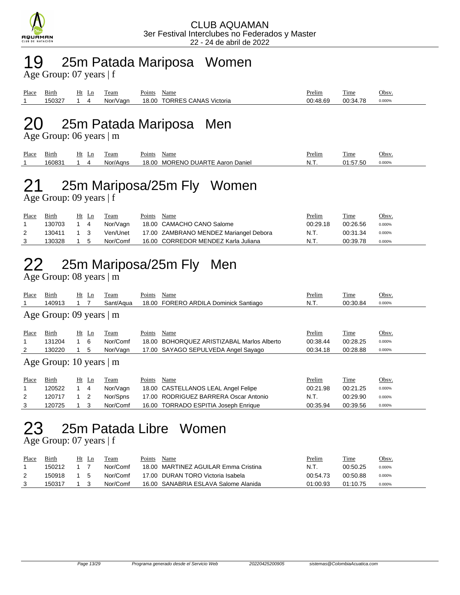

#### 19 25m Patada Mariposa Women

Age Group: 07 years | f

| Place | Birth       | Ht | ப | eam                  | $\sim$<br>Points | Name                      | Prelim          | m.<br>1 ime | <u>Obsv</u> |
|-------|-------------|----|---|----------------------|------------------|---------------------------|-----------------|-------------|-------------|
|       | $15032^{-}$ |    |   | /Vagr<br>Nor.<br>ו ש | 18.00            | TORRES.<br>CANAS Victoria | <b>NO 48 69</b> | 70<br>00:34 | 0.000%      |

#### 20 25m Patada Mariposa Men

Age Group: 06 years | m

| Place | -<br>Birth | Ht<br>Ln | eam          | Name<br>oints'                                             | Prelim   | m.<br>∣'ıme                 | Obsv.  |
|-------|------------|----------|--------------|------------------------------------------------------------|----------|-----------------------------|--------|
|       | 160831     |          | 'Aans<br>Nor | <b>DUARTE</b><br><b>MORENO</b><br>18.00<br>Daniel<br>Aaron | <b>.</b> | $- - - -$<br>'.50<br>∽<br>د | 0.000% |

# 21 25m Mariposa/25m Fly Women

Age Group: 09 years | f

| Place | Birth  | Ht Ln | Team     | Points | Name                                   | <u>Prelim</u> | <u>Time</u> | <u>Obsv.</u> |
|-------|--------|-------|----------|--------|----------------------------------------|---------------|-------------|--------------|
|       | 130703 | 1 4   | Nor/Vagn |        | 18.00 CAMACHO CANO Salome              | 00:29.18      | 00:26.56    | 0.000%       |
|       | 130411 |       | Ven/Unet |        | 17.00 ZAMBRANO MENDEZ Mariangel Debora | N.T.          | 00:31.34    | 0.000%       |
|       | 130328 | 15    | Nor/Comf |        | 16.00 CORREDOR MENDEZ Karla Juliana    | N.T.          | 00:39.78    | 0.000%       |

## 22 25m Mariposa/25m Fly Men

Age Group: 08 years | m

| Place | Birth                         |            | Ht Ln          | Team      | Points | Name                                  | Prelim   | Time     | Obsv.  |  |  |  |
|-------|-------------------------------|------------|----------------|-----------|--------|---------------------------------------|----------|----------|--------|--|--|--|
|       | 140913                        |            |                | Sant/Agua |        | 18.00 FORERO ARDILA Dominick Santiago | N.T.     | 00:30.84 | 0.000% |  |  |  |
|       | Age Group: 09 years   m       |            |                |           |        |                                       |          |          |        |  |  |  |
| Place | Birth                         |            | $Ht$ Ln        | Team      | Points | Name                                  | Prelim   | Time     | Obsv.  |  |  |  |
| 1     | 131204                        | $1\quad 6$ |                | Nor/Comf  | 18.00  | BOHOROUEZ ARISTIZABAL Marlos Alberto  | 00:38.44 | 00:28.25 | 0.000% |  |  |  |
| 2     | 130220                        |            | 5              | Nor/Vagn  |        | 17.00 SAYAGO SEPULVEDA Angel Sayago   | 00:34.18 | 00:28.88 | 0.000% |  |  |  |
|       | Age Group: 10 years $\vert$ m |            |                |           |        |                                       |          |          |        |  |  |  |
| Place | Birth                         |            | $Ht$ Ln        | Team      | Points | Name                                  | Prelim   | Time     | Obsv.  |  |  |  |
|       | 120522                        |            | 4              | Nor/Vagn  |        | 18.00 CASTELLANOS LEAL Angel Felipe   | 00:21.98 | 00:21.25 | 0.000% |  |  |  |
| 2     | 120717                        | 1          | $\overline{2}$ | Nor/Spns  |        | 17.00 RODRIGUEZ BARRERA Oscar Antonio | N.T.     | 00:29.90 | 0.000% |  |  |  |
| 3     | 120725                        |            | 3              | Nor/Comf  |        | 16.00 TORRADO ESPITIA Joseph Enrique  | 00:35.94 | 00:39.56 | 0.000% |  |  |  |

### 23 25m Patada Libre Women

Age Group: 07 years | f

| Place | Birth  | Ht  | -L n | Team     | Points | Name                                 | Prelim   | Time     | Obsv.  |
|-------|--------|-----|------|----------|--------|--------------------------------------|----------|----------|--------|
|       | 150212 |     |      | Nor/Comf |        | 18.00 MARTINEZ AGUILAR Emma Cristina | N.T.     | 00:50.25 | 0.000% |
|       | 150918 | - 5 |      | Nor/Comf |        | 17.00 DURAN TORO Victoria Isabela    | 00:54.73 | 00:50.88 | 0.000% |
|       | 150317 |     |      | Nor/Comf |        | 16.00 SANABRIA ESLAVA Salome Alanida | 01:00.93 | 01:10.75 | 0.000% |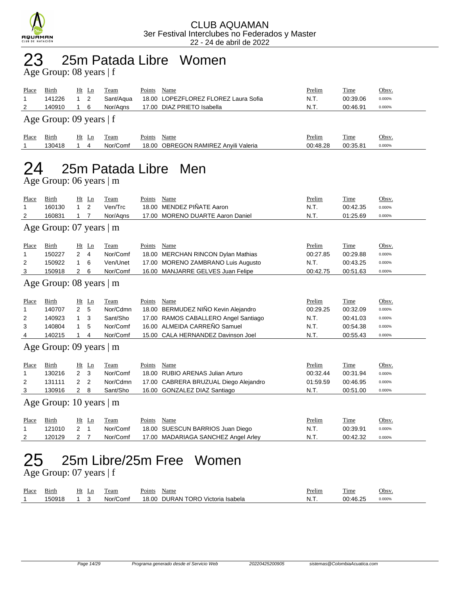

#### 25m Patada Libre Women 23 25m Pata

| Place<br>1<br>2                                       | Birth<br>141226<br>140910<br>Age Group: 09 years   f | $Ht$ Ln<br>1<br>2<br>6<br>1                                                               | <b>Team</b><br>Sant/Aqua<br>Nor/Agns                 | Points             | <b>Name</b><br>18.00 LOPEZFLOREZ FLOREZ Laura Sofia<br>17.00 DIAZ PRIETO Isabella                                                                         | Prelim<br>N.T.<br>N.T.                        | <b>Time</b><br>00:39.06<br>00:46.91                  | Obsv.<br>0.000%<br>0.000%                     |  |  |  |
|-------------------------------------------------------|------------------------------------------------------|-------------------------------------------------------------------------------------------|------------------------------------------------------|--------------------|-----------------------------------------------------------------------------------------------------------------------------------------------------------|-----------------------------------------------|------------------------------------------------------|-----------------------------------------------|--|--|--|
| Place<br>$\mathbf 1$                                  | Birth<br>130418                                      | $Ht$ Ln<br>$\mathbf{1}$<br>4                                                              | Team<br>Nor/Comf                                     | Points             | Name<br>18.00 OBREGON RAMIREZ Anyili Valeria                                                                                                              | Prelim<br>00:48.28                            | Time<br>00:35.81                                     | Obsv.<br>0.000%                               |  |  |  |
| 25m Patada Libre Men<br>Age Group: 06 years $\vert$ m |                                                      |                                                                                           |                                                      |                    |                                                                                                                                                           |                                               |                                                      |                                               |  |  |  |
| Place<br>1<br>2                                       | Birth<br>160130<br>160831<br>Age Group: 07 years   m | $Ht$ Ln<br>2<br>1<br>$\overline{7}$<br>$\mathbf{1}$                                       | Team<br>Ven/Trc<br>Nor/Agns                          | Points             | Name<br>18.00 MENDEZ PIÑATE Aaron<br>17.00 MORENO DUARTE Aaron Daniel                                                                                     | Prelim<br>N.T.<br>N.T.                        | Time<br>00:42.35<br>01:25.69                         | Obsv.<br>0.000%<br>0.000%                     |  |  |  |
| Place<br>1<br>2<br>3                                  | Birth<br>150227<br>150922<br>150918                  | $Ht$ Ln<br>$2 \quad 4$<br>6<br>$\mathbf{1}$<br>$\mathbf{2}$<br>6                          | Team<br>Nor/Comf<br>Ven/Unet<br>Nor/Comf             | Points             | Name<br>18.00 MERCHAN RINCON Dylan Mathias<br>17.00 MORENO ZAMBRANO Luis Augusto<br>16.00 MANJARRE GELVES Juan Felipe                                     | Prelim<br>00:27.85<br>N.T.<br>00:42.75        | Time<br>00:29.88<br>00:43.25<br>00:51.63             | Obsv.<br>0.000%<br>0.000%<br>0.000%           |  |  |  |
|                                                       | Age Group: 08 years   m                              |                                                                                           |                                                      |                    |                                                                                                                                                           |                                               |                                                      |                                               |  |  |  |
| Place<br>1<br>2<br>3<br>4                             | Birth<br>140707<br>140923<br>140804<br>140215        | Ht Ln<br>$\overline{2}$<br>5<br>3<br>$\mathbf{1}$<br>5<br>1<br>$\mathbf 1$<br>4           | Team<br>Nor/Cdmn<br>Sant/Sho<br>Nor/Comf<br>Nor/Comf | Points             | Name<br>18.00 BERMUDEZ NIÑO Kevin Alejandro<br>17.00 RAMOS CABALLERO Angel Santiago<br>16.00 ALMEIDA CARREÑO Samuel<br>15.00 CALA HERNANDEZ Davinson Joel | Prelim<br>00:29.25<br>N.T.<br>N.T.<br>N.T.    | Time<br>00:32.09<br>00:41.03<br>00:54.38<br>00:55.43 | Obsv.<br>0.000%<br>0.000%<br>0.000%<br>0.000% |  |  |  |
|                                                       | Age Group: 09 years   m                              |                                                                                           |                                                      |                    |                                                                                                                                                           |                                               |                                                      |                                               |  |  |  |
| <b>Place</b><br>1<br>2<br>3                           | Birth<br>130216<br>131111<br>130916                  | $Ht$ Ln<br>$\overline{2}$<br>3<br>$\overline{2}$<br>$\overline{2}$<br>$\overline{2}$<br>8 | <b>Team</b><br>Nor/Comf<br>Nor/Cdmn<br>Sant/Sho      | Points             | <b>Name</b><br>18.00 RUBIO ARENAS Julian Arturo<br>17.00 CABRERA BRUZUAL Diego Alejandro<br>16.00 GONZALEZ DIAZ Santiago                                  | <b>Prelim</b><br>00:32.44<br>01:59.59<br>N.T. | <b>Time</b><br>00:31.94<br>00:46.95<br>00:51.00      | Obsv.<br>0.000%<br>0.000%<br>0.000%           |  |  |  |
|                                                       | Age Group: 10 years $\vert$ m                        |                                                                                           |                                                      |                    |                                                                                                                                                           |                                               |                                                      |                                               |  |  |  |
| <u>Place</u><br>1<br>2                                | <b>Birth</b><br>121010<br>120129                     | $Ht$ Ln<br>$\overline{2}$<br>$\overline{1}$<br>$\overline{2}$<br>7                        | <b>Team</b><br>Nor/Comf<br>Nor/Comf                  | <u>Points</u> Name | 18.00 SUESCUN BARRIOS Juan Diego<br>17.00 MADARIAGA SANCHEZ Angel Arley                                                                                   | Prelim<br>N.T.<br>N.T.                        | <u>Time</u><br>00:39.91<br>00:42.32                  | Obsv.<br>0.000%<br>0.000%                     |  |  |  |
| 25                                                    | Age Group: $07$ years $ f $                          |                                                                                           |                                                      |                    | 25m Libre/25m Free Women                                                                                                                                  |                                               |                                                      |                                               |  |  |  |
| $Dl$ $Dirth$                                          |                                                      | H <sub>t</sub> In Team                                                                    |                                                      | Dointe Name        |                                                                                                                                                           | Prelim                                        | Time                                                 | $O$ hev                                       |  |  |  |

| Place | Bırth        | Ht | ⊷ | eam                     | 'oint. | Name                                        | Prelim  | company of<br>. ime | Obsv   |
|-------|--------------|----|---|-------------------------|--------|---------------------------------------------|---------|---------------------|--------|
|       | 50918<br>ובו |    |   | $\sim$<br>Comf<br>Nor/C | 18.00  | TORO<br><b>DURAN</b><br>Isabela<br>Victoria | N.<br>. | 00.4625             | 0.000% |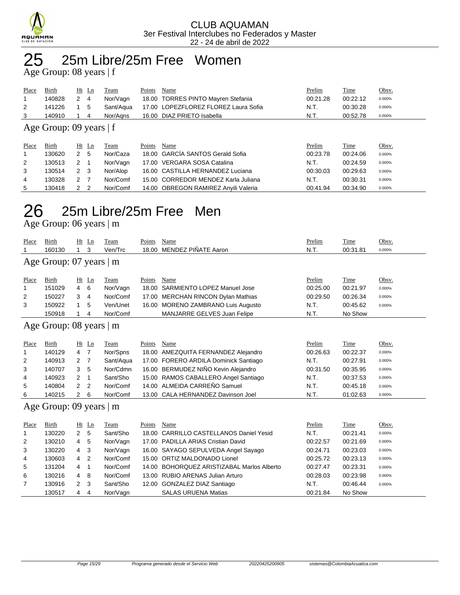

#### 25m Libre/25m Free Women

Age Group: 08 years | f

| Place | Birth      | Ht Ln | Team     | Name<br>Points                                 | Prelim   | <u>Time</u> | <u>Obsv.</u> |
|-------|------------|-------|----------|------------------------------------------------|----------|-------------|--------------|
|       | 140828     | 2 4   | Nor/Vagn | 18.00 TORRES PINTO Mayren Stefania             | 00:21.28 | 00:22.12    | 0.000%       |
|       | 141226 1 5 |       |          | Sant/Aqua 17.00 LOPEZFLOREZ FLOREZ Laura Sofia | N.T.     | 00:30.28    | 0.000%       |
|       | 140910     | 14    | Nor/Aans | 16.00 DIAZ PRIETO Isabella                     | N.T.     | 00:52.78    | 0.000%       |

#### Age Group: 09 years | f

| Place | Birth  | Ht Ln | Team     | Points | Name                                 | Prelim   | Time     | Obsv.  |
|-------|--------|-------|----------|--------|--------------------------------------|----------|----------|--------|
|       | 130620 | - 5   | Nor/Caza |        | 18.00 GARCÍA SANTOS Gerald Sofia     | 00:23.78 | 00:24.06 | 0.000% |
| 2     | 130513 | 2 1   | Nor/Vagn |        | 17.00 VERGARA SOSA Catalina          | N.T.     | 00:24.59 | 0.000% |
| 3     | 130514 | 2 3   | Nor/Alop |        | 16.00 CASTILLA HERNANDEZ Luciana     | 00:30.03 | 00:29.63 | 0.000% |
| 4     | 130328 |       | Nor/Comf |        | 15.00 CORREDOR MENDEZ Karla Juliana  | N.T.     | 00:30.31 | 0.000% |
| 5     | 130418 |       | Nor/Comf |        | 14.00 OBREGON RAMIREZ Anyili Valeria | 00:41.94 | 00:34.90 | 0.000% |

### 25m Libre/25m Free Men

Age Group: 06 years | m

| Place          | Birth                           |   | $Ht$ Ln | Team     | Points | Name                                | Prelim   | Time        | Obsv.  |  |  |  |
|----------------|---------------------------------|---|---------|----------|--------|-------------------------------------|----------|-------------|--------|--|--|--|
|                | 160130                          |   | 3       | Ven/Trc  |        | 18.00 MENDEZ PIÑATE Aaron           | N.T.     | 00:31.81    | 0.000% |  |  |  |
|                | Age Group: $07$ years $\vert$ m |   |         |          |        |                                     |          |             |        |  |  |  |
| Place          | Birth                           |   | $Ht$ Ln | Team     | Points | Name                                | Prelim   | <b>Time</b> | Obsv.  |  |  |  |
| 1              | 151029                          | 4 | -6      | Nor/Vagn | 18.00  | SARMIENTO LOPEZ Manuel Jose         | 00:25.00 | 00:21.97    | 0.000% |  |  |  |
| 2              | 150227                          | 3 | 4       | Nor/Comf |        | 17.00 MERCHAN RINCON Dylan Mathias  | 00:29.50 | 00:26.34    | 0.000% |  |  |  |
| 3              | 150922                          |   | 5       | Ven/Unet |        | 16.00 MORENO ZAMBRANO Luis Augusto  | N.T.     | 00:45.62    | 0.000% |  |  |  |
|                | 150918                          |   | 4       | Nor/Comf |        | MANJARRE GELVES Juan Felipe         | N.T.     | No Show     |        |  |  |  |
|                | Age Group: $08$ years $\vert$ m |   |         |          |        |                                     |          |             |        |  |  |  |
| Place          | Birth                           |   | $Ht$ Ln | Team     | Points | Name                                | Prelim   | Time        | Obsv.  |  |  |  |
| $\overline{A}$ | 110100                          |   |         | $N = 10$ |        | 10.00 AMEZOUTA EFRAIANDEZ Algionato | 00.2000  | 00.22.7     | 0.0001 |  |  |  |

|                | 140129 | 4              |     | Nor/Spns  | 18.00 AMEZQUITA FERNANDEZ Alejandro   | 00:26.63 | 00:22.37 | 0.000% |
|----------------|--------|----------------|-----|-----------|---------------------------------------|----------|----------|--------|
| 2              | 140913 | 2 7            |     | Sant/Agua | 17.00 FORERO ARDILA Dominick Santiago | N.T.     | 00:27.91 | 0.000% |
| 3              | 140707 | 3 <sub>5</sub> |     | Nor/Cdmn  | 16.00 BERMUDEZ NIÑO Kevin Alejandro   | 00:31.50 | 00:35.95 | 0.000% |
| $\overline{4}$ | 140923 |                |     | Sant/Sho  | 15.00 RAMOS CABALLERO Angel Santiago  | N.T.     | 00:37.53 | 0.000% |
| 5              | 140804 |                | 2 2 | Nor/Comf  | 14.00 ALMEIDA CARREÑO Samuel          | N.T.     | 00:45.18 | 0.000% |
| 6              | 140215 |                | - 6 | Nor/Comf  | 13.00 CALA HERNANDEZ Davinson Joel    | N.T.     | 01:02.63 | 0.000% |

#### Age Group: 09 years | m

| Place | Birth  |                | $Ht$ Ln        | Team     | Points | Name                                       | Prelim   | Time     | Obsv.  |
|-------|--------|----------------|----------------|----------|--------|--------------------------------------------|----------|----------|--------|
|       | 130220 | $\mathbf{2}$   | -5             | Sant/Sho |        | 18.00 CARRILLO CASTELLANOS Daniel Yesid    | N.T.     | 00:21.41 | 0.000% |
| 2     | 130210 | 4              | 5              | Nor/Vagn |        | 17.00 PADILLA ARIAS Cristian David         | 00:22.57 | 00:21.69 | 0.000% |
| 3     | 130220 | 4              | - 3            | Nor/Vagn |        | 16.00 SAYAGO SEPULVEDA Angel Sayago        | 00:24.71 | 00:23.03 | 0.000% |
| 4     | 130603 | 4              | $\overline{2}$ | Nor/Comf |        | 15.00 ORTIZ MALDONADO Lionel               | 00:25.72 | 00:23.13 | 0.000% |
| 5     | 131204 | 4              |                | Nor/Comf |        | 14.00 BOHORQUEZ ARISTIZABAL Marlos Alberto | 00:27.47 | 00:23.31 | 0.000% |
| 6     | 130216 | 4              | - 8            | Nor/Comf |        | 13.00 RUBIO ARENAS Julian Arturo           | 00:28.03 | 00:23.98 | 0.000% |
| 7     | 130916 | 2 <sub>3</sub> |                | Sant/Sho |        | 12.00 GONZALEZ DIAZ Santiago               | N.T.     | 00:46.44 | 0.000% |
|       | 130517 | 4              | 4              | Nor/Vagn |        | <b>SALAS URUENA Matias</b>                 | 00:21.84 | No Show  |        |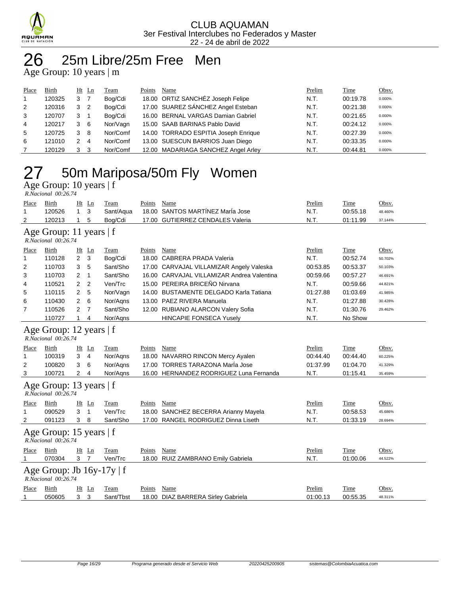

### 26 25m Libre/25m Free Men

Age Group: 10 years | m

| Place          | <b>Birth</b> |   | $Ht$ Ln        | Team     | Points | Name                                 | Prelim | <b>Time</b> | Obsv.  |
|----------------|--------------|---|----------------|----------|--------|--------------------------------------|--------|-------------|--------|
|                | 120325       | 3 |                | Bog/Cdi  |        | 18.00 ORTIZ SANCHÉZ Joseph Felipe    | N.T.   | 00:19.78    | 0.000% |
| 2              | 120316       | 3 | - 2            | Bog/Cdi  |        | 17.00 SUAREZ SÁNCHEZ Angel Esteban   | N.T.   | 00:21.38    | 0.000% |
| 3              | 120707       | 3 |                | Bog/Cdi  |        | 16.00 BERNAL VARGAS Damian Gabriel   | N.T.   | 00:21.65    | 0.000% |
| $\overline{4}$ | 120217       | 3 | - 6            | Nor/Vagn |        | 15.00 SAAB BARINAS Pablo David       | N.T.   | 00:24.12    | 0.000% |
| 5              | 120725       | 3 | -8             | Nor/Comf |        | 14.00 TORRADO ESPITIA Joseph Enrique | N.T.   | 00:27.39    | 0.000% |
| 6              | 121010       |   | $\overline{4}$ | Nor/Comf |        | 13.00 SUESCUN BARRIOS Juan Diego     | N.T.   | 00:33.35    | 0.000% |
|                | 120129       | 3 | - 3            | Nor/Comf |        | 12.00 MADARIAGA SANCHEZ Angel Arley  | N.T.   | 00:44.81    | 0.000% |

# 27 50m Mariposa/50m Fly Women

Age Group: 10 years | f

| R.Nacional 00:26.74 |        |                      |           |        |                                  |        |          |         |  |  |
|---------------------|--------|----------------------|-----------|--------|----------------------------------|--------|----------|---------|--|--|
| Place               | Birth  | Ht Ln                | Team      | Points | Name                             | Prelim | Time     | Obsv.   |  |  |
|                     | 120526 |                      | Sant/Agua |        | 18.00 SANTOS MARTINEZ Maria Jose | N.T.   | 00:55.18 | 48.460% |  |  |
|                     | 120213 | $\ddot{\phantom{1}}$ | Boa/Cdi   |        | 17.00 GUTIERREZ CENDALES Valeria | N.T    | 01:11.99 | 37.144% |  |  |
|                     |        |                      |           |        |                                  |        |          |         |  |  |

#### Age Group: 11 years | f

 *R.Nacional 00:26.74* 

| Place          | <b>Birth</b> |              | $Ht$ Ln | <b>Team</b> | Points | Name                                       | Prelim   | <b>Time</b> | Obsv.   |
|----------------|--------------|--------------|---------|-------------|--------|--------------------------------------------|----------|-------------|---------|
| $\overline{1}$ | 110128       | 2 3          |         | Bog/Cdi     |        | 18.00 CABRERA PRADA Valeria                | N.T.     | 00:52.74    | 50.702% |
| 2              | 110703       | 3            | -5      | Sant/Sho    |        | 17.00 CARVAJAL VILLAMIZAR Angely Valeska   | 00:53.85 | 00:53.37    | 50.103% |
| 3              | 110703       | 2            |         | Sant/Sho    |        | 16.00 CARVAJAL VILLAMIZAR Andrea Valentina | 00:59.66 | 00:57.27    | 46.691% |
| 4              | 110521       | $2\quad 2$   |         | Ven/Trc     |        | 15.00 PEREIRA BRICEÑO Nirvana              | N.T.     | 00:59.66    | 44.821% |
| 5              | 110115       | $\mathbf{2}$ | - 5     | Nor/Vagn    |        | 14.00 BUSTAMENTE DELGADO Karla Tatiana     | 01:27.88 | 01:03.69    | 41.985% |
| 6              | 110430       | 2            | - 6     | Nor/Agns    |        | 13.00 PAEZ RIVERA Manuela                  | N.T.     | 01:27.88    | 30.428% |
| 7              | 110526       | 2            | - 7     | Sant/Sho    |        | 12.00 RUBIANO ALARCON Valery Sofia         | N.T.     | 01:30.76    | 29.462% |
|                | 110727       |              | 4       | Nor/Agns    |        | <b>HINCAPIE FONSECA Yusely</b>             | N.T.     | No Show     |         |

#### Age Group: 12 years | f

|                                                | R.Nacional 00:26.74                                   |              |                                    |           |        |                                         |          |          |         |  |  |
|------------------------------------------------|-------------------------------------------------------|--------------|------------------------------------|-----------|--------|-----------------------------------------|----------|----------|---------|--|--|
| Place                                          | Birth                                                 |              | $Ht$ Ln                            | Team      | Points | Name                                    | Prelim   | Time     | Obsv.   |  |  |
| 1                                              | 100319                                                | 3            | -4                                 | Nor/Agns  | 18.00  | NAVARRO RINCON Mercy Ayalen             | 00:44.40 | 00:44.40 | 60.225% |  |  |
| 2                                              | 100820                                                | 3            | 6                                  | Nor/Agns  | 17.00  | <b>TORRES TARAZONA Maria Jose</b>       | 01:37.99 | 01:04.70 | 41.329% |  |  |
| 3                                              | 100721                                                | $\mathbf{2}$ | -4                                 | Nor/Agns  |        | 16.00 HERNANDEZ RODRIGUEZ Luna Fernanda | N.T.     | 01:15.41 | 35.459% |  |  |
| Age Group: 13 years   f<br>R.Nacional 00:26.74 |                                                       |              |                                    |           |        |                                         |          |          |         |  |  |
| Place                                          | Birth                                                 | Ht           | $\mathop{\underline{\mathsf{Ln}}}$ | Team      | Points | Name                                    | Prelim   | Time     | Obsv.   |  |  |
| 1                                              | 090529                                                | 3            | -1                                 | Ven/Trc   | 18.00  | SANCHEZ BECERRA Arianny Mayela          | N.T.     | 00:58.53 | 45.686% |  |  |
| 2                                              | 091123                                                | 3            | 8                                  | Sant/Sho  | 17.00  | RANGEL RODRIGUEZ Dinna Liseth           | N.T.     | 01:33.19 | 28.694% |  |  |
|                                                | Age Group: 15 years $ f $<br>R.Nacional 00:26.74      |              |                                    |           |        |                                         |          |          |         |  |  |
| Place                                          | Birth                                                 |              | $Ht$ Ln                            | Team      | Points | Name                                    | Prelim   | Time     | Obsv.   |  |  |
|                                                | 070304                                                | 3            | - 7                                | Ven/Trc   | 18.00  | RUIZ ZAMBRANO Emily Gabriela            | N.T.     | 01:00.06 | 44.522% |  |  |
|                                                | Age Group: Jb $16y-17y \mid f$<br>R.Nacional 00:26.74 |              |                                    |           |        |                                         |          |          |         |  |  |
| Place                                          | Birth                                                 |              | $Ht$ Ln                            | Team      | Points | Name                                    | Prelim   | Time     | Obsv.   |  |  |
|                                                | 050605                                                | 3            | 3                                  | Sant/Tbst | 18.00  | DIAZ BARRERA Sirley Gabriela            | 01:00.13 | 00:55.35 | 48.311% |  |  |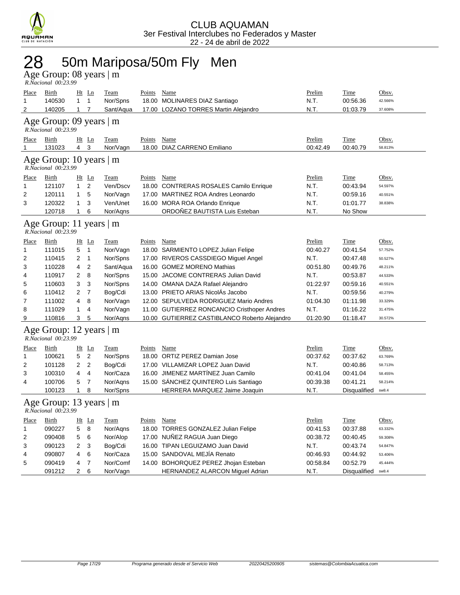

### 28 50m Mariposa/50m Fly Men

Age Group: 08 years | m  *R.Nacional 00:23.99* 

| Place<br>1                                     | <b>Birth</b><br>140530                         | $\mathbf{1}$   | $Ht$ Ln<br>1        | Team<br>Nor/Spns        | Points        | Name<br>18.00 MOLINARES DIAZ Santiago                                                 | Prelim<br>N.T.     | Time<br>00:56.36        | Obsv.<br>42.566%   |
|------------------------------------------------|------------------------------------------------|----------------|---------------------|-------------------------|---------------|---------------------------------------------------------------------------------------|--------------------|-------------------------|--------------------|
| 2                                              | 140205                                         | 1              | $\overline{7}$      | Sant/Aqua               |               | 17.00 LOZANO TORRES Martin Alejandro                                                  | N.T.               | 01:03.79                | 37.608%            |
|                                                | Age Group: 09 years   m<br>R.Nacional 00:23.99 |                |                     |                         |               |                                                                                       |                    |                         |                    |
| Place<br>$\mathbf 1$                           | Birth<br>131023                                | $\overline{4}$ | <u>Ht Ln</u><br>3   | <b>Team</b><br>Nor/Vagn | <b>Points</b> | Name<br>18.00 DIAZ CARRENO Emiliano                                                   | Prelim<br>00:42.49 | <b>Time</b><br>00:40.79 | Obsv.<br>58.813%   |
| Age Group: 10 years   m<br>R.Nacional 00:23.99 |                                                |                |                     |                         |               |                                                                                       |                    |                         |                    |
| Place                                          | <b>Birth</b>                                   |                | Ht Ln               | <b>Team</b>             | Points Name   |                                                                                       | Prelim             | Time                    | Obsv.              |
| 1                                              | 121107                                         | $\mathbf{1}$   | 2                   | Ven/Dscv                | 18.00         | <b>CONTRERAS ROSALES Camilo Enrique</b>                                               | N.T.               | 00:43.94                | 54.597%            |
| 2                                              | 120111                                         | 1              | 5                   | Nor/Vagn                | 17.00         | <b>MARTINEZ ROA Andres Leonardo</b>                                                   | N.T.               | 00:59.16                | 40.551%            |
| 3                                              | 120322                                         | $\mathbf{1}$   | 3                   | Ven/Unet                |               | 16.00 MORA ROA Orlando Enrique                                                        | N.T.               | 01:01.77                | 38.838%            |
|                                                | 120718                                         | $\mathbf{1}$   | 6                   | Nor/Agns                |               | ORDOÑEZ BAUTISTA Luis Esteban                                                         | N.T.               | No Show                 |                    |
|                                                | Age Group: 11 years   m<br>R.Nacional 00:23.99 |                |                     |                         |               |                                                                                       |                    |                         |                    |
| Place                                          | Birth                                          |                | $Ht$ Ln             | Team                    | Points        | Name                                                                                  | Prelim             | Time                    | Obsv.              |
| 1                                              | 111015                                         | 5              | $\mathbf{1}$        | Nor/Vagn                |               | 18.00 SARMIENTO LOPEZ Julian Felipe                                                   | 00:40.27           | 00:41.54                | 57.752%            |
| 2                                              | 110415                                         | 2              | $\mathbf{1}$        | Nor/Spns                |               | 17.00 RIVEROS CASSDIEGO Miguel Angel                                                  | N.T.               | 00:47.48                | 50.527%            |
| 3                                              | 110228                                         | 4              | $\overline{2}$      | Sant/Aqua               |               | 16.00 GOMEZ MORENO Mathias                                                            | 00:51.80           | 00:49.76                | 48.211%            |
| 4                                              | 110917                                         | 2              | 8                   | Nor/Spns                |               | 15.00 JACOME CONTRERAS Julian David                                                   | N.T.               | 00:53.87                | 44.533%            |
| 5                                              | 110603                                         | 3              | 3                   | Nor/Spns                |               | 14.00 OMANA DAZA Rafael Alejandro                                                     | 01:22.97           | 00:59.16                | 40.551%            |
| 6                                              | 110412<br>111002                               | 2<br>4         | $\overline{7}$<br>8 | Bog/Cdi                 |               | 13.00 PRIETO ARIAS NicolAs Jacobo                                                     | N.T.               | 00:59.56                | 40.279%            |
| 7<br>8                                         | 111029                                         | 1              | $\overline{4}$      | Nor/Vagn<br>Nor/Vagn    |               | 12.00 SEPULVEDA RODRIGUEZ Mario Andres<br>11.00 GUTIERREZ RONCANCIO Cristhoper Andres | 01:04.30<br>N.T.   | 01:11.98<br>01:16.22    | 33.329%<br>31.475% |
| 9                                              | 110816                                         | 3              | 5                   | Nor/Aqns                |               | 10.00 GUTIERREZ CASTIBLANCO Roberto Alejandro                                         | 01:20.90           | 01:18.47                | 30.572%            |
|                                                | Age Group: 12 years   m<br>R.Nacional 00:23.99 |                |                     |                         |               |                                                                                       |                    |                         |                    |
| Place                                          | Birth                                          |                | $Ht$ Ln             | <b>Team</b>             | Points        | Name                                                                                  | Prelim             | <b>Time</b>             | Obsv.              |
| 1                                              | 100621                                         | 5              | $\overline{2}$      | Nor/Spns                |               | 18.00 ORTIZ PEREZ Damian Jose                                                         | 00:37.62           | 00:37.62                | 63.769%            |
| $\overline{2}$                                 | 101128                                         | 2              | $\overline{2}$      | Bog/Cdi                 |               | 17.00 VILLAMIZAR LOPEZ Juan David                                                     | N.T.               | 00:40.86                | 58.713%            |
| 3                                              | 100310                                         | 4              | $\overline{4}$      | Nor/Caza                |               | 16.00 JIMENEZ MARTINEZ Juan Camilo                                                    | 00:41.04           | 00:41.04                | 58.455%            |
| 4                                              | 100706                                         | 5              | $\overline{7}$      | Nor/Aqns                |               | 15.00 SANCHEZ QUINTERO Luis Santiago                                                  | 00:39.38           | 00:41.21                | 58.214%            |
|                                                | 100123                                         | $\mathbf{1}$   | 8                   | Nor/Spns                |               | HERRERA MARQUEZ Jaime Joaquin                                                         | N.T.               | Disqualified            | sw8.4              |
|                                                | Age Group: 13 years   m<br>R.Nacional 00:23.99 |                |                     |                         |               |                                                                                       |                    |                         |                    |
| <b>Place</b>                                   | Birth                                          |                | $Ht$ Ln             | <b>Team</b>             | Points        | Name                                                                                  | Prelim             | Time                    | Obsv.              |
| 1                                              | 090227                                         | 5              | 8                   | Nor/Agns                |               | 18.00 TORRES GONZALEZ Julian Felipe                                                   | 00:41.53           | 00:37.88                | 63.332%            |
| $\overline{2}$                                 | 090408                                         | 5              | 6                   | Nor/Alop                |               | 17.00 NUÑEZ RAGUA Juan Diego                                                          | 00:38.72           | 00:40.45                | 59.308%            |
| 3                                              | 090123                                         | 2              | 3                   | Bog/Cdi                 |               | 16.00 TIPAN LEGUIZAMO Juan David                                                      | N.T.               | 00:43.74                | 54.847%            |
| 4                                              | 090807                                         | 4              | 6                   | Nor/Caza                |               | 15.00 SANDOVAL MEJIA Renato                                                           | 00:46.93           | 00:44.92                | 53.406%            |
| 5                                              | 090419                                         | 4              | $\overline{7}$      | Nor/Comf                |               | 14.00 BOHORQUEZ PEREZ Jhojan Esteban                                                  | 00:58.84           | 00:52.79                | 45.444%            |
|                                                | 091212                                         | $\overline{2}$ | 6                   | Nor/Vagn                |               | <b>HERNANDEZ ALARCON Miguel Adrian</b>                                                | N.T.               | Disqualified            | sw8.4              |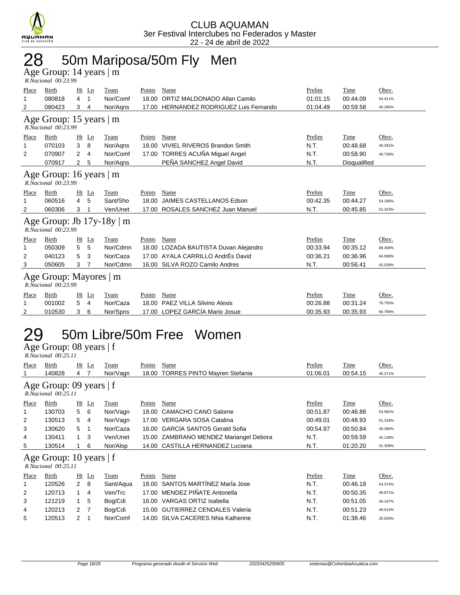

### 28 50m Mariposa/50m Fly Men

Age Group: 14 years | m  *R.Nacional 00:23.99* 

| Place                                                     | Birth                                              | Ht | Ln            | Team                           | <b>Points</b> | Name                                    | Prelim   | Time         | Obsv.   |  |
|-----------------------------------------------------------|----------------------------------------------------|----|---------------|--------------------------------|---------------|-----------------------------------------|----------|--------------|---------|--|
| 1                                                         | 080818                                             | 4  | 1             | Nor/Comf                       | 18.00         | ORTIZ MALDONADO Allan Camilo            | 01:01.15 | 00:44.09     | 54.411% |  |
| 2                                                         | 080423                                             | 3  | 4             | Nor/Agns                       |               | 17.00 HERNANDEZ RODRIGUEZ Luis Fernando | 01:04.49 | 00:59.58     | 40.265% |  |
| Age Group: 15 years $\vert$ m<br>$R. Nacional$ $00:23.99$ |                                                    |    |               |                                |               |                                         |          |              |         |  |
| Place                                                     | <b>Birth</b>                                       | Ht | Ln            | Team                           | Points        | Name                                    | Prelim   | Time         | Obsv.   |  |
|                                                           | 070103                                             | 3  | 8             | Nor/Agns                       |               | 18.00 VIVIEL RIVEROS Brandon Smith      | N.T.     | 00:48.68     | 49.281% |  |
| 2                                                         | 070907                                             | 2  | 4             | Nor/Comf                       |               | 17.00 TORRES ACUÑA Miguel Angel         | N.T.     | 00:58.90     | 40.730% |  |
|                                                           | 070917                                             | 2  | 5             | Nor/Agns                       |               | PEÑA SANCHEZ Angel David                | N.T.     | Disqualified |         |  |
|                                                           | Age Group: 16 years   m<br>R.Nacional 00:23.99     |    |               |                                |               |                                         |          |              |         |  |
| Place                                                     | <b>Birth</b>                                       | Ht | Ln            | Team                           | Points        | Name                                    | Prelim   | Time         | Obsv.   |  |
|                                                           | 060516                                             | 4  | 5             | Sant/Sho                       | 18.00         | JAIMES CASTELLANOS Edson                | 00:42.35 | 00:44.27     | 54.190% |  |
| 2                                                         | 060306                                             | 3  |               | Ven/Unet                       | 17.00         | ROSALES SANCHEZ Juan Manuel             | N.T.     | 00:45.85     | 52.323% |  |
|                                                           | R.Nacional 00:23.99                                |    |               | Age Group: Jb $17y-18y \mid m$ |               |                                         |          |              |         |  |
| Place                                                     | Birth                                              | Ht | Ln            | Team                           | Points        | Name                                    | Prelim   | Time         | Obsv.   |  |
|                                                           | 050309                                             | 5  | 5             | Nor/Cdmn                       | 18.00         | LOZADA BAUTISTA Duvan Alejandro         | 00:33.94 | 00:35.12     | 68.309% |  |
| 2                                                         | 040123                                             | 5  | 3             | Nor/Caza                       | 17.00         | AYALA CARRILLO AndrÉs David             | 00:36.21 | 00:36.96     | 64.908% |  |
| 3                                                         | 050605                                             | 3  | 7             | Nor/Cdmn                       |               | 16.00 SILVA ROZO Camilo Andres          | N.T.     | 00:56.41     | 42.528% |  |
|                                                           | Age Group: Mayores   m<br>$R. Nacional$ $00:23.99$ |    |               |                                |               |                                         |          |              |         |  |
| Place                                                     | Birth                                              | Ht | $\mathbf{Ln}$ | Team                           | Points        | Name                                    | Prelim   | Time         | Obsv.   |  |
|                                                           | 001002                                             | 5  | 4             | Nor/Caza                       | 18.00         | PAEZ VILLA Silvino Alexis               | 00:26.88 | 00:31.24     | 76.793% |  |
| 2                                                         | 010530                                             | 3  | 6             | Nor/Spns                       |               | 17.00 LOPEZ GARCÍA Mario Josue          | 00:35.93 | 00:35.93     | 66.769% |  |

#### 50m Libre/50m Free Women 29 50m Libre<br>Age Group: 08 years | f

|                                                                                | R.Nacional 00:25.11                                   |     |             |           |        |                                        |          |          |         |  |  |  |
|--------------------------------------------------------------------------------|-------------------------------------------------------|-----|-------------|-----------|--------|----------------------------------------|----------|----------|---------|--|--|--|
| Place                                                                          | Birth                                                 |     | $Ht$ Ln     | Team      | Points | Name                                   | Prelim   | Time     | Obsv.   |  |  |  |
|                                                                                | 140828                                                | 4 7 |             | Nor/Vagn  | 18.00  | <b>TORRES PINTO Mayren Stefania</b>    | 01:06.01 | 00:54.15 | 46.371% |  |  |  |
| Age Group: 09 years   f<br>$R. Nacional$ $00:25.11$                            |                                                       |     |             |           |        |                                        |          |          |         |  |  |  |
| Time<br>Obsv.<br>$Ht$ Ln<br>Name<br>Prelim<br>Place<br>Birth<br>Points<br>Team |                                                       |     |             |           |        |                                        |          |          |         |  |  |  |
|                                                                                | 130703                                                |     | 5 6         | Nor/Vagn  | 18.00  | <b>CAMACHO CANO Salome</b>             | 00:51.87 | 00:46.88 | 53.562% |  |  |  |
| 2                                                                              | 130513                                                | 5   | -4          | Nor/Vagn  |        | 17.00 VERGARA SOSA Catalina            | 00:49.01 | 00:48.93 | 51.318% |  |  |  |
| 3                                                                              | 130620                                                | 5   | -1          | Nor/Caza  |        | 16.00 GARCÍA SANTOS Gerald Sofia       | 00:54.97 | 00:50.84 | 49.390% |  |  |  |
| 4                                                                              | 130411                                                |     | $1 \quad 3$ | Ven/Unet  |        | 15.00 ZAMBRANO MENDEZ Mariangel Debora | N.T.     | 00:59.59 | 42.138% |  |  |  |
| 5                                                                              | 130514                                                |     | 6           | Nor/Alop  |        | 14.00 CASTILLA HERNANDEZ Luciana       | N.T.     | 01:20.20 | 31.309% |  |  |  |
|                                                                                | Age Group: 10 years $ f $<br>$R. Nacional$ $00:25.11$ |     |             |           |        |                                        |          |          |         |  |  |  |
| Place                                                                          | Birth                                                 |     | $Ht$ Ln     | Team      | Points | Name                                   | Prelim   | Time     | Obsv.   |  |  |  |
| 1                                                                              | 120526                                                |     | $2 \quad 8$ | Sant/Aqua | 18.00  | SANTOS MARTÍNEZ MarÍa Jose             | N.T.     | 00:46.18 | 54.374% |  |  |  |
| 2                                                                              | 120713                                                |     | $1 \quad 4$ | Ven/Trc   | 17.00  | MENDEZ PIÑATE Antonella                | N.T.     | 00:50.35 | 49.871% |  |  |  |
| 3                                                                              | 121219                                                |     | 5           | Bog/Cdi   | 16.00  | VARGAS ORTIZ Isabella                  | N.T.     | 00:51.05 | 49.187% |  |  |  |
| 4                                                                              | 120213                                                | 2   |             | Boa/Cdi   |        | 15.00 GUTIERREZ CENDALES Valeria       | N.T.     | 00:51.23 | 49.014% |  |  |  |

5 120513 2 1 Nor/Comf 14.00 SILVA CACERES Nhia Katherine N.T. 01:38.46 25.503%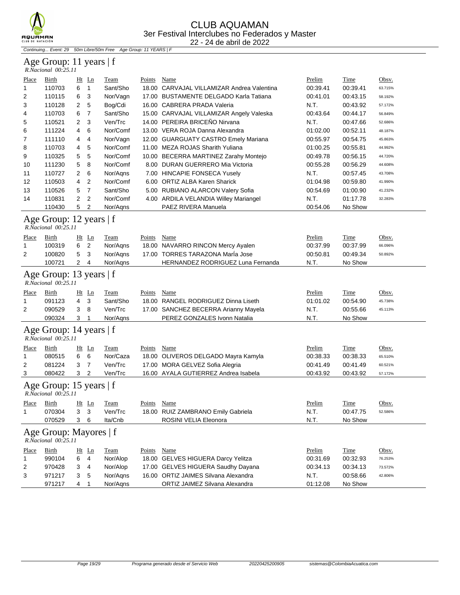

Continuing... Event: 29 50m Libre/50m Free Age Group: 11 YEARS | F

#### Age Group: 11 years | f  *R.Nacional 00:25.11*

| Place        | Birth                                                  |                | $Ht$ Ln        | Team        | Points        | Name                                     | Prelim   | Time        | Obsv.   |
|--------------|--------------------------------------------------------|----------------|----------------|-------------|---------------|------------------------------------------|----------|-------------|---------|
| 1            | 110703                                                 | 6              | 1              | Sant/Sho    | 18.00         | CARVAJAL VILLAMIZAR Andrea Valentina     | 00:39.41 | 00:39.41    | 63.715% |
| 2            | 110115                                                 | 6              | 3              | Nor/Vagn    |               | 17.00 BUSTAMENTE DELGADO Karla Tatiana   | 00:41.01 | 00:43.15    | 58.192% |
| 3            | 110128                                                 | 2              | 5              | Bog/Cdi     |               | 16.00 CABRERA PRADA Valeria              | N.T.     | 00:43.92    | 57.172% |
| 4            | 110703                                                 | 6              | 7              | Sant/Sho    |               | 15.00 CARVAJAL VILLAMIZAR Angely Valeska | 00:43.64 | 00:44.17    | 56.849% |
| 5            | 110521                                                 | 2              | 3              | Ven/Trc     |               | 14.00 PEREIRA BRICEÑO Nirvana            | N.T.     | 00:47.66    | 52.686% |
| 6            | 111224                                                 | 4              | 6              | Nor/Comf    |               | 13.00 VERA ROJA Danna Alexandra          | 01:02.00 | 00:52.11    | 48.187% |
| 7            | 111110                                                 | 4              | 4              | Nor/Vagn    |               | 12.00 GUARGUATY CASTRO Emely Mariana     | 00:55.97 | 00:54.75    | 45.863% |
| 8            | 110703                                                 | 4              | 5              | Nor/Comf    |               | 11.00 MEZA ROJAS Sharith Yuliana         | 01:00.25 | 00:55.81    | 44.992% |
| 9            | 110325                                                 | 5              | 5              | Nor/Comf    |               | 10.00 BECERRA MARTINEZ Zarahy Montejo    | 00:49.78 | 00:56.15    | 44.720% |
| 10           | 111230                                                 | 5              | 8              | Nor/Comf    |               | 8.00 DURAN GUERRERO Mia Victoria         | 00:55.28 | 00:56.29    | 44.608% |
| 11           | 110727                                                 | 2              | 6              | Nor/Aqns    |               | 7.00 HINCAPIE FONSECA Yusely             | N.T.     | 00:57.45    | 43.708% |
| 12           | 110503                                                 | 4              | 2              | Nor/Comf    |               | 6.00 ORTIZ ALBA Karen Sharick            | 01:04.98 | 00:59.80    | 41.990% |
| 13           | 110526                                                 | 5              | 7              | Sant/Sho    |               | 5.00 RUBIANO ALARCON Valery Sofia        | 00:54.69 | 01:00.90    | 41.232% |
| 14           | 110831                                                 | 2              | 2              | Nor/Comf    |               | 4.00 ARDILA VELANDIA Willey Mariangel    | N.T.     | 01:17.78    | 32.283% |
|              | 110430                                                 | 5              | 2              | Nor/Aqns    |               | PAEZ RIVERA Manuela                      | 00:54.06 | No Show     |         |
|              | Age Group: 12 years   f<br>R.Nacional 00:25.11         |                |                |             |               |                                          |          |             |         |
| <u>Place</u> | <b>Birth</b>                                           | Ht Ln          |                | <u>Team</u> | <b>Points</b> | <b>Name</b>                              | Prelim   | <b>Time</b> | Obsv.   |
| 1            | 100319                                                 | 6              | 2              | Nor/Agns    |               | 18.00 NAVARRO RINCON Mercy Ayalen        | 00:37.99 | 00:37.99    | 66.096% |
| 2            | 100820                                                 | 5              | 3              | Nor/Agns    |               | 17.00 TORRES TARAZONA Maria Jose         | 00:50.81 | 00:49.34    | 50.892% |
|              | 100721                                                 | 2              | 4              | Nor/Aqns    |               | HERNANDEZ RODRIGUEZ Luna Fernanda        | N.T.     | No Show     |         |
|              | Age Group: 13 years   f<br>$R.\bar{N}acional$ 00:25.11 |                |                |             |               |                                          |          |             |         |
| Place        | Birth                                                  |                | $Ht$ Ln        | Team        | Points        | Name                                     | Prelim   | <u>Time</u> | Obsv.   |
| 1            | 091123                                                 | 4              | 3              | Sant/Sho    |               | 18.00 RANGEL RODRIGUEZ Dinna Liseth      | 01:01.02 | 00:54.90    | 45.738% |
| 2            | 090529                                                 | 3              | 8              | Ven/Trc     |               | 17.00 SANCHEZ BECERRA Arianny Mayela     | N.T.     | 00:55.66    | 45.113% |
|              | 090324                                                 | 3              | 1              | Nor/Agns    |               | PEREZ GONZALES Ivonn Natalia             | N.T.     | No Show     |         |
|              | Age Group: 14 years   f<br>R.Nacional 00:25.11         |                |                |             |               |                                          |          |             |         |
| Place        | Birth                                                  |                | $Ht$ Ln        | Team        | Points        | Name                                     | Prelim   | Time        | Obsv.   |
| 1            | 080515                                                 | 6              | 6              | Nor/Caza    |               | 18.00 OLIVEROS DELGADO Mayra Kamyla      | 00:38.33 | 00:38.33    | 65.510% |
| 2            | 081224                                                 | 3              | $\overline{7}$ | Ven/Trc     | 17.00         | MORA GELVEZ Sofia Alegria                | 00:41.49 | 00:41.49    | 60.521% |
| 3            | 080422                                                 | 3              | 2              | Ven/Trc     |               | 16.00 AYALA GUTIERREZ Andrea Isabela     | 00:43.92 | 00:43.92    | 57.172% |
|              | Age Group: 15 years   f<br>R.Nacional 00:25.11         |                |                |             |               |                                          |          |             |         |
| <u>Place</u> | <b>Birth</b>                                           |                | $Ht$ Ln        | <u>Team</u> | Points Name   |                                          | Prelim   | Time        | Obsv.   |
|              | 070304                                                 | 3 <sup>3</sup> |                | Ven/Trc     |               | 18.00 RUIZ ZAMBRANO Emily Gabriela       | N.T.     | 00:47.75    | 52.586% |
|              | 070529                                                 | 3              | 6              | Ita/Cnb     |               | ROSINI VELIA Eleonora                    | N.T.     | No Show     |         |
|              | Age Group: Mayores   f<br>R.Nacional 00:25.11          |                |                |             |               |                                          |          |             |         |
| Place        | <b>Birth</b>                                           |                | Ht Ln          | Team        | Points        | Name                                     | Prelim   | <b>Time</b> | Obsv.   |
| 1            | 990104                                                 | 6              | 4              | Nor/Alop    |               | 18.00 GELVES HIGUERA Darcy Yelitza       | 00:31.69 | 00:32.93    | 76.253% |
| 2            | 970428                                                 | 3              | 4              | Nor/Alop    |               | 17.00 GELVES HIGUERA Saudhy Dayana       | 00:34.13 | 00:34.13    | 73.572% |
| 3            | 971217                                                 | 3              | 5              | Nor/Aqns    |               | 16.00 ORTIZ JAIMES Silvana Alexandra     | N.T.     | 00:58.66    | 42.806% |
|              | 971217                                                 | 4              | 1              | Nor/Aqns    |               | ORTIZ JAIMEZ Silvana Alexandra           | 01:12.08 | No Show     |         |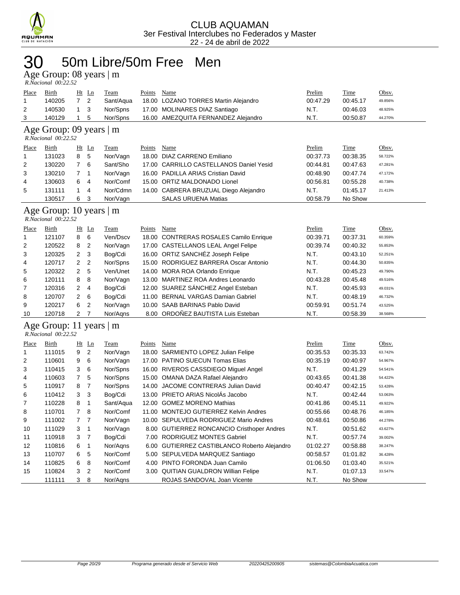

#### 50m Libre/50m Free Men 30 50m Libre<br>Age Group: 08 years | m

| R.Nacional 00:22.52 |  |
|---------------------|--|

|                                                                                                      | *************************            |     |              |             |        |                                      |          |             |              |  |  |
|------------------------------------------------------------------------------------------------------|--------------------------------------|-----|--------------|-------------|--------|--------------------------------------|----------|-------------|--------------|--|--|
| Place                                                                                                | <b>Birth</b>                         |     | <u>Ht Ln</u> | <b>Team</b> | Points | Name                                 | Prelim   | <b>Time</b> | <u>Obsv.</u> |  |  |
|                                                                                                      | 140205                               | 7 2 |              | Sant/Agua   |        | 18.00 LOZANO TORRES Martin Alejandro | 00:47.29 | 00:45.17    | 49.856%      |  |  |
| 2                                                                                                    | 140530                               | 1 3 |              | Nor/Spns    |        | 17.00 MOLINARES DIAZ Santiago        | N.T.     | 00:46.03    | 48.925%      |  |  |
| 16.00 AMEZQUITA FERNANDEZ Alejandro<br>N.T.<br>00:50.87<br>3<br>Nor/Spns<br>140129<br>1 5<br>44.270% |                                      |     |              |             |        |                                      |          |             |              |  |  |
|                                                                                                      | $\lambda$ $\Omega$ $\Omega$ $\Omega$ |     |              |             |        |                                      |          |             |              |  |  |

#### Age Group: 09 years  $|m$ <br>*R.Nacional 00:22.52*

| R.Nacional 00:22.52 |  |
|---------------------|--|

| Place | <b>Birth</b> |   | $Ht$ Ln | Team     | Points | Name                                    | Prelim   | Time     | Obsv.   |
|-------|--------------|---|---------|----------|--------|-----------------------------------------|----------|----------|---------|
|       | 131023       | 8 | -5      | Nor/Vagn |        | 18.00 DIAZ CARRENO Emiliano             | 00:37.73 | 00:38.35 | 58.722% |
| 2     | 130220       |   | -6      | Sant/Sho |        | 17.00 CARRILLO CASTELLANOS Daniel Yesid | 00:44.81 | 00:47.63 | 47.281% |
| 3     | 130210       |   |         | Nor/Vagn |        | 16.00 PADILLA ARIAS Cristian David      | 00:48.90 | 00:47.74 | 47.172% |
| 4     | 130603       | 6 | -4      | Nor/Comf |        | 15.00 ORTIZ MALDONADO Lionel            | 00:56.81 | 00:55.28 | 40.738% |
| 5     | 131111       |   | 4       | Nor/Cdmn |        | 14.00 CABRERA BRUZUAL Diego Alejandro   | N.T.     | 01:45.17 | 21.413% |
|       | 130517       | 6 | -3      | Nor/Vagn |        | <b>SALAS URUENA Matias</b>              | 00:58.79 | No Show  |         |

#### Age Group: 10 years | m

| R.Nacional 00:22.52 |  |
|---------------------|--|

| Place          | Birth  |                | $Ht$ Ln        | Team     | Points | Name                                   | Prelim   | Time     | Obsv.   |
|----------------|--------|----------------|----------------|----------|--------|----------------------------------------|----------|----------|---------|
|                | 121107 | 8              | 6              | Ven/Dscv |        | 18.00 CONTRERAS ROSALES Camilo Enrique | 00:39.71 | 00:37.31 | 60.359% |
| 2              | 120522 | 8              | $\overline{2}$ | Nor/Vagn |        | 17.00 CASTELLANOS LEAL Angel Felipe    | 00:39.74 | 00:40.32 | 55.853% |
| 3              | 120325 | $2 \quad 3$    |                | Bog/Cdi  |        | 16.00 ORTIZ SANCHÉZ Joseph Felipe      | N.T.     | 00:43.10 | 52.251% |
| $\overline{4}$ | 120717 | 2 <sub>2</sub> |                | Nor/Spns |        | 15.00 RODRIGUEZ BARRERA Oscar Antonio  | N.T.     | 00:44.30 | 50.835% |
| 5              | 120322 | $\mathbf{2}$   | -5             | Ven/Unet |        | 14.00 MORA ROA Orlando Enrique         | N.T.     | 00:45.23 | 49.790% |
| 6              | 120111 | 8              | - 8            | Nor/Vagn |        | 13.00 MARTINEZ ROA Andres Leonardo     | 00:43.28 | 00:45.48 | 49.516% |
| $\overline{7}$ | 120316 | 2              | -4             | Bog/Cdi  |        | 12.00 SUAREZ SÁNCHEZ Angel Esteban     | N.T.     | 00:45.93 | 49.031% |
| 8              | 120707 | $2 \quad 6$    |                | Bog/Cdi  |        | 11.00 BERNAL VARGAS Damian Gabriel     | N.T.     | 00:48.19 | 46.732% |
| 9              | 120217 | 6              | $\overline{2}$ | Nor/Vagn |        | 10.00 SAAB BARINAS Pablo David         | 00:59.91 | 00:51.74 | 43.525% |
| 10             | 120718 | $\mathcal{P}$  |                | Nor/Agns |        | 8.00 ORDOÑEZ BAUTISTA Luis Esteban     | N.T.     | 00:58.39 | 38.568% |

#### Age Group: 11 years | m  *R.Nacional 00:22.52*

| Place | Birth  |                | $Ht$ Ln        | Team      | Points | Name                                       | Prelim   | Time     | Obsv.   |
|-------|--------|----------------|----------------|-----------|--------|--------------------------------------------|----------|----------|---------|
|       | 111015 | 9              | $\overline{2}$ | Nor/Vagn  | 18.00  | SARMIENTO LOPEZ Julian Felipe              | 00:35.53 | 00:35.33 | 63.742% |
| 2     | 110601 | 9              | 6              | Nor/Vagn  | 17.00  | <b>PATINO SUECUN Tomas Elias</b>           | 00:35.19 | 00:40.97 | 54.967% |
| 3     | 110415 | 3              | 6              | Nor/Spns  |        | 16.00 RIVEROS CASSDIEGO Miguel Angel       | N.T.     | 00:41.29 | 54.541% |
| 4     | 110603 | $\overline{7}$ | 5              | Nor/Spns  |        | 15.00 OMANA DAZA Rafael Alejandro          | 00:43.65 | 00:41.38 | 54.422% |
| 5     | 110917 | 8              | -7             | Nor/Spns  | 14.00  | JACOME CONTRERAS Julian David              | 00:40.47 | 00:42.15 | 53.428% |
| 6     | 110412 | 3              | -3             | Bog/Cdi   |        | 13.00 PRIETO ARIAS NicolAs Jacobo          | N.T.     | 00:42.44 | 53.063% |
| 7     | 110228 | 8              |                | Sant/Aqua |        | 12.00 GOMEZ MORENO Mathias                 | 00:41.86 | 00:45.11 | 49.922% |
| 8     | 110701 | $\overline{7}$ | - 8            | Nor/Comf  |        | 11.00 MONTEJO GUTIERREZ Kelvin Andres      | 00:55.66 | 00:48.76 | 46.185% |
| 9     | 111002 | $\overline{7}$ | $\overline{7}$ | Nor/Vagn  |        | 10.00 SEPULVEDA RODRIGUEZ Mario Andres     | 00:48.61 | 00:50.86 | 44.278% |
| 10    | 111029 | 3              | -1             | Nor/Vagn  |        | 8.00 GUTIERREZ RONCANCIO Cristhoper Andres | N.T.     | 00:51.62 | 43.627% |
| 11    | 110918 | 3              | - 7            | Bog/Cdi   |        | 7.00 RODRIGUEZ MONTES Gabriel              | N.T.     | 00:57.74 | 39.002% |
| 12    | 110816 | 6              |                | Nor/Agns  | 6.00   | GUTIERREZ CASTIBLANCO Roberto Alejandro    | 01:02.27 | 00:58.88 | 38.247% |
| 13    | 110707 | 6              | 5              | Nor/Comf  |        | 5.00 SEPULVEDA MARQUEZ Santiago            | 00:58.57 | 01:01.82 | 36.428% |
| 14    | 110825 | 6.             | 8              | Nor/Comf  | 4.00   | PINTO FORONDA Juan Camilo                  | 01:06.50 | 01:03.40 | 35.521% |
| 15    | 110824 | 3              | $\overline{2}$ | Nor/Comf  |        | 3.00 QUITIAN GUALDRON Willian Felipe       | N.T.     | 01:07.13 | 33.547% |
|       | 111111 | 3              | 8              | Nor/Agns  |        | ROJAS SANDOVAL Joan Vicente                | N.T.     | No Show  |         |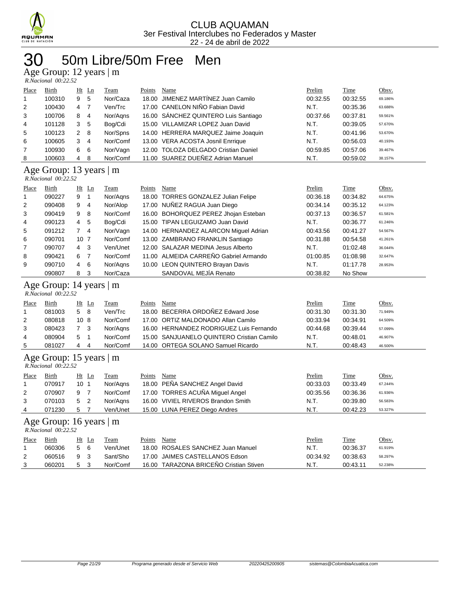

## 50m Libre/50m Free Men

Age Group: 12 years | m

| $R. Nacional$ 00:22.52 |  |
|------------------------|--|

| Place        | <b>Birth</b>                                   |                         | Ht Ln          | Team     | Points      | Name                                      | Prelim   | Time        | Obsv.   |
|--------------|------------------------------------------------|-------------------------|----------------|----------|-------------|-------------------------------------------|----------|-------------|---------|
| 1            | 100310                                         | 9                       | 5              | Nor/Caza |             | 18.00 JIMENEZ MARTINEZ Juan Camilo        | 00:32.55 | 00:32.55    | 69.186% |
| 2            | 100430                                         | 4                       | $\overline{7}$ | Ven/Trc  |             | 17.00 CANELON NIÑO Fabian David           | N.T.     | 00:35.36    | 63.688% |
| 3            | 100706                                         | 8                       | $\overline{4}$ | Nor/Agns |             | 16.00 SÁNCHEZ QUINTERO Luis Santiago      | 00:37.66 | 00:37.81    | 59.561% |
| 4            | 101128                                         | 3                       | 5              | Bog/Cdi  |             | 15.00 VILLAMIZAR LOPEZ Juan David         | N.T.     | 00:39.05    | 57.670% |
| 5            | 100123                                         | $\overline{\mathbf{c}}$ | 8              | Nor/Spns |             | 14.00 HERRERA MARQUEZ Jaime Joaquin       | N.T.     | 00:41.96    | 53.670% |
| 6            | 100605                                         | 3                       | 4              | Nor/Comf |             | 13.00 VERA ACOSTA Josnil Enrrique         | N.T.     | 00:56.03    | 40.193% |
| 7            | 100930                                         | 6                       | 6              | Nor/Vagn |             | 12.00 TOLOZA DELGADO Cristian Daniel      | 00:59.85 | 00:57.06    | 39.467% |
| 8            | 100603                                         | 4                       | 8              | Nor/Comf |             | 11.00 SUAREZ DUEÑEZ Adrian Manuel         | N.T.     | 00:59.02    | 38.157% |
|              | Age Group: 13 years   m<br>R.Nacional 00:22.52 |                         |                |          |             |                                           |          |             |         |
| Place        | Birth                                          |                         | $Ht$ Ln        | Team     | Points Name |                                           | Prelim   | Time        | Obsv.   |
| 1            | 090227                                         | 9                       | $\mathbf{1}$   | Nor/Agns |             | 18.00 TORRES GONZALEZ Julian Felipe       | 00:36.18 | 00:34.82    | 64.675% |
| 2            | 090408                                         | 9                       | $\overline{4}$ | Nor/Alop |             | 17.00 NUÑEZ RAGUA Juan Diego              | 00:34.14 | 00:35.12    | 64.123% |
| 3            | 090419                                         | 9                       | 8              | Nor/Comf |             | 16.00 BOHORQUEZ PEREZ Jhojan Esteban      | 00:37.13 | 00:36.57    | 61.581% |
| 4            | 090123                                         | 4                       | 5              | Bog/Cdi  |             | 15.00 TIPAN LEGUIZAMO Juan David          | N.T.     | 00:36.77    | 61.246% |
| 5            | 091212                                         | $7^{\circ}$             | $\overline{4}$ | Nor/Vagn |             | 14.00 HERNANDEZ ALARCON Miguel Adrian     | 00:43.56 | 00:41.27    | 54.567% |
| 6            | 090701                                         | 10 <sub>7</sub>         |                | Nor/Comf |             | 13.00 ZAMBRANO FRANKLIN Santiago          | 00:31.88 | 00:54.58    | 41.261% |
| 7            | 090707                                         | 4                       | 3              | Ven/Unet |             | 12.00 SALAZAR MEDINA Jesus Alberto        | N.T.     | 01:02.48    | 36.044% |
| 8            | 090421                                         | 6                       | $\overline{7}$ | Nor/Comf |             | 11.00 ALMEIDA CARREÑO Gabriel Armando     | 01:00.85 | 01:08.98    | 32.647% |
| 9            | 090710                                         | $\overline{4}$          | 6              | Nor/Aqns |             | 10.00 LEON QUINTERO Brayan Davis          | N.T.     | 01:17.78    | 28.953% |
|              | 090807                                         | 8                       | 3              | Nor/Caza |             | SANDOVAL MEJÍA Renato                     | 00:38.82 | No Show     |         |
|              |                                                |                         |                |          |             |                                           |          |             |         |
|              | Age Group: 14 years   m<br>R.Nacional 00:22.52 |                         |                |          |             |                                           |          |             |         |
| Place        | <b>Birth</b>                                   |                         | Ht Ln          | Team     | Points      | Name                                      | Prelim   | Time        | Obsv.   |
| 1            | 081003                                         | 5 <sup>5</sup>          | 8              | Ven/Trc  |             | 18.00 BECERRA ORDOÑEZ Edward Jose         | 00:31.30 | 00:31.30    | 71.949% |
| 2            | 080818                                         | 10 <sub>8</sub>         |                | Nor/Comf |             | 17.00 ORTIZ MALDONADO Allan Camilo        | 00:33.94 | 00:34.91    | 64.509% |
| 3            | 080423                                         | $7^{\circ}$             | -3             | Nor/Aqns |             | 16.00 HERNANDEZ RODRIGUEZ Luis Fernando   | 00:44.68 | 00:39.44    | 57.099% |
| 4            | 080904                                         | 5                       | $\mathbf{1}$   | Nor/Comf |             | 15.00 SANJUANELO QUINTERO Cristian Camilo | N.T.     | 00:48.01    | 46.907% |
| 5            | 081027                                         | 4                       | $\overline{4}$ | Nor/Comf |             | 14.00 ORTEGA SOLANO Samuel Ricardo        | N.T.     | 00:48.43    | 46.500% |
|              | Age Group: 15 years   m<br>R.Nacional 00:22.52 |                         |                |          |             |                                           |          |             |         |
| <b>Place</b> | <b>Birth</b>                                   |                         | Ht Ln          | Team     | Points Name |                                           | Prelim   | <b>Time</b> | Obsv.   |
| 1            | 070917                                         | 10 <sub>1</sub>         |                | Nor/Agns |             | 18.00 PEÑA SANCHEZ Angel David            | 00:33.03 | 00:33.49    | 67.244% |
| 2            | 070907                                         | 9                       | $\overline{7}$ | Nor/Comf |             | 17.00 TORRES ACUÑA Miguel Angel           | 00:35.56 | 00:36.36    | 61.936% |
| 3            | 070103                                         | 5                       | $\overline{2}$ | Nor/Agns |             | 16.00 VIVIEL RIVEROS Brandon Smith        | N.T.     | 00:39.80    | 56.583% |
| 4            | 071230                                         | 5                       | $\overline{7}$ | Ven/Unet |             | 15.00 LUNA PEREZ Diego Andres             | N.T.     | 00:42.23    | 53.327% |
|              | Age Group: 16 years   m<br>R.Nacional 00:22.52 |                         |                |          |             |                                           |          |             |         |
| Place        | <b>Birth</b>                                   |                         | $Ht$ Ln        | Team     | Points Name |                                           | Prelim   | <b>Time</b> | Obsv.   |
| 1            | 060306                                         | 5                       | 6              | Ven/Unet |             | 18.00 ROSALES SANCHEZ Juan Manuel         | N.T.     | 00:36.37    | 61.919% |
| 2            | 060516                                         | 9                       | 3              | Sant/Sho |             | 17.00 JAIMES CASTELLANOS Edson            | 00:34.92 | 00:38.63    | 58.297% |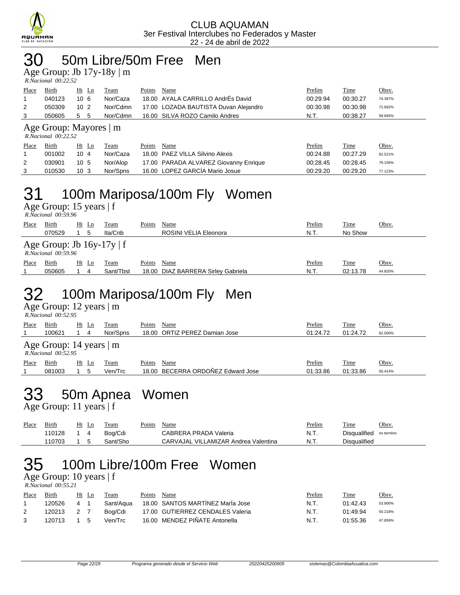

#### 30 50m Libre/50m Free Men

Age Group: Jb 17y-18y | m

| R.Nacional 00:22.52 |  |
|---------------------|--|

| Place | <b>Birth</b> | Ht Ln           | Team     | Name<br>Points                        | <b>Prelim</b> | <u>Time</u> | Obsv.   |
|-------|--------------|-----------------|----------|---------------------------------------|---------------|-------------|---------|
|       | 040123       | 106             | Nor/Caza | 18.00 AYALA CARRILLO AndrEs David     | 00:29.94      | 00:30.27    | 74.397% |
| 2     | 050309       | 10 <sub>2</sub> | Nor/Cdmn | 17.00 LOZADA BAUTISTA Duvan Alejandro | 00:30.98      | 00:30.98    | 72.692% |
| 3     | 050605       | 55              | Nor/Cdmn | 16.00 SILVA ROZO Camilo Andres        | N.T.          | 00:38.27    | 58.845% |
|       |              |                 |          |                                       |               |             |         |

#### Age Group: Mayores | m

|       | R.Nacional 00:22.52 |                 |          |        |                                       |          |          |              |
|-------|---------------------|-----------------|----------|--------|---------------------------------------|----------|----------|--------------|
| Place | <b>Birth</b>        | Ht Ln           | Team     | Points | Name                                  | Prelim   | Time     | <u>Obsv.</u> |
|       | 001002              | $10 \, 4$       | Nor/Caza |        | 18.00 PAEZ VILLA Silvino Alexis       | 00:24.88 | 00:27.29 | 82.521%      |
|       | 030901              | 10 <sub>5</sub> | Nor/Alop |        | 17.00 PARADA ALVAREZ Giovanny Enrique | 00:28.45 | 00:28.45 | 79.156%      |
|       | 010530              | 10 <sub>3</sub> | Nor/Spns |        | 16.00 LOPEZ GARCÍA Mario Josue        | 00:29.20 | 00:29.20 | 77.123%      |

#### 31 100m Mariposa/100m Fly Women

Age Group: 15 years | f

| R.Nacional 00:59.96 |  |
|---------------------|--|
|                     |  |

| Place | Birth                                                    | Ht Ln | <b>Team</b> | Points | Name                               | Prelim | <b>Time</b> | Obsv.   |
|-------|----------------------------------------------------------|-------|-------------|--------|------------------------------------|--------|-------------|---------|
|       | 070529                                                   |       | Ita/Cnb     |        | ROSINI VELIA Eleonora              | N.T.   | No Show     |         |
|       | Age Group: Jb $16y-17y \mid f$<br>$R. Nacional$ 00:59.96 |       |             |        |                                    |        |             |         |
| Place | Birth                                                    | Ht Ln | Team        | Points | Name                               | Prelim | Time        | Obsv.   |
|       | 050605                                                   | 4     | Sant/Tbst   |        | 18.00 DIAZ BARRERA Sirley Gabriela | N.T.   | 02:13.78    | 44.820% |

## 32 100m Mariposa/100m Fly Men

Age Group: 12 years | m  *R.Nacional 00:52.95* 

| Place | Birth                                                    | Ht Ln   | Team     | Name<br>Points                    | Prelim   | Time     | Obsv.   |  |  |  |  |  |  |
|-------|----------------------------------------------------------|---------|----------|-----------------------------------|----------|----------|---------|--|--|--|--|--|--|
|       | 100621                                                   | 4       | Nor/Spns | 18.00 ORTIZ PEREZ Damian Jose     | 01:24.72 | 01:24.72 | 62.500% |  |  |  |  |  |  |
|       | Age Group: 14 years $\mid$ m<br>$R. Nacional$ $00:52.95$ |         |          |                                   |          |          |         |  |  |  |  |  |  |
| Place | Birth                                                    | $Ht$ Ln | Team     | Points<br>Name                    | Prelim   | Time     | Obsv.   |  |  |  |  |  |  |
|       | 081003                                                   | 5       | Ven/Trc  | 18.00 BECERRA ORDOÑEZ Edward Jose | 01:33.86 | 01:33.86 | 56.414% |  |  |  |  |  |  |
|       |                                                          |         |          |                                   |          |          |         |  |  |  |  |  |  |

## 33 50m Apnea Women

Age Group: 11 years | f

| Place | Birth  | Ht | Team     | Points | Name                                 | Prelim<br>____ | Time         | Obsv.      |
|-------|--------|----|----------|--------|--------------------------------------|----------------|--------------|------------|
|       | 110128 |    | Boa/Cdi  |        | CABRERA PRADA Valeria                | N.T.           | Disqualified | no termino |
|       | 110703 |    | Sant/Sho |        | CARVAJAL VILLAMIZAR Andrea Valentina | N.T.           | Disqualified |            |

## 35 100m Libre/100m Free Women

Age Group: 10 years | f  *R.Nacional 00:55.21* 

| Place | Birth  |     | Ht Ln | Team      | Points | Name                             | Prelim | Time     | <u>Obsv.</u> |
|-------|--------|-----|-------|-----------|--------|----------------------------------|--------|----------|--------------|
|       | 120526 |     |       | Sant/Agua |        | 18.00 SANTOS MARTINEZ Maria Jose | N.T.   | 01:42.43 | 53.900%      |
|       | 120213 | 2 7 |       | Boa/Cdi   |        | 17.00 GUTIERREZ CENDALES Valeria | N.T.   | 01:49.94 | 50.218%      |
|       | 120713 | 1 5 |       | Ven/Trc   |        | 16.00 MENDEZ PIÑATE Antonella    | N.T.   | 01:55.36 | 47.859%      |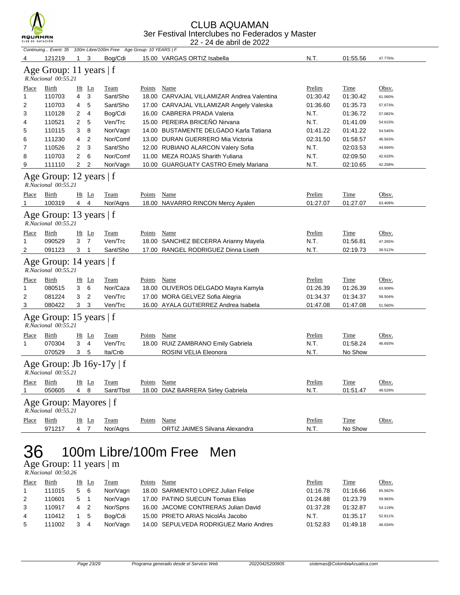

#### CLUB AQUAMAN 3er Festival Interclubes no Federados y Master

|              | CLUB DE NATACIÓN<br>22 - 24 de abril de 2022          |                |                |                                                                   |               |                                            |          |             |              |  |  |  |
|--------------|-------------------------------------------------------|----------------|----------------|-------------------------------------------------------------------|---------------|--------------------------------------------|----------|-------------|--------------|--|--|--|
|              |                                                       |                |                | Continuing Event: 35 100m Libre/100m Free Age Group: 10 YEARS   F |               |                                            |          |             |              |  |  |  |
| 4            | 121219                                                | $1 \quad 3$    |                | Bog/Cdi                                                           |               | 15.00 VARGAS ORTIZ Isabella                | N.T.     | 01:55.56    | 47.776%      |  |  |  |
|              | Age Group: 11 years   f<br>R.Nacional 00:55.21        |                |                |                                                                   |               |                                            |          |             |              |  |  |  |
| Place        | Birth                                                 |                | Ht Ln          | <b>Team</b>                                                       | Points Name   |                                            | Prelim   | <b>Time</b> | Obsv.        |  |  |  |
| 1            | 110703                                                | 4              | 3              | Sant/Sho                                                          |               | 18.00 CARVAJAL VILLAMIZAR Andrea Valentina | 01:30.42 | 01:30.42    | 61.060%      |  |  |  |
| 2            | 110703                                                | 4              | 5              | Sant/Sho                                                          |               | 17.00 CARVAJAL VILLAMIZAR Angely Valeska   | 01:36.60 | 01:35.73    | 57.673%      |  |  |  |
| 3            | 110128                                                | 2              | 4              | Bog/Cdi                                                           |               | 16.00 CABRERA PRADA Valeria                | N.T.     | 01:36.72    | 57.082%      |  |  |  |
| 4            | 110521                                                | 2              | 5              | Ven/Trc                                                           |               | 15.00 PEREIRA BRICEÑO Nirvana              | N.T.     | 01:41.09    | 54.615%      |  |  |  |
| 5            | 110115                                                | 3              | 8              | Nor/Vagn                                                          |               | 14.00 BUSTAMENTE DELGADO Karla Tatiana     | 01:41.22 | 01:41.22    | 54.545%      |  |  |  |
| 6            | 111230                                                | 4              | 2              | Nor/Comf                                                          |               | 13.00 DURAN GUERRERO Mia Victoria          | 02:31.50 | 01:58.57    | 46.563%      |  |  |  |
| 7            | 110526                                                | 2              | 3              | Sant/Sho                                                          |               | 12.00 RUBIANO ALARCON Valery Sofia         | N.T.     | 02:03.53    | 44.694%      |  |  |  |
| 8            | 110703                                                | 2              | 6              | Nor/Comf                                                          |               | 11.00 MEZA ROJAS Sharith Yuliana           | N.T.     | 02:09.50    | 42.633%      |  |  |  |
| 9            | 111110                                                | 2              | 2              | Nor/Vagn                                                          |               | 10.00 GUARGUATY CASTRO Emely Mariana       | N.T.     | 02:10.65    | 42.258%      |  |  |  |
|              | Age Group: 12 years   f<br>R.Nacional 00:55.21        |                |                |                                                                   |               |                                            |          |             |              |  |  |  |
| Place        | Birth                                                 |                | Ht Ln          | Team                                                              | Points        | Name                                       | Prelim   | Time        | Obsv.        |  |  |  |
| 1            | 100319                                                | 4              | $\overline{4}$ | Nor/Agns                                                          |               | 18.00 NAVARRO RINCON Mercy Ayalen          | 01:27.07 | 01:27.07    | 63.409%      |  |  |  |
|              | Age Group: 13 years   f<br>R.Nacional 00:55.21        |                |                |                                                                   |               |                                            |          |             |              |  |  |  |
| Place        | Birth                                                 |                | Ht Ln          | Team                                                              | Points        | Name                                       | Prelim   | Time        | Obsv.        |  |  |  |
| 1            | 090529                                                | 3              | $\overline{7}$ | Ven/Trc                                                           |               | 18.00 SANCHEZ BECERRA Arianny Mayela       | N.T.     | 01:56.81    | 47.265%      |  |  |  |
| 2            | 091123                                                | 3 1            |                | Sant/Sho                                                          |               | 17.00 RANGEL RODRIGUEZ Dinna Liseth        | N.T.     | 02:19.73    | 39.512%      |  |  |  |
|              | Age Group: 14 years   f<br>R.Nacional 00:55.21        |                |                |                                                                   |               |                                            |          |             |              |  |  |  |
| Place        | Birth                                                 |                | $Ht$ Ln        | Team                                                              | Points        | Name                                       | Prelim   | Time        | <u>Obsv.</u> |  |  |  |
| 1            | 080515                                                | 3              | 6              | Nor/Caza                                                          |               | 18.00 OLIVEROS DELGADO Mayra Kamyla        | 01:26.39 | 01:26.39    | 63.908%      |  |  |  |
| 2            | 081224                                                | 3              | $\overline{2}$ | Ven/Trc                                                           |               | 17.00 MORA GELVEZ Sofia Alegria            | 01:34.37 | 01:34.37    | 58.504%      |  |  |  |
| 3            | 080422                                                | 3              | 3              | Ven/Trc                                                           |               | 16.00 AYALA GUTIERREZ Andrea Isabela       | 01:47.08 | 01:47.08    | 51.560%      |  |  |  |
|              | Age Group: 15 years   f<br>R.Nacional 00:55.21        |                |                |                                                                   |               |                                            |          |             |              |  |  |  |
| <b>Place</b> | Birth                                                 |                | $Ht$ Ln        | <b>Team</b>                                                       | Points        | <b>Name</b>                                | Prelim   | <u>Time</u> | Obsv.        |  |  |  |
| 1            | 070304                                                | 3              | $\overline{4}$ | Ven/Trc                                                           |               | 18.00 RUIZ ZAMBRANO Emily Gabriela         | N.T.     | 01:58.24    | 46.693%      |  |  |  |
|              | 070529                                                | 3              | 5              | Ita/Cnb                                                           |               | ROSINI VELIA Eleonora                      | N.T.     | No Show     |              |  |  |  |
|              | Age Group: Jb $16y-17y \mid f$<br>R.Nacional 00:55.21 |                |                |                                                                   |               |                                            |          |             |              |  |  |  |
| Place        | <b>Birth</b>                                          |                | Ht Ln          | <b>Team</b>                                                       | Points        | Name                                       | Prelim   | Time        | Obsv.        |  |  |  |
|              | 050605                                                | $\overline{4}$ | 8              | Sant/Tbst                                                         |               | 18.00 DIAZ BARRERA Sirley Gabriela         | N.T.     | 01:51.47    | 49.529%      |  |  |  |
|              | Age Group: Mayores   f<br>R.Nacional 00:55.21         |                |                |                                                                   |               |                                            |          |             |              |  |  |  |
| Place        | <b>Birth</b>                                          |                | Ht Ln          | <b>Team</b>                                                       | <b>Points</b> | <b>Name</b>                                | Prelim   | <b>Time</b> | Obsv.        |  |  |  |
|              | 971217                                                | 4 7            |                | Nor/Aqns                                                          |               | ORTIZ JAIMES Silvana Alexandra             | N.T.     | No Show     |              |  |  |  |
|              |                                                       |                |                |                                                                   |               |                                            |          |             |              |  |  |  |

### 36 100m Libre/100m Free Men

Age Group: 11 years | m  *R.Nacional 00:50.26* 

| Place          | Birth  |                | Ht Ln          | Team     | Points | Name                                   | Prelim   | Time     | Obsv.   |
|----------------|--------|----------------|----------------|----------|--------|----------------------------------------|----------|----------|---------|
|                | 111015 | 5 6            |                | Nor/Vagn |        | 18.00 SARMIENTO LOPEZ Julian Felipe    | 01:16.78 | 01:16.66 | 65.562% |
| 2              | 110601 | 5              | - 1            | Nor/Vagn |        | 17.00 PATINO SUECUN Tomas Elias        | 01:24.88 | 01:23.79 | 59.983% |
| $\mathbf{3}$   | 110917 | $\overline{4}$ | $\overline{2}$ | Nor/Spns |        | 16.00 JACOME CONTRERAS Julian David    | 01:37.28 | 01:32.87 | 54.119% |
| $\overline{4}$ | 110412 | $1\quad5$      |                | Boa/Cdi  |        | 15.00 PRIETO ARIAS NicolÁs Jacobo      | N.T.     | 01:35.17 | 52.811% |
| 5              | 111002 | 3              | 4              | Nor/Vagn |        | 14.00 SEPULVEDA RODRIGUEZ Mario Andres | 01:52.83 | 01:49.18 | 46.034% |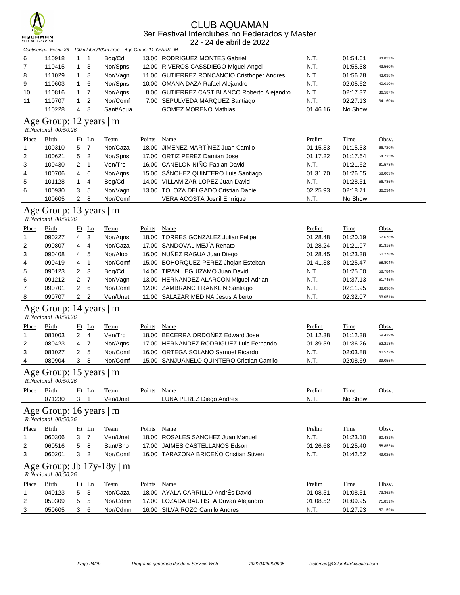

#### CLUB AQUAMAN 3er Festival Interclubes no Federados y Master

22 - 24 de abril de 2022

|              | Continuing Event: 36                           |                |                | 100m Libre/100m Free Age Group: 11 YEARS   M |               |                                              |          |             |         |
|--------------|------------------------------------------------|----------------|----------------|----------------------------------------------|---------------|----------------------------------------------|----------|-------------|---------|
| 6            | 110918                                         | 1              | $\mathbf 1$    | Bog/Cdi                                      |               | 13.00 RODRIGUEZ MONTES Gabriel               | N.T.     | 01:54.61    | 43.853% |
| 7            | 110415                                         | 1              | 3              | Nor/Spns                                     |               | 12.00 RIVEROS CASSDIEGO Miguel Angel         | N.T.     | 01:55.38    | 43.560% |
| 8            | 111029                                         | 1              | 8              | Nor/Vagn                                     |               | 11.00 GUTIERREZ RONCANCIO Cristhoper Andres  | N.T.     | 01:56.78    | 43.038% |
| 9            | 110603                                         | 1              | 6              | Nor/Spns                                     |               | 10.00 OMANA DAZA Rafael Alejandro            | N.T.     | 02:05.62    | 40.010% |
| 10           | 110816                                         | 1              | 7              | Nor/Aqns                                     |               | 8.00 GUTIERREZ CASTIBLANCO Roberto Alejandro | N.T.     | 02:17.37    | 36.587% |
| 11           | 110707                                         | 1              | $\overline{2}$ | Nor/Comf                                     |               | 7.00 SEPULVEDA MARQUEZ Santiago              | N.T.     | 02:27.13    | 34.160% |
|              | 110228                                         | 4              | 8              | Sant/Aqua                                    |               | <b>GOMEZ MORENO Mathias</b>                  | 01:46.16 | No Show     |         |
|              | Age Group: 12 years   m                        |                |                |                                              |               |                                              |          |             |         |
|              | R.Nacional 00:50.26                            |                |                |                                              |               |                                              |          |             |         |
| <b>Place</b> | <b>Birth</b>                                   | Ht Ln          |                | <b>Team</b>                                  | <b>Points</b> | <b>Name</b>                                  | Prelim   | Time        | Obsv.   |
| 1            | 100310                                         | 5              | $\overline{7}$ | Nor/Caza                                     |               | 18.00 JIMENEZ MARTÍNEZ Juan Camilo           | 01:15.33 | 01:15.33    | 66.720% |
| 2            | 100621                                         | 5              | $\overline{2}$ | Nor/Spns                                     |               | 17.00 ORTIZ PEREZ Damian Jose                | 01:17.22 | 01:17.64    | 64.735% |
| 3            | 100430                                         | 2              | $\mathbf{1}$   | Ven/Trc                                      |               | 16.00 CANELON NIÑO Fabian David              | N.T.     | 01:21.62    | 61.578% |
| 4            | 100706                                         | 4              | 6              | Nor/Aqns                                     |               | 15.00 SÁNCHEZ QUINTERO Luis Santiago         | 01:31.70 | 01:26.65    | 58.003% |
| 5            | 101128                                         | 1              | 4              | Bog/Cdi                                      |               | 14.00 VILLAMIZAR LOPEZ Juan David            | N.T.     | 01:28.51    | 56.785% |
| 6            | 100930                                         | 3              | 5              | Nor/Vagn                                     |               | 13.00 TOLOZA DELGADO Cristian Daniel         | 02:25.93 | 02:18.71    | 36.234% |
|              | 100605                                         | $\overline{2}$ | 8              | Nor/Comf                                     |               | VERA ACOSTA Josnil Enrrique                  | N.T.     | No Show     |         |
|              | Age Group: 13 years   m<br>R.Nacional 00:50.26 |                |                |                                              |               |                                              |          |             |         |
| Place        | <b>Birth</b>                                   |                | Ht Ln          | <b>Team</b>                                  | Points        | <b>Name</b>                                  | Prelim   | <b>Time</b> | Obsv.   |
| $\mathbf{1}$ | 090227                                         | 4              | 3              | Nor/Agns                                     |               | 18.00 TORRES GONZALEZ Julian Felipe          | 01:28.48 | 01:20.19    | 62.676% |
| 2            | 090807                                         | 4              | 4              | Nor/Caza                                     |               | 17.00 SANDOVAL MEJÍA Renato                  | 01:28.24 | 01:21.97    | 61.315% |
| 3            | 090408                                         | 4              | 5              | Nor/Alop                                     |               | 16.00 NUÑEZ RAGUA Juan Diego                 | 01:28.45 | 01:23.38    | 60.278% |
| 4            | 090419                                         | 4              | 1              | Nor/Comf                                     |               | 15.00 BOHORQUEZ PEREZ Jhojan Esteban         | 01:41.38 | 01:25.47    | 58.804% |
| 5            | 090123                                         | 2              | 3              | Bog/Cdi                                      |               | 14.00 TIPAN LEGUIZAMO Juan David             | N.T.     | 01:25.50    | 58.784% |
| 6            | 091212                                         | 2              | 7              | Nor/Vagn                                     |               | 13.00 HERNANDEZ ALARCON Miguel Adrian        | N.T.     | 01:37.13    | 51.745% |
|              | 090701                                         |                | 6              | Nor/Comf                                     |               | 12.00 ZAMBRANO FRANKLIN Santiago             | N.T.     |             | 38.090% |
| 7            | 090707                                         | 2<br>2         | $\overline{2}$ | Ven/Unet                                     |               | 11.00 SALAZAR MEDINA Jesus Alberto           | N.T.     | 02:11.95    | 33.051% |
| 8            | Age Group: 14 years   m<br>R.Nacional 00:50.26 |                |                |                                              |               |                                              |          | 02:32.07    |         |
|              |                                                |                |                |                                              |               |                                              |          |             |         |
| <u>Place</u> | <b>Birth</b>                                   |                | Ht Ln          | <b>Team</b>                                  | <b>Points</b> | <b>Name</b>                                  | Prelim   | <b>Time</b> | Obsv.   |
| 1            | 081003                                         | $\overline{2}$ | 4              | Ven/Trc                                      |               | 18.00 BECERRA ORDOÑEZ Edward Jose            | 01:12.38 | 01:12.38    | 69.439% |
| 2            | 080423                                         | 4              | 7              | Nor/Aqns                                     |               | 17.00 HERNANDEZ RODRIGUEZ Luis Fernando      | 01:39.59 | 01:36.26    | 52.213% |
| 3            | 081027                                         | 2              | 5              | Nor/Comf                                     |               | 16.00 ORTEGA SOLANO Samuel Ricardo           | N.T.     | 02:03.88    | 40.572% |
| 4            | 080904                                         | 3              | 8              | Nor/Comf                                     |               | 15.00 SANJUANELO QUINTERO Cristian Camilo    | N.T.     | 02:08.69    | 39.055% |
|              | Age Group: 15 years   m<br>R.Nacional 00:50.26 |                |                |                                              |               |                                              |          |             |         |
| <u>Place</u> | <b>Birth</b>                                   |                | Ht Ln          | <b>Team</b>                                  | Points        | Name                                         | Prelim   | Time        | Obsv.   |
|              | 071230                                         | 3              | 1              | Ven/Unet                                     |               | LUNA PEREZ Diego Andres                      | N.T.     | No Show     |         |
|              | Age Group: 16 years   m<br>R.Nacional 00:50.26 |                |                |                                              |               |                                              |          |             |         |
| <u>Place</u> | <b>Birth</b>                                   |                | Ht Ln          | <b>Team</b>                                  | <b>Points</b> | Name                                         | Prelim   | <b>Time</b> | Obsv.   |
| 1            | 060306                                         | 3              | $\overline{7}$ | Ven/Unet                                     |               | 18.00 ROSALES SANCHEZ Juan Manuel            | N.T.     | 01:23.10    | 60.481% |
| 2            | 060516                                         | 5              | 8              | Sant/Sho                                     |               | 17.00 JAIMES CASTELLANOS Edson               | 01:26.68 | 01:25.40    | 58.852% |
| 3            | 060201                                         | 3              | 2              | Nor/Comf                                     |               | 16.00 TARAZONA BRICEÑO Cristian Stiven       | N.T.     | 01:42.52    | 49.025% |
|              | R.Nacional 00:50.26                            |                |                | Age Group: Jb $17y-18y \mid m$               |               |                                              |          |             |         |
| <u>Place</u> | <b>Birth</b>                                   |                | $Ht$ Ln        | <b>Team</b>                                  | <u>Points</u> | <b>Name</b>                                  | Prelim   | <b>Time</b> | Obsv.   |
| $\mathbf{1}$ | 040123                                         | 5              | 3              | Nor/Caza                                     |               | 18.00 AYALA CARRILLO AndrÉs David            | 01:08.51 | 01:08.51    | 73.362% |
| 2            | 050309                                         | 5              | 5              | Nor/Cdmn                                     |               | 17.00 LOZADA BAUTISTA Duvan Alejandro        | 01:08.52 | 01:09.95    | 71.851% |
| 3            | 050605                                         | 3              | 6              | Nor/Cdmn                                     |               | 16.00 SILVA ROZO Camilo Andres               | N.T.     | 01:27.93    | 57.159% |
|              |                                                |                |                |                                              |               |                                              |          |             |         |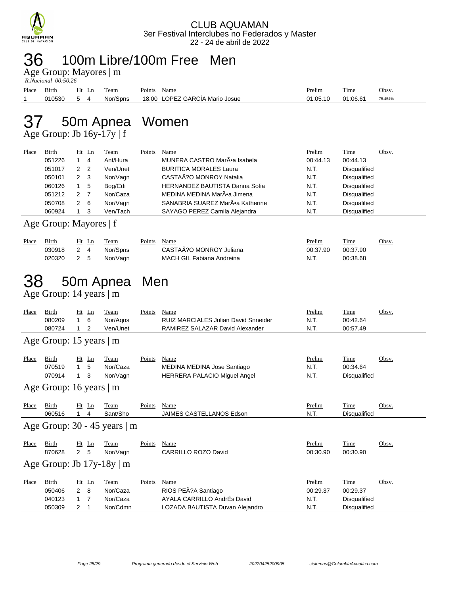

#### 36 100m Libre/100m Free Men

Age Group: Mayores | m

|       | R.Nacional 00:50.26 |         |          |                                |               |             |         |  |  |  |  |  |  |
|-------|---------------------|---------|----------|--------------------------------|---------------|-------------|---------|--|--|--|--|--|--|
| Place | Birth               | $Ht$ Ln | Team     | Name<br>Points                 | <b>Prelim</b> | <b>Time</b> | Obsv.   |  |  |  |  |  |  |
|       | 010530              | 54      | Nor/Spns | 18.00 LOPEZ GARCÍA Mario Josue | 01:05.10      | 01:06.61    | 75.454% |  |  |  |  |  |  |

## 37 50m Apnea Women

Age Group: Jb 16y-17y | f

| Place | Birth  |                | $Ht$ Ln        | Team     | Points | Name                                  | Prelim   | Time                | Obsv. |
|-------|--------|----------------|----------------|----------|--------|---------------------------------------|----------|---------------------|-------|
|       | 051226 |                | 4              | Ant/Hura |        | MUNERA CASTRO MarÕa Isabela           | 00:44.13 | 00:44.13            |       |
|       | 051017 | $\mathcal{P}$  | $\overline{2}$ | Ven/Unet |        | <b>BURITICA MORALES Laura</b>         | N.T.     | Disqualified        |       |
|       | 050101 | $\overline{2}$ | - 3            | Nor/Vagn |        | CASTAÃ?O MONROY Natalia               | N.T.     | Disqualified        |       |
|       | 060126 |                | -5             | Bog/Cdi  |        | <b>HERNANDEZ BAUTISTA Danna Sofia</b> | N.T.     | Disqualified        |       |
|       | 051212 | 2              |                | Nor/Caza |        | MEDINA MEDINA MarÕa Jimena            | N.T.     | Disqualified        |       |
|       | 050708 | 2              | - 6            | Nor/Vagn |        | SANABRIA SUAREZ MarÕa Katherine       | N.T.     | Disqualified        |       |
|       | 060924 |                |                | Ven/Tach |        | SAYAGO PEREZ Camila Alejandra         | N.T.     | <b>Disqualified</b> |       |
|       |        |                |                |          |        |                                       |          |                     |       |

Age Group: Mayores | f

| Place | Birth  | Ht<br>Ln | Team     | $\mathbf{p}_{\text{oints}}$ | Name                      | Prelim   | Time     | Obsv. |
|-------|--------|----------|----------|-----------------------------|---------------------------|----------|----------|-------|
|       | 030918 |          | Nor/Spns |                             | CASTAA?O MONROY Juliana   | 00:37.90 | 00:37.90 |       |
|       | 020320 | -<br>-   | Nor/Vagn |                             | MACH GIL Fabiana Andreina | N.T.     | 00:38.68 |       |

### 38 50m Apnea Men

Age Group: 14 years | m

| Place | Birth                         |                | $Ht$ Ln           | Team                           | Points | Name                                                                       | Prelim                 | Time                             | Obsv. |
|-------|-------------------------------|----------------|-------------------|--------------------------------|--------|----------------------------------------------------------------------------|------------------------|----------------------------------|-------|
|       | 080209                        | $\mathbf{1}$   | 6                 | Nor/Agns                       |        | <b>RUIZ MARCIALES Julian David Snneider</b>                                | N.T.                   | 00:42.64                         |       |
|       | 080724                        |                | 2                 | Ven/Unet                       |        | RAMIREZ SALAZAR David Alexander                                            | N.T.                   | 00:57.49                         |       |
|       | Age Group: 15 years   m       |                |                   |                                |        |                                                                            |                        |                                  |       |
| Place | Birth<br>070519<br>070914     | 1              | $Ht$ Ln<br>5<br>3 | Team<br>Nor/Caza<br>Nor/Vagn   | Points | Name<br>MEDINA MEDINA Jose Santiago<br><b>HERRERA PALACIO Miguel Angel</b> | Prelim<br>N.T.<br>N.T. | Time<br>00:34.64<br>Disqualified | Obsv. |
|       | Age Group: 16 years $\vert$ m |                |                   |                                |        |                                                                            |                        |                                  |       |
| Place | Birth<br>060516               |                | $Ht$ Ln<br>4      | Team<br>Sant/Sho               | Points | Name<br><b>JAIMES CASTELLANOS Edson</b>                                    | Prelim<br>N.T.         | Time<br>Disqualified             | Obsv. |
|       |                               |                |                   | Age Group: 30 - 45 years   m   |        |                                                                            |                        |                                  |       |
| Place | Birth<br>870628               | $\overline{2}$ | $Ht$ Ln<br>5      | Team<br>Nor/Vagn               | Points | Name<br><b>CARRILLO ROZO David</b>                                         | Prelim<br>00:30.90     | Time<br>00:30.90                 | Obsv. |
|       |                               |                |                   | Age Group: Jb $17y-18y \mid m$ |        |                                                                            |                        |                                  |       |
| Place | Birth<br>050406               | $\overline{2}$ | Ht Ln<br>8        | Team<br>Nor/Caza               | Points | Name<br>RIOS PEÃ?A Santiago                                                | Prelim<br>00:29.37     | Time<br>00:29.37                 | Obsv. |
|       | 040123                        | 1              | $\overline{7}$    | Nor/Caza                       |        | AYALA CARRILLO AndrÉs David                                                | N.T.                   | Disqualified                     |       |
|       | 050309                        | 2              |                   | Nor/Cdmn                       |        | LOZADA BAUTISTA Duvan Alejandro                                            | N.T.                   | Disqualified                     |       |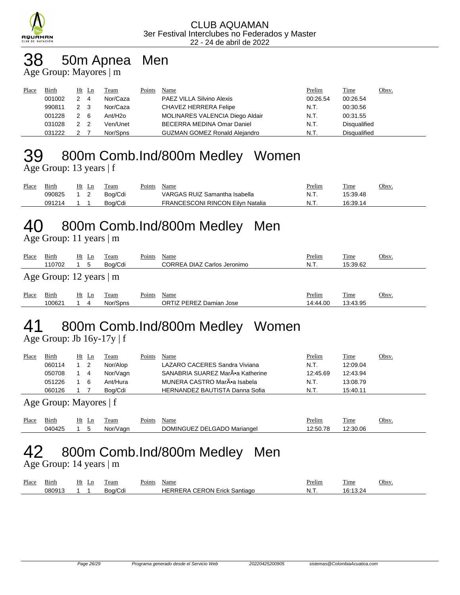

## 38 50m Apnea Men

Age Group: Mayores | m

| Place | <b>Birth</b> | $Ht$ Ln |                | Team                | Points | Name                                 | Prelim   | <b>Time</b>         | Obsv. |
|-------|--------------|---------|----------------|---------------------|--------|--------------------------------------|----------|---------------------|-------|
|       | 001002       |         | $\overline{4}$ | Nor/Caza            |        | PAEZ VILLA Silvino Alexis            | 00:26.54 | 00:26.54            |       |
|       | 990811       | 2 3     |                | Nor/Caza            |        | CHAVEZ HERRERA Felipe                | N.T.     | 00:30.56            |       |
|       | 001228       | 2 6     |                | Ant/H <sub>20</sub> |        | MOLINARES VALENCIA Diego Aldair      | N.T.     | 00:31.55            |       |
|       | 031028       | 2 2     |                | Ven/Unet            |        | BECERRA MEDINA Omar Daniel           | N.T.     | <b>Disqualified</b> |       |
|       | 031222       |         |                | Nor/Spns            |        | <b>GUZMAN GOMEZ Ronald Alejandro</b> | N.T.     | <b>Disqualified</b> |       |

### 39 800m Comb.Ind/800m Medley Women

Age Group: 13 years | f

| Place | <b>Birth</b> | Ht<br>Ln | Team    | Points | Name                                    | Prelim | <b>Time</b> | Obsv. |
|-------|--------------|----------|---------|--------|-----------------------------------------|--------|-------------|-------|
|       | 090825       |          | Boa/Cdi |        | VARGAS RUIZ Samantha Isabella           | N.T.   | 15:39.48    |       |
|       | 091214       |          | Boa/Cdi |        | <b>FRANCESCONI RINCON Eilvn Natalia</b> | N.T.   | 16:39.14    |       |

## 40 800m Comb.Ind/800m Medley Men

Age Group: 11 years | m

| Place | Birth<br>110702               | Ht Ln<br>5    | <b>Team</b><br>Boa/Cdi | Points | Name<br>CORREA DIAZ Carlos Jeronimo | Prelim<br>N.T.     | Time<br>15:39.62        | Obsv. |
|-------|-------------------------------|---------------|------------------------|--------|-------------------------------------|--------------------|-------------------------|-------|
|       | Age Group: 12 years $\vert$ m |               |                        |        |                                     |                    |                         |       |
| Place | Birth<br>100621               | Ht<br>Ln<br>4 | Team<br>Nor/Spns       | Points | Name<br>ORTIZ PEREZ Damian Jose     | Prelim<br>14:44.00 | <b>Time</b><br>13:43.95 | Obsv. |

# 41 800m Comb.Ind/800m Medley Women

Age Group: Jb 16y-17y | f

| Place | <b>Birth</b> | Ht | Ln | Team     | Points | Name                                  | <b>Prelim</b> | <u>Time</u> | Obsv. |
|-------|--------------|----|----|----------|--------|---------------------------------------|---------------|-------------|-------|
|       | 060114       |    |    | Nor/Alop |        | LAZARO CACERES Sandra Viviana         | N.T.          | 12:09.04    |       |
|       | 050708       |    | -4 | Nor/Vagn |        | SANABRIA SUAREZ MarÕa Katherine       | 12:45.69      | 12:43.94    |       |
|       | 051226       |    | -6 | Ant/Hura |        | MUNERA CASTRO MarÕa Isabela           | N.T.          | 13:08.79    |       |
|       | 060126       |    |    | Boa/Cdi  |        | <b>HERNANDEZ BAUTISTA Danna Sofia</b> | N.T.          | 15:40.11    |       |
|       |              |    |    |          |        |                                       |               |             |       |

Age Group: Mayores | f

| Place | $\overline{\phantom{a}}$<br>Birth              | Ħ١ | ப | l eam | $\sim$<br>Points | Name                                               | Prelim | ---<br>1 ime       | <b>Obsy</b> |
|-------|------------------------------------------------|----|---|-------|------------------|----------------------------------------------------|--------|--------------------|-------------|
|       | $(14042)$ <sup><math>\overline{ }</math></sup> |    |   | NO"   |                  | nr<br>DE<br><b>JNING</b><br>GADC<br>Mariangel<br>┅ | 70     | $\sim$<br>20.<br>. |             |

## 42 800m Comb.Ind/800m Medley Men

Age Group: 14 years | m

| Place | Bırth  | Ht<br>Ln | l'eam   | oints' | Name                                | Prelim | l'ime | Obsv |
|-------|--------|----------|---------|--------|-------------------------------------|--------|-------|------|
|       | ገ8091: |          | Boa/Cdi |        | <b>HERRERA CERON Erick Santiago</b> | NL     |       |      |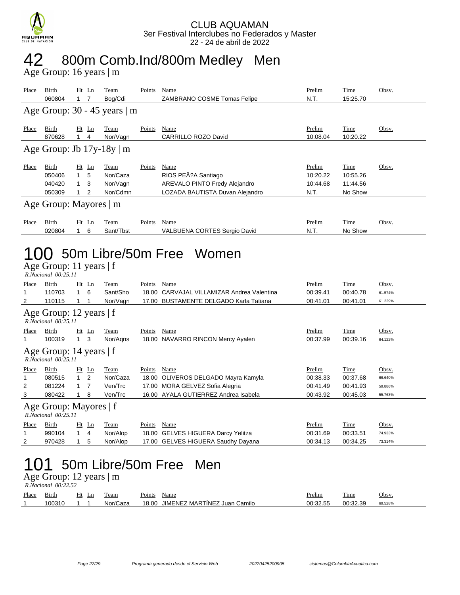

### 42 800m Comb.Ind/800m Medley Men

Age Group: 16 years | m

| <u>Place</u>                                                                  | <u>Birth</u><br>060804                                                             | 1.                | <u>Ht Ln</u><br>7           | <u>Team</u><br>Bog/Cdi                          | <b>Points</b> | <b>Name</b><br>ZAMBRANO COSME Tomas Felipe                                                                             | Prelim<br>N.T.                                | <b>Time</b><br>15:25.70                        | Obsv.                                  |  |
|-------------------------------------------------------------------------------|------------------------------------------------------------------------------------|-------------------|-----------------------------|-------------------------------------------------|---------------|------------------------------------------------------------------------------------------------------------------------|-----------------------------------------------|------------------------------------------------|----------------------------------------|--|
|                                                                               |                                                                                    |                   |                             | Age Group: $30 - 45$ years   m                  |               |                                                                                                                        |                                               |                                                |                                        |  |
| <b>Place</b>                                                                  | Birth<br>870628                                                                    | $1 \quad 4$       | $Ht$ Ln                     | <b>Team</b><br>Nor/Vagn                         | <b>Points</b> | <b>Name</b><br><b>CARRILLO ROZO David</b>                                                                              | Prelim<br>10:08.04                            | <b>Time</b><br>10:20.22                        | Obsv.                                  |  |
|                                                                               | Age Group: Jb $17y-18y \mid m$                                                     |                   |                             |                                                 |               |                                                                                                                        |                                               |                                                |                                        |  |
| Place                                                                         | <b>Birth</b><br>050406<br>040420<br>050309                                         | 1.<br>1<br>1      | <u>Ht Ln</u><br>5<br>3<br>2 | <b>Team</b><br>Nor/Caza<br>Nor/Vagn<br>Nor/Cdmn | <b>Points</b> | <b>Name</b><br>RIOS PEÃ?A Santiago<br><b>AREVALO PINTO Fredy Alejandro</b><br>LOZADA BAUTISTA Duvan Alejandro          | <b>Prelim</b><br>10:20.22<br>10:44.68<br>N.T. | <b>Time</b><br>10:55.26<br>11:44.56<br>No Show | Obsv.                                  |  |
|                                                                               | Age Group: Mayores   m                                                             |                   |                             |                                                 |               |                                                                                                                        |                                               |                                                |                                        |  |
| <b>Place</b>                                                                  | Birth<br>020804                                                                    | 1                 | Ht Ln<br>6                  | Team<br>Sant/Tbst                               | Points        | Name<br><b>VALBUENA CORTES Sergio David</b>                                                                            | Prelim<br>N.T.                                | Time<br>No Show                                | Obsv.                                  |  |
| IO 50m Libre/50m Free Women<br>Age Group: 11 years   f<br>R.Nacional 00:25.11 |                                                                                    |                   |                             |                                                 |               |                                                                                                                        |                                               |                                                |                                        |  |
| <u>Place</u><br>1<br>2                                                        | <b>Birth</b><br>110703<br>110115                                                   | 1<br>$\mathbf{1}$ | <u>Ht Ln</u><br>6<br>1      | <b>Team</b><br>Sant/Sho<br>Nor/Vagn             | Points Name   | 18.00 CARVAJAL VILLAMIZAR Andrea Valentina<br>17.00 BUSTAMENTE DELGADO Karla Tatiana                                   | Prelim<br>00:39.41<br>00:41.01                | <b>Time</b><br>00:40.78<br>00:41.01            | Obsv.<br>61.574%<br>61.229%            |  |
|                                                                               | Age Group: 12 years $ f $<br>$R.\bar{N}acional$ 00:25.11                           |                   |                             |                                                 |               |                                                                                                                        |                                               |                                                |                                        |  |
| Place<br>1                                                                    | Birth<br>100319                                                                    | 1                 | Ht Ln<br>3                  | <b>Team</b><br>Nor/Agns                         | Points        | <b>Name</b><br>18.00 NAVARRO RINCON Mercy Ayalen                                                                       | Prelim<br>00:37.99                            | Time<br>00:39.16                               | Obsv.<br>64.122%                       |  |
|                                                                               | Age Group: 14 years   f<br>R.Nacional 00:25.11                                     |                   |                             |                                                 |               |                                                                                                                        |                                               |                                                |                                        |  |
| <u>Place</u><br>1<br>2<br>3                                                   | <b>Birth</b><br>080515<br>081224<br>080422                                         | 1.<br>1<br>1      | <u>Ht Ln</u><br>2<br>7<br>8 | <b>Team</b><br>Nor/Caza<br>Ven/Trc<br>Ven/Trc   | Points        | Name<br>18.00 OLIVEROS DELGADO Mayra Kamyla<br>17.00 MORA GELVEZ Sofia Alegria<br>16.00 AYALA GUTIERREZ Andrea Isabela | Prelim<br>00:38.33<br>00:41.49<br>00:43.92    | Time<br>00:37.68<br>00:41.93<br>00:45.03       | Obsv.<br>66.640%<br>59.886%<br>55.763% |  |
|                                                                               | Age Group: Mayores   f<br>R.Nacional 00:25.11                                      |                   |                             |                                                 |               |                                                                                                                        |                                               |                                                |                                        |  |
| Place<br>1<br>2                                                               | <u>Birth</u><br>990104<br>970428                                                   | $\mathbf{1}$<br>1 | Ht Ln<br>4<br>5             | <b>Team</b><br>Nor/Alop<br>Nor/Alop             | Points Name   | 18.00 GELVES HIGUERA Darcy Yelitza<br>17.00 GELVES HIGUERA Saudhy Dayana                                               | Prelim<br>00:31.69<br>00:34.13                | <u>Time</u><br>00:33.51<br>00:34.25            | <u>Obsv.</u><br>74.933%<br>73.314%     |  |
|                                                                               | 50m Libre/50m Free<br>101<br>Men<br>Age Group: 12 years   m<br>R.Nacional 00:22.52 |                   |                             |                                                 |               |                                                                                                                        |                                               |                                                |                                        |  |
| Place Birth                                                                   |                                                                                    |                   | Ht Ln                       | Team                                            | Points Name   |                                                                                                                        | Prelim                                        | <b>Time</b>                                    | Obsv.                                  |  |

100310 1 1 Nor/Caza 18.00 JIMENEZ MARTÍNEZ Juan Camilo 00:32.55 00:32.39 69.528%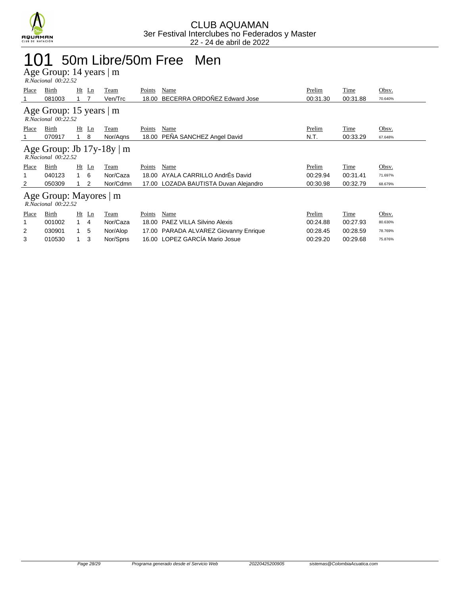

### 101 50m Libre/50m Free Men

Age Group: 14 years | m

| R.Nacional 00:22.52                               |                                                       |                                |          |               |                                       |          |          |         |  |
|---------------------------------------------------|-------------------------------------------------------|--------------------------------|----------|---------------|---------------------------------------|----------|----------|---------|--|
| Place                                             | Birth                                                 | $Ht$ Ln                        | Team     | <b>Points</b> | Name                                  | Prelim   | Time     | Obsv.   |  |
|                                                   | 081003                                                |                                | Ven/Trc  | 18.00         | BECERRA ORDOÑEZ Edward Jose           | 00:31.30 | 00:31.88 | 70.640% |  |
| Age Group: 15 years   m<br>$R. Nacional$ 00:22.52 |                                                       |                                |          |               |                                       |          |          |         |  |
| Place                                             | Birth                                                 | $Ht$ Ln                        | Team     | Points        | Name                                  | Prelim   | Time     | Obsv.   |  |
|                                                   | 070917                                                | 8                              | Nor/Agns |               | 18.00 PEÑA SANCHEZ Angel David        | N.T.     | 00:33.29 | 67.648% |  |
|                                                   | Age Group: Jb $17y-18y \mid m$<br>R.Nacional 00:22.52 |                                |          |               |                                       |          |          |         |  |
|                                                   |                                                       |                                |          |               |                                       |          |          |         |  |
| Place                                             | Birth                                                 | $Ht$ Ln                        | Team     | Points        | Name                                  | Prelim   | Time     | Obsv.   |  |
|                                                   | 040123                                                | - 6<br>$\overline{1}$          | Nor/Caza | 18.00         | AYALA CARRILLO AndrÉs David           | 00:29.94 | 00:31.41 | 71.697% |  |
| 2                                                 | 050309                                                | 2                              | Nor/Cdmn |               | 17.00 LOZADA BAUTISTA Duvan Alejandro | 00:30.98 | 00:32.79 | 68.679% |  |
|                                                   | Age Group: Mayores   m<br>$R. Nacional$ $00:22.52$    |                                |          |               |                                       |          |          |         |  |
| Place                                             | Birth                                                 | $Ht$ Ln                        | Team     | Points        | Name                                  | Prelim   | Time     | Obsv.   |  |
|                                                   | 001002                                                | $\mathbf{1}$<br>$\overline{4}$ | Nor/Caza | 18.00         | <b>PAEZ VILLA Silvino Alexis</b>      | 00:24.88 | 00:27.93 | 80.630% |  |
| 2                                                 | 030901                                                | 5                              | Nor/Alop | 17.00         | PARADA ALVAREZ Giovanny Enrique       | 00:28.45 | 00:28.59 | 78.769% |  |